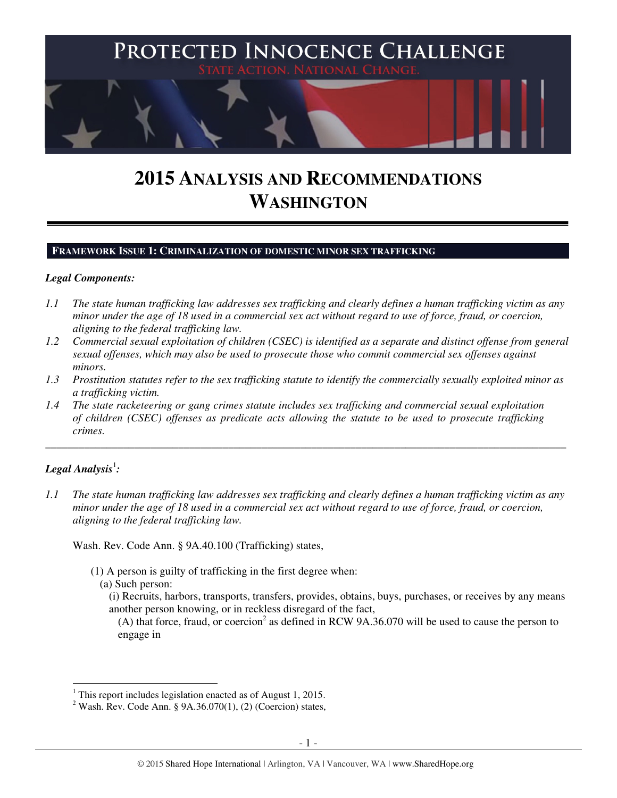

# **2015 ANALYSIS AND RECOMMENDATIONS WASHINGTON**

#### **FRAMEWORK ISSUE 1: CRIMINALIZATION OF DOMESTIC MINOR SEX TRAFFICKING**

#### *Legal Components:*

- *1.1 The state human trafficking law addresses sex trafficking and clearly defines a human trafficking victim as any minor under the age of 18 used in a commercial sex act without regard to use of force, fraud, or coercion, aligning to the federal trafficking law.*
- *1.2 Commercial sexual exploitation of children (CSEC) is identified as a separate and distinct offense from general sexual offenses, which may also be used to prosecute those who commit commercial sex offenses against minors.*
- *1.3 Prostitution statutes refer to the sex trafficking statute to identify the commercially sexually exploited minor as a trafficking victim.*

\_\_\_\_\_\_\_\_\_\_\_\_\_\_\_\_\_\_\_\_\_\_\_\_\_\_\_\_\_\_\_\_\_\_\_\_\_\_\_\_\_\_\_\_\_\_\_\_\_\_\_\_\_\_\_\_\_\_\_\_\_\_\_\_\_\_\_\_\_\_\_\_\_\_\_\_\_\_\_\_\_\_\_\_\_\_\_\_\_\_\_\_\_\_

*1.4 The state racketeering or gang crimes statute includes sex trafficking and commercial sexual exploitation of children (CSEC) offenses as predicate acts allowing the statute to be used to prosecute trafficking crimes.* 

# $\bm{L}$ egal Analysis $^1$ :

 $\overline{a}$ 

*1.1 The state human trafficking law addresses sex trafficking and clearly defines a human trafficking victim as any minor under the age of 18 used in a commercial sex act without regard to use of force, fraud, or coercion, aligning to the federal trafficking law.* 

Wash. Rev. Code Ann. § 9A.40.100 (Trafficking) states,

- (1) A person is guilty of trafficking in the first degree when:
	- (a) Such person:

(i) Recruits, harbors, transports, transfers, provides, obtains, buys, purchases, or receives by any means another person knowing, or in reckless disregard of the fact,

(A) that force, fraud, or coercion<sup>2</sup> as defined in RCW 9A.36.070 will be used to cause the person to engage in

<sup>&</sup>lt;sup>1</sup> This report includes legislation enacted as of August 1, 2015.

<sup>&</sup>lt;sup>2</sup> Wash. Rev. Code Ann. § 9A.36.070(1), (2) (Coercion) states,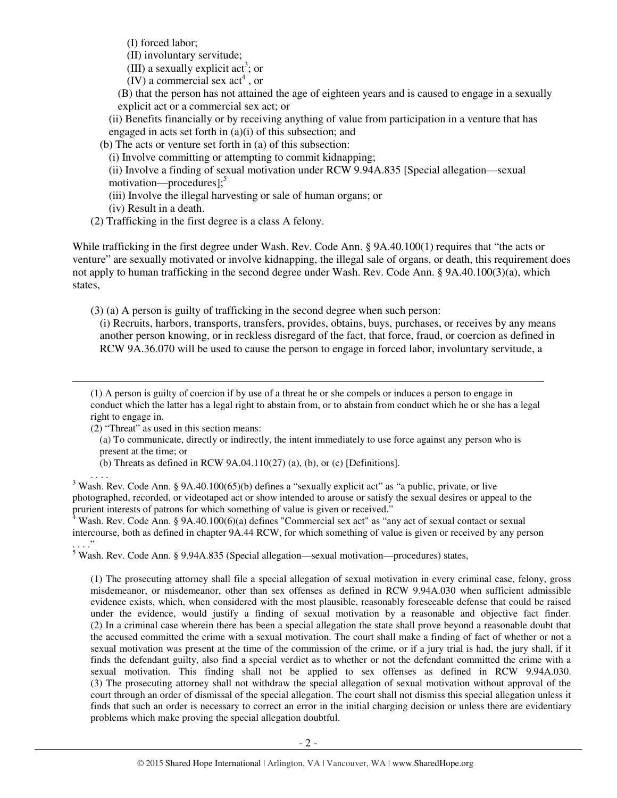(I) forced labor;

(II) involuntary servitude;

(III) a sexually explicit act<sup>3</sup>; or

 $(IV)$  a commercial sex act<sup>4</sup>, or

(B) that the person has not attained the age of eighteen years and is caused to engage in a sexually explicit act or a commercial sex act; or

(ii) Benefits financially or by receiving anything of value from participation in a venture that has engaged in acts set forth in (a)(i) of this subsection; and

(b) The acts or venture set forth in (a) of this subsection:

(i) Involve committing or attempting to commit kidnapping;

(ii) Involve a finding of sexual motivation under RCW 9.94A.835 [Special allegation—sexual

motivation—procedures];<sup>5</sup>

(iii) Involve the illegal harvesting or sale of human organs; or

(iv) Result in a death.

(2) Trafficking in the first degree is a class A felony.

While trafficking in the first degree under Wash. Rev. Code Ann. § 9A.40.100(1) requires that "the acts or venture" are sexually motivated or involve kidnapping, the illegal sale of organs, or death, this requirement does not apply to human trafficking in the second degree under Wash. Rev. Code Ann. § 9A.40.100(3)(a), which states,

(3) (a) A person is guilty of trafficking in the second degree when such person:

(i) Recruits, harbors, transports, transfers, provides, obtains, buys, purchases, or receives by any means another person knowing, or in reckless disregard of the fact, that force, fraud, or coercion as defined in RCW 9A.36.070 will be used to cause the person to engage in forced labor, involuntary servitude, a

(1) A person is guilty of coercion if by use of a threat he or she compels or induces a person to engage in conduct which the latter has a legal right to abstain from, or to abstain from conduct which he or she has a legal right to engage in.

(2) "Threat" as used in this section means:

 $\overline{a}$ 

(a) To communicate, directly or indirectly, the intent immediately to use force against any person who is present at the time; or

(b) Threats as defined in RCW 9A.04.110(27) (a), (b), or (c) [Definitions].

. . . . <sup>3</sup> Wash. Rev. Code Ann. § 9A.40.100(65)(b) defines a "sexually explicit act" as "a public, private, or live photographed, recorded, or videotaped act or show intended to arouse or satisfy the sexual desires or appeal to the prurient interests of patrons for which something of value is given or received."

<sup>4</sup> Wash. Rev. Code Ann. § 9A.40.100(6)(a) defines "Commercial sex act" as "any act of sexual contact or sexual intercourse, both as defined in chapter 9A.44 RCW, for which something of value is given or received by any person . . . ."

<sup>5</sup> Wash. Rev. Code Ann. § 9.94A.835 (Special allegation—sexual motivation—procedures) states,

(1) The prosecuting attorney shall file a special allegation of sexual motivation in every criminal case, felony, gross misdemeanor, or misdemeanor, other than sex offenses as defined in RCW 9.94A.030 when sufficient admissible evidence exists, which, when considered with the most plausible, reasonably foreseeable defense that could be raised under the evidence, would justify a finding of sexual motivation by a reasonable and objective fact finder. (2) In a criminal case wherein there has been a special allegation the state shall prove beyond a reasonable doubt that the accused committed the crime with a sexual motivation. The court shall make a finding of fact of whether or not a sexual motivation was present at the time of the commission of the crime, or if a jury trial is had, the jury shall, if it finds the defendant guilty, also find a special verdict as to whether or not the defendant committed the crime with a sexual motivation. This finding shall not be applied to sex offenses as defined in RCW 9.94A.030. (3) The prosecuting attorney shall not withdraw the special allegation of sexual motivation without approval of the court through an order of dismissal of the special allegation. The court shall not dismiss this special allegation unless it finds that such an order is necessary to correct an error in the initial charging decision or unless there are evidentiary problems which make proving the special allegation doubtful.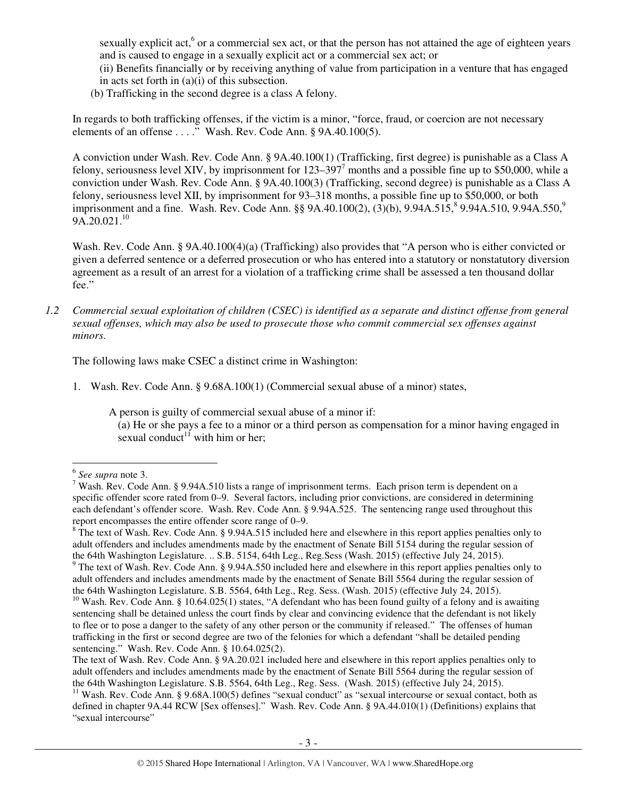sexually explicit act,<sup>6</sup> or a commercial sex act, or that the person has not attained the age of eighteen years and is caused to engage in a sexually explicit act or a commercial sex act; or

(ii) Benefits financially or by receiving anything of value from participation in a venture that has engaged in acts set forth in (a)(i) of this subsection.

(b) Trafficking in the second degree is a class A felony.

In regards to both trafficking offenses, if the victim is a minor, "force, fraud, or coercion are not necessary elements of an offense . . . ." Wash. Rev. Code Ann. § 9A.40.100(5).

A conviction under Wash. Rev. Code Ann. § 9A.40.100(1) (Trafficking, first degree) is punishable as a Class A felony, seriousness level XIV, by imprisonment for  $123-397^7$  months and a possible fine up to \$50,000, while a conviction under Wash. Rev. Code Ann. § 9A.40.100(3) (Trafficking, second degree) is punishable as a Class A felony, seriousness level XII, by imprisonment for 93–318 months, a possible fine up to \$50,000, or both imprisonment and a fine. Wash. Rev. Code Ann. §§ 9A.40.100(2), (3)(b), 9.94A.515,  $9.94A.510$ , 9.94A.550,  $9.94A.550$  $9A.20.021.<sup>10</sup>$ 

Wash. Rev. Code Ann. § 9A.40.100(4)(a) (Trafficking) also provides that "A person who is either convicted or given a deferred sentence or a deferred prosecution or who has entered into a statutory or nonstatutory diversion agreement as a result of an arrest for a violation of a trafficking crime shall be assessed a ten thousand dollar fee."

*1.2 Commercial sexual exploitation of children (CSEC) is identified as a separate and distinct offense from general sexual offenses, which may also be used to prosecute those who commit commercial sex offenses against minors.* 

The following laws make CSEC a distinct crime in Washington:

1. Wash. Rev. Code Ann. § 9.68A.100(1) (Commercial sexual abuse of a minor) states,

A person is guilty of commercial sexual abuse of a minor if:

(a) He or she pays a fee to a minor or a third person as compensation for a minor having engaged in sexual conduct<sup>11</sup> with him or her;

 6 *See supra* note 3.

<sup>&</sup>lt;sup>7</sup> Wash. Rev. Code Ann. § 9.94A.510 lists a range of imprisonment terms. Each prison term is dependent on a specific offender score rated from 0–9. Several factors, including prior convictions, are considered in determining each defendant's offender score. Wash. Rev. Code Ann. § 9.94A.525. The sentencing range used throughout this report encompasses the entire offender score range of 0–9.

 $8$  The text of Wash. Rev. Code Ann. § 9.94A.515 included here and elsewhere in this report applies penalties only to adult offenders and includes amendments made by the enactment of Senate Bill 5154 during the regular session of the 64th Washington Legislature. .. S.B. 5154, 64th Leg., Reg.Sess (Wash. 2015) (effective July 24, 2015).

<sup>&</sup>lt;sup>9</sup> The text of Wash. Rev. Code Ann. § 9.94A.550 included here and elsewhere in this report applies penalties only to adult offenders and includes amendments made by the enactment of Senate Bill 5564 during the regular session of the 64th Washington Legislature. S.B. 5564, 64th Leg., Reg. Sess. (Wash. 2015) (effective July 24, 2015).

<sup>&</sup>lt;sup>10</sup> Wash. Rev. Code Ann. § 10.64.025(1) states, "A defendant who has been found guilty of a felony and is awaiting sentencing shall be detained unless the court finds by clear and convincing evidence that the defendant is not likely to flee or to pose a danger to the safety of any other person or the community if released." The offenses of human trafficking in the first or second degree are two of the felonies for which a defendant "shall be detailed pending sentencing." Wash. Rev. Code Ann. § 10.64.025(2).

The text of Wash. Rev. Code Ann. § 9A.20.021 included here and elsewhere in this report applies penalties only to adult offenders and includes amendments made by the enactment of Senate Bill 5564 during the regular session of the 64th Washington Legislature. S.B. 5564, 64th Leg., Reg. Sess. (Wash. 2015) (effective July 24, 2015).

<sup>&</sup>lt;sup>11</sup> Wash. Rev. Code Ann. § 9.68A.100(5) defines "sexual conduct" as "sexual intercourse or sexual contact, both as defined in chapter 9A.44 RCW [Sex offenses]." Wash. Rev. Code Ann. § 9A.44.010(1) (Definitions) explains that "sexual intercourse"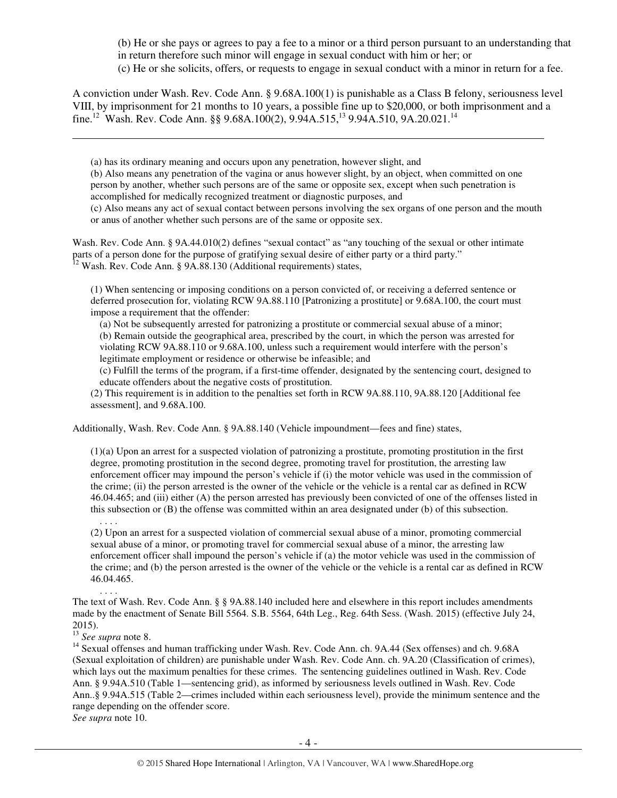(b) He or she pays or agrees to pay a fee to a minor or a third person pursuant to an understanding that in return therefore such minor will engage in sexual conduct with him or her; or (c) He or she solicits, offers, or requests to engage in sexual conduct with a minor in return for a fee.

A conviction under Wash. Rev. Code Ann. § 9.68A.100(1) is punishable as a Class B felony, seriousness level VIII, by imprisonment for 21 months to 10 years, a possible fine up to \$20,000, or both imprisonment and a fine.<sup>12</sup> Wash. Rev. Code Ann. §§ 9.68A.100(2), 9.94A.515,<sup>13</sup> 9.94A.510, 9A.20.021.<sup>14</sup>

(a) has its ordinary meaning and occurs upon any penetration, however slight, and

(b) Also means any penetration of the vagina or anus however slight, by an object, when committed on one person by another, whether such persons are of the same or opposite sex, except when such penetration is accomplished for medically recognized treatment or diagnostic purposes, and

(c) Also means any act of sexual contact between persons involving the sex organs of one person and the mouth or anus of another whether such persons are of the same or opposite sex.

Wash. Rev. Code Ann. § 9A.44.010(2) defines "sexual contact" as "any touching of the sexual or other intimate parts of a person done for the purpose of gratifying sexual desire of either party or a third party."  $12$  Wash. Rev. Code Ann. § 9A.88.130 (Additional requirements) states,

(1) When sentencing or imposing conditions on a person convicted of, or receiving a deferred sentence or deferred prosecution for, violating RCW 9A.88.110 [Patronizing a prostitute] or 9.68A.100, the court must impose a requirement that the offender:

(a) Not be subsequently arrested for patronizing a prostitute or commercial sexual abuse of a minor; (b) Remain outside the geographical area, prescribed by the court, in which the person was arrested for violating RCW 9A.88.110 or 9.68A.100, unless such a requirement would interfere with the person's legitimate employment or residence or otherwise be infeasible; and

(c) Fulfill the terms of the program, if a first-time offender, designated by the sentencing court, designed to educate offenders about the negative costs of prostitution.

(2) This requirement is in addition to the penalties set forth in RCW 9A.88.110, 9A.88.120 [Additional fee assessment], and 9.68A.100.

Additionally, Wash. Rev. Code Ann. § 9A.88.140 (Vehicle impoundment—fees and fine) states,

(1)(a) Upon an arrest for a suspected violation of patronizing a prostitute, promoting prostitution in the first degree, promoting prostitution in the second degree, promoting travel for prostitution, the arresting law enforcement officer may impound the person's vehicle if (i) the motor vehicle was used in the commission of the crime; (ii) the person arrested is the owner of the vehicle or the vehicle is a rental car as defined in RCW 46.04.465; and (iii) either (A) the person arrested has previously been convicted of one of the offenses listed in this subsection or (B) the offense was committed within an area designated under (b) of this subsection.

. . . . (2) Upon an arrest for a suspected violation of commercial sexual abuse of a minor, promoting commercial sexual abuse of a minor, or promoting travel for commercial sexual abuse of a minor, the arresting law enforcement officer shall impound the person's vehicle if (a) the motor vehicle was used in the commission of the crime; and (b) the person arrested is the owner of the vehicle or the vehicle is a rental car as defined in RCW 46.04.465.

. . . . The text of Wash. Rev. Code Ann. § § 9A.88.140 included here and elsewhere in this report includes amendments made by the enactment of Senate Bill 5564. S.B. 5564, 64th Leg., Reg. 64th Sess. (Wash. 2015) (effective July 24, 2015).

<sup>13</sup> *See supra* note 8.

 $\overline{a}$ 

<sup>14</sup> Sexual offenses and human trafficking under Wash. Rev. Code Ann. ch. 9A.44 (Sex offenses) and ch. 9.68A (Sexual exploitation of children) are punishable under Wash. Rev. Code Ann. ch. 9A.20 (Classification of crimes), which lays out the maximum penalties for these crimes. The sentencing guidelines outlined in Wash. Rev. Code Ann. § 9.94A.510 (Table 1—sentencing grid), as informed by seriousness levels outlined in Wash. Rev. Code Ann..§ 9.94A.515 (Table 2—crimes included within each seriousness level), provide the minimum sentence and the range depending on the offender score.

*See supra* note 10.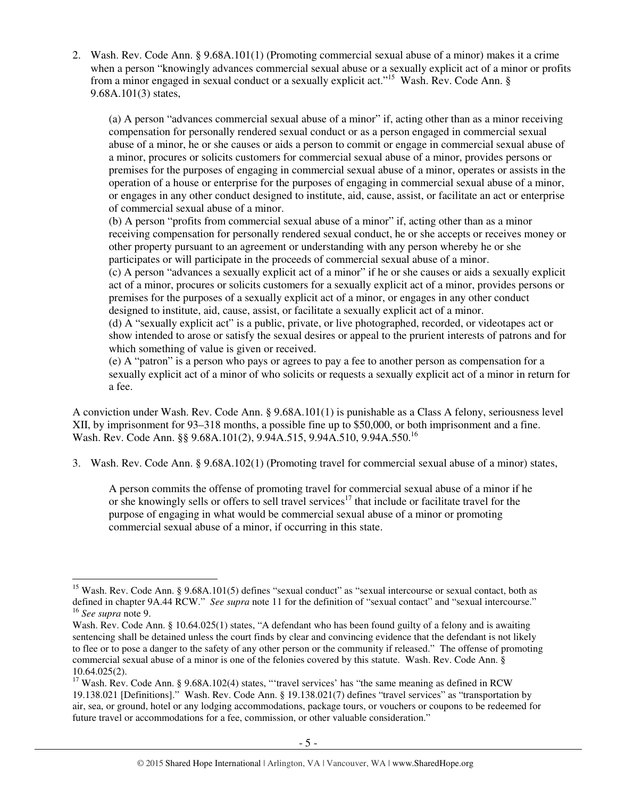2. Wash. Rev. Code Ann. § 9.68A.101(1) (Promoting commercial sexual abuse of a minor) makes it a crime when a person "knowingly advances commercial sexual abuse or a sexually explicit act of a minor or profits from a minor engaged in sexual conduct or a sexually explicit act."<sup>15</sup> Wash. Rev. Code Ann. § 9.68A.101(3) states,

(a) A person "advances commercial sexual abuse of a minor" if, acting other than as a minor receiving compensation for personally rendered sexual conduct or as a person engaged in commercial sexual abuse of a minor, he or she causes or aids a person to commit or engage in commercial sexual abuse of a minor, procures or solicits customers for commercial sexual abuse of a minor, provides persons or premises for the purposes of engaging in commercial sexual abuse of a minor, operates or assists in the operation of a house or enterprise for the purposes of engaging in commercial sexual abuse of a minor, or engages in any other conduct designed to institute, aid, cause, assist, or facilitate an act or enterprise of commercial sexual abuse of a minor.

(b) A person "profits from commercial sexual abuse of a minor" if, acting other than as a minor receiving compensation for personally rendered sexual conduct, he or she accepts or receives money or other property pursuant to an agreement or understanding with any person whereby he or she participates or will participate in the proceeds of commercial sexual abuse of a minor.

(c) A person "advances a sexually explicit act of a minor" if he or she causes or aids a sexually explicit act of a minor, procures or solicits customers for a sexually explicit act of a minor, provides persons or premises for the purposes of a sexually explicit act of a minor, or engages in any other conduct designed to institute, aid, cause, assist, or facilitate a sexually explicit act of a minor.

(d) A "sexually explicit act" is a public, private, or live photographed, recorded, or videotapes act or show intended to arose or satisfy the sexual desires or appeal to the prurient interests of patrons and for which something of value is given or received.

(e) A "patron" is a person who pays or agrees to pay a fee to another person as compensation for a sexually explicit act of a minor of who solicits or requests a sexually explicit act of a minor in return for a fee.

A conviction under Wash. Rev. Code Ann. § 9.68A.101(1) is punishable as a Class A felony, seriousness level XII, by imprisonment for 93–318 months, a possible fine up to \$50,000, or both imprisonment and a fine. Wash. Rev. Code Ann. §§ 9.68A.101(2), 9.94A.515, 9.94A.510, 9.94A.550.<sup>16</sup>

3. Wash. Rev. Code Ann. § 9.68A.102(1) (Promoting travel for commercial sexual abuse of a minor) states,

A person commits the offense of promoting travel for commercial sexual abuse of a minor if he or she knowingly sells or offers to sell travel services<sup>17</sup> that include or facilitate travel for the purpose of engaging in what would be commercial sexual abuse of a minor or promoting commercial sexual abuse of a minor, if occurring in this state.

 $\overline{a}$ <sup>15</sup> Wash. Rev. Code Ann. § 9.68A.101(5) defines "sexual conduct" as "sexual intercourse or sexual contact, both as defined in chapter 9A.44 RCW." *See supra* note 11 for the definition of "sexual contact" and "sexual intercourse." <sup>16</sup> *See supra* note 9.

Wash. Rev. Code Ann. § 10.64.025(1) states, "A defendant who has been found guilty of a felony and is awaiting sentencing shall be detained unless the court finds by clear and convincing evidence that the defendant is not likely to flee or to pose a danger to the safety of any other person or the community if released." The offense of promoting commercial sexual abuse of a minor is one of the felonies covered by this statute. Wash. Rev. Code Ann. § 10.64.025(2).

<sup>&</sup>lt;sup>17</sup> Wash. Rev. Code Ann. § 9.68A.102(4) states, "travel services' has "the same meaning as defined in RCW 19.138.021 [Definitions]." Wash. Rev. Code Ann. § 19.138.021(7) defines "travel services" as "transportation by air, sea, or ground, hotel or any lodging accommodations, package tours, or vouchers or coupons to be redeemed for future travel or accommodations for a fee, commission, or other valuable consideration."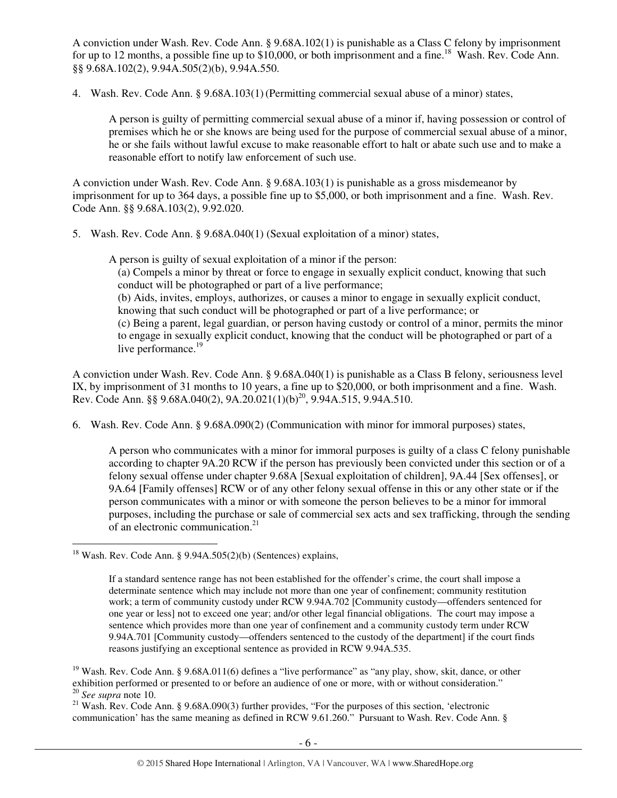A conviction under Wash. Rev. Code Ann. § 9.68A.102(1) is punishable as a Class C felony by imprisonment for up to 12 months, a possible fine up to \$10,000, or both imprisonment and a fine.<sup>18</sup> Wash. Rev. Code Ann. §§ 9.68A.102(2), 9.94A.505(2)(b), 9.94A.550.

4. Wash. Rev. Code Ann. § 9.68A.103(1)(Permitting commercial sexual abuse of a minor) states,

A person is guilty of permitting commercial sexual abuse of a minor if, having possession or control of premises which he or she knows are being used for the purpose of commercial sexual abuse of a minor, he or she fails without lawful excuse to make reasonable effort to halt or abate such use and to make a reasonable effort to notify law enforcement of such use.

A conviction under Wash. Rev. Code Ann. § 9.68A.103(1) is punishable as a gross misdemeanor by imprisonment for up to 364 days, a possible fine up to \$5,000, or both imprisonment and a fine. Wash. Rev. Code Ann. §§ 9.68A.103(2), 9.92.020.

5. Wash. Rev. Code Ann. § 9.68A.040(1) (Sexual exploitation of a minor) states,

A person is guilty of sexual exploitation of a minor if the person:

(a) Compels a minor by threat or force to engage in sexually explicit conduct, knowing that such conduct will be photographed or part of a live performance;

(b) Aids, invites, employs, authorizes, or causes a minor to engage in sexually explicit conduct, knowing that such conduct will be photographed or part of a live performance; or

(c) Being a parent, legal guardian, or person having custody or control of a minor, permits the minor to engage in sexually explicit conduct, knowing that the conduct will be photographed or part of a live performance.<sup>19</sup>

A conviction under Wash. Rev. Code Ann. § 9.68A.040(1) is punishable as a Class B felony, seriousness level IX, by imprisonment of 31 months to 10 years, a fine up to \$20,000, or both imprisonment and a fine. Wash. Rev. Code Ann. §§ 9.68A.040(2), 9A.20.021(1)(b)<sup>20</sup>, 9.94A.515, 9.94A.510.

6. Wash. Rev. Code Ann. § 9.68A.090(2) (Communication with minor for immoral purposes) states,

A person who communicates with a minor for immoral purposes is guilty of a class C felony punishable according to chapter 9A.20 RCW if the person has previously been convicted under this section or of a felony sexual offense under chapter 9.68A [Sexual exploitation of children], 9A.44 [Sex offenses], or 9A.64 [Family offenses] RCW or of any other felony sexual offense in this or any other state or if the person communicates with a minor or with someone the person believes to be a minor for immoral purposes, including the purchase or sale of commercial sex acts and sex trafficking, through the sending of an electronic communication.<sup>21</sup>

<sup>&</sup>lt;sup>18</sup> Wash. Rev. Code Ann. § 9.94A.505(2)(b) (Sentences) explains,

If a standard sentence range has not been established for the offender's crime, the court shall impose a determinate sentence which may include not more than one year of confinement; community restitution work; a term of community custody under RCW 9.94A.702 [Community custody—offenders sentenced for one year or less] not to exceed one year; and/or other legal financial obligations. The court may impose a sentence which provides more than one year of confinement and a community custody term under RCW 9.94A.701 [Community custody—offenders sentenced to the custody of the department] if the court finds reasons justifying an exceptional sentence as provided in RCW 9.94A.535.

<sup>&</sup>lt;sup>19</sup> Wash. Rev. Code Ann. § 9.68A.011(6) defines a "live performance" as "any play, show, skit, dance, or other exhibition performed or presented to or before an audience of one or more, with or without consideration." <sup>20</sup> *See supra* note 10.

<sup>&</sup>lt;sup>21</sup> Wash. Rev. Code Ann. § 9.68A.090(3) further provides, "For the purposes of this section, 'electronic communication' has the same meaning as defined in RCW 9.61.260." Pursuant to Wash. Rev. Code Ann. §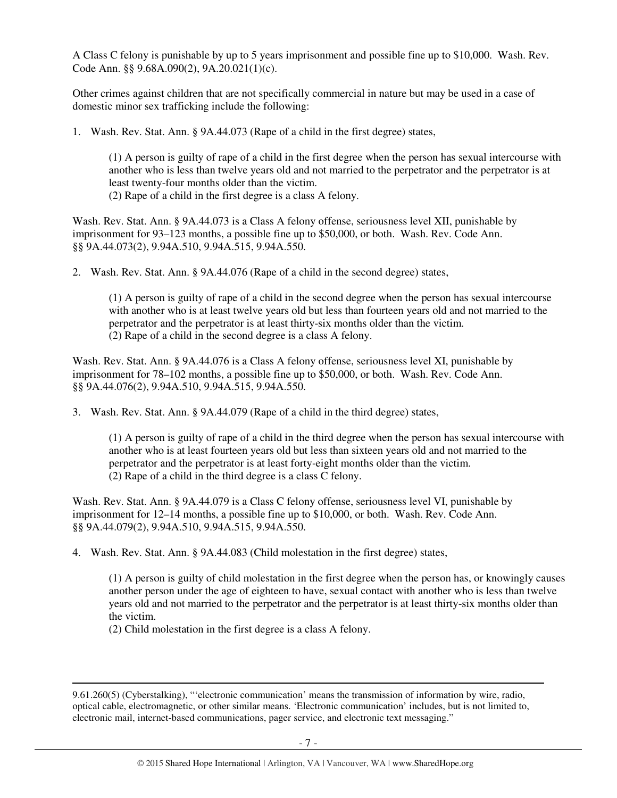A Class C felony is punishable by up to 5 years imprisonment and possible fine up to \$10,000. Wash. Rev. Code Ann. §§ 9.68A.090(2), 9A.20.021(1)(c).

Other crimes against children that are not specifically commercial in nature but may be used in a case of domestic minor sex trafficking include the following:

1. Wash. Rev. Stat. Ann. § 9A.44.073 (Rape of a child in the first degree) states,

(1) A person is guilty of rape of a child in the first degree when the person has sexual intercourse with another who is less than twelve years old and not married to the perpetrator and the perpetrator is at least twenty-four months older than the victim.

(2) Rape of a child in the first degree is a class A felony.

Wash. Rev. Stat. Ann. § 9A.44.073 is a Class A felony offense, seriousness level XII, punishable by imprisonment for 93–123 months, a possible fine up to \$50,000, or both. Wash. Rev. Code Ann. §§ 9A.44.073(2), 9.94A.510, 9.94A.515, 9.94A.550.

2. Wash. Rev. Stat. Ann. § 9A.44.076 (Rape of a child in the second degree) states,

(1) A person is guilty of rape of a child in the second degree when the person has sexual intercourse with another who is at least twelve years old but less than fourteen years old and not married to the perpetrator and the perpetrator is at least thirty-six months older than the victim. (2) Rape of a child in the second degree is a class A felony.

Wash. Rev. Stat. Ann. § 9A.44.076 is a Class A felony offense, seriousness level XI, punishable by imprisonment for 78–102 months, a possible fine up to \$50,000, or both. Wash. Rev. Code Ann. §§ 9A.44.076(2), 9.94A.510, 9.94A.515, 9.94A.550.

3. Wash. Rev. Stat. Ann. § 9A.44.079 (Rape of a child in the third degree) states,

(1) A person is guilty of rape of a child in the third degree when the person has sexual intercourse with another who is at least fourteen years old but less than sixteen years old and not married to the perpetrator and the perpetrator is at least forty-eight months older than the victim. (2) Rape of a child in the third degree is a class C felony.

Wash. Rev. Stat. Ann. § 9A.44.079 is a Class C felony offense, seriousness level VI, punishable by imprisonment for 12–14 months, a possible fine up to \$10,000, or both. Wash. Rev. Code Ann. §§ 9A.44.079(2), 9.94A.510, 9.94A.515, 9.94A.550.

4. Wash. Rev. Stat. Ann. § 9A.44.083 (Child molestation in the first degree) states,

(1) A person is guilty of child molestation in the first degree when the person has, or knowingly causes another person under the age of eighteen to have, sexual contact with another who is less than twelve years old and not married to the perpetrator and the perpetrator is at least thirty-six months older than the victim.

(2) Child molestation in the first degree is a class A felony.

<sup>9.61.260(5) (</sup>Cyberstalking), "'electronic communication' means the transmission of information by wire, radio, optical cable, electromagnetic, or other similar means. 'Electronic communication' includes, but is not limited to, electronic mail, internet-based communications, pager service, and electronic text messaging."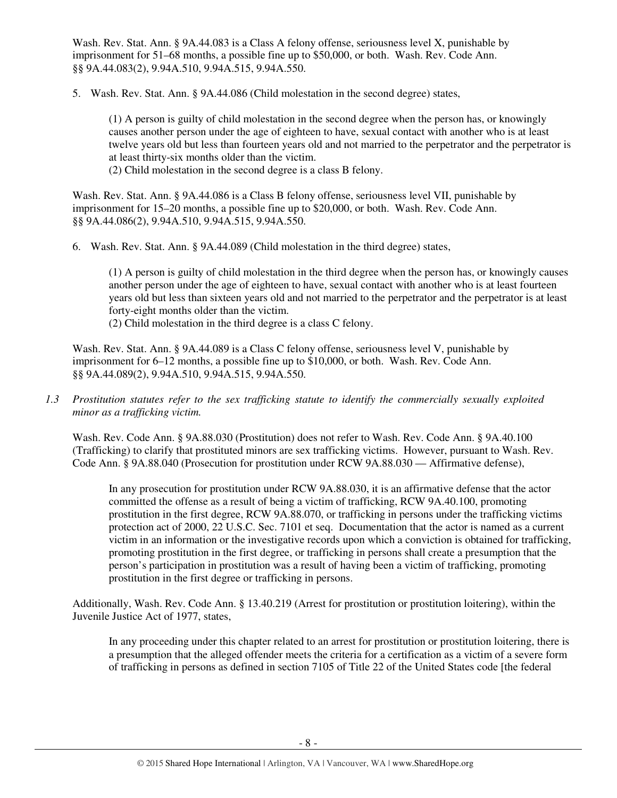Wash. Rev. Stat. Ann. § 9A.44.083 is a Class A felony offense, seriousness level X, punishable by imprisonment for 51–68 months, a possible fine up to \$50,000, or both. Wash. Rev. Code Ann. §§ 9A.44.083(2), 9.94A.510, 9.94A.515, 9.94A.550.

5. Wash. Rev. Stat. Ann. § 9A.44.086 (Child molestation in the second degree) states,

(1) A person is guilty of child molestation in the second degree when the person has, or knowingly causes another person under the age of eighteen to have, sexual contact with another who is at least twelve years old but less than fourteen years old and not married to the perpetrator and the perpetrator is at least thirty-six months older than the victim.

(2) Child molestation in the second degree is a class B felony.

Wash. Rev. Stat. Ann. § 9A.44.086 is a Class B felony offense, seriousness level VII, punishable by imprisonment for 15–20 months, a possible fine up to \$20,000, or both. Wash. Rev. Code Ann. §§ 9A.44.086(2), 9.94A.510, 9.94A.515, 9.94A.550.

6. Wash. Rev. Stat. Ann. § 9A.44.089 (Child molestation in the third degree) states,

(1) A person is guilty of child molestation in the third degree when the person has, or knowingly causes another person under the age of eighteen to have, sexual contact with another who is at least fourteen years old but less than sixteen years old and not married to the perpetrator and the perpetrator is at least forty-eight months older than the victim.

(2) Child molestation in the third degree is a class C felony.

Wash. Rev. Stat. Ann. § 9A.44.089 is a Class C felony offense, seriousness level V, punishable by imprisonment for 6–12 months, a possible fine up to \$10,000, or both. Wash. Rev. Code Ann. §§ 9A.44.089(2), 9.94A.510, 9.94A.515, 9.94A.550.

*1.3 Prostitution statutes refer to the sex trafficking statute to identify the commercially sexually exploited minor as a trafficking victim.* 

Wash. Rev. Code Ann. § 9A.88.030 (Prostitution) does not refer to Wash. Rev. Code Ann. § 9A.40.100 (Trafficking) to clarify that prostituted minors are sex trafficking victims. However, pursuant to Wash. Rev. Code Ann. § 9A.88.040 (Prosecution for prostitution under RCW 9A.88.030 — Affirmative defense),

In any prosecution for prostitution under RCW 9A.88.030, it is an affirmative defense that the actor committed the offense as a result of being a victim of trafficking, RCW 9A.40.100, promoting prostitution in the first degree, RCW 9A.88.070, or trafficking in persons under the trafficking victims protection act of 2000, 22 U.S.C. Sec. 7101 et seq. Documentation that the actor is named as a current victim in an information or the investigative records upon which a conviction is obtained for trafficking, promoting prostitution in the first degree, or trafficking in persons shall create a presumption that the person's participation in prostitution was a result of having been a victim of trafficking, promoting prostitution in the first degree or trafficking in persons.

Additionally, Wash. Rev. Code Ann. § 13.40.219 (Arrest for prostitution or prostitution loitering), within the Juvenile Justice Act of 1977, states,

In any proceeding under this chapter related to an arrest for prostitution or prostitution loitering, there is a presumption that the alleged offender meets the criteria for a certification as a victim of a severe form of trafficking in persons as defined in section 7105 of Title 22 of the United States code [the federal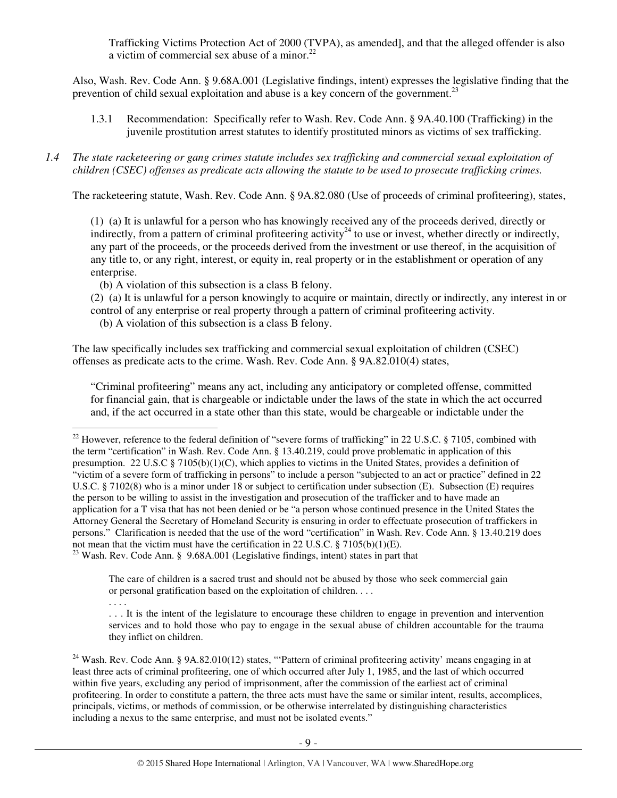Trafficking Victims Protection Act of 2000 (TVPA), as amended], and that the alleged offender is also a victim of commercial sex abuse of a minor. $^{22}$ 

Also, Wash. Rev. Code Ann. § 9.68A.001 (Legislative findings, intent) expresses the legislative finding that the prevention of child sexual exploitation and abuse is a key concern of the government.<sup>23</sup>

1.3.1 Recommendation: Specifically refer to Wash. Rev. Code Ann. § 9A.40.100 (Trafficking) in the juvenile prostitution arrest statutes to identify prostituted minors as victims of sex trafficking.

#### *1.4 The state racketeering or gang crimes statute includes sex trafficking and commercial sexual exploitation of children (CSEC) offenses as predicate acts allowing the statute to be used to prosecute trafficking crimes.*

The racketeering statute, Wash. Rev. Code Ann. § 9A.82.080 (Use of proceeds of criminal profiteering), states,

(1) (a) It is unlawful for a person who has knowingly received any of the proceeds derived, directly or indirectly, from a pattern of criminal profiteering activity<sup>24</sup> to use or invest, whether directly or indirectly, any part of the proceeds, or the proceeds derived from the investment or use thereof, in the acquisition of any title to, or any right, interest, or equity in, real property or in the establishment or operation of any enterprise.

(b) A violation of this subsection is a class B felony.

(2) (a) It is unlawful for a person knowingly to acquire or maintain, directly or indirectly, any interest in or control of any enterprise or real property through a pattern of criminal profiteering activity.

(b) A violation of this subsection is a class B felony.

The law specifically includes sex trafficking and commercial sexual exploitation of children (CSEC) offenses as predicate acts to the crime. Wash. Rev. Code Ann. § 9A.82.010(4) states,

"Criminal profiteering" means any act, including any anticipatory or completed offense, committed for financial gain, that is chargeable or indictable under the laws of the state in which the act occurred and, if the act occurred in a state other than this state, would be chargeable or indictable under the

<sup>23</sup> Wash. Rev. Code Ann. § 9.68A.001 (Legislative findings, intent) states in part that

The care of children is a sacred trust and should not be abused by those who seek commercial gain or personal gratification based on the exploitation of children. . . .

. . . .

<sup>&</sup>lt;sup>22</sup> However, reference to the federal definition of "severe forms of trafficking" in 22 U.S.C. § 7105, combined with the term "certification" in Wash. Rev. Code Ann. § 13.40.219, could prove problematic in application of this presumption. 22 U.S.C § 7105(b)(1)(C), which applies to victims in the United States, provides a definition of "victim of a severe form of trafficking in persons" to include a person "subjected to an act or practice" defined in 22 U.S.C. § 7102(8) who is a minor under 18 or subject to certification under subsection (E). Subsection (E) requires the person to be willing to assist in the investigation and prosecution of the trafficker and to have made an application for a T visa that has not been denied or be "a person whose continued presence in the United States the Attorney General the Secretary of Homeland Security is ensuring in order to effectuate prosecution of traffickers in persons." Clarification is needed that the use of the word "certification" in Wash. Rev. Code Ann. § 13.40.219 does not mean that the victim must have the certification in 22 U.S.C. § 7105(b)(1)(E).

<sup>. . .</sup> It is the intent of the legislature to encourage these children to engage in prevention and intervention services and to hold those who pay to engage in the sexual abuse of children accountable for the trauma they inflict on children.

 $24$  Wash. Rev. Code Ann. § 9A.82.010(12) states, "Pattern of criminal profiteering activity' means engaging in at least three acts of criminal profiteering, one of which occurred after July 1, 1985, and the last of which occurred within five years, excluding any period of imprisonment, after the commission of the earliest act of criminal profiteering. In order to constitute a pattern, the three acts must have the same or similar intent, results, accomplices, principals, victims, or methods of commission, or be otherwise interrelated by distinguishing characteristics including a nexus to the same enterprise, and must not be isolated events."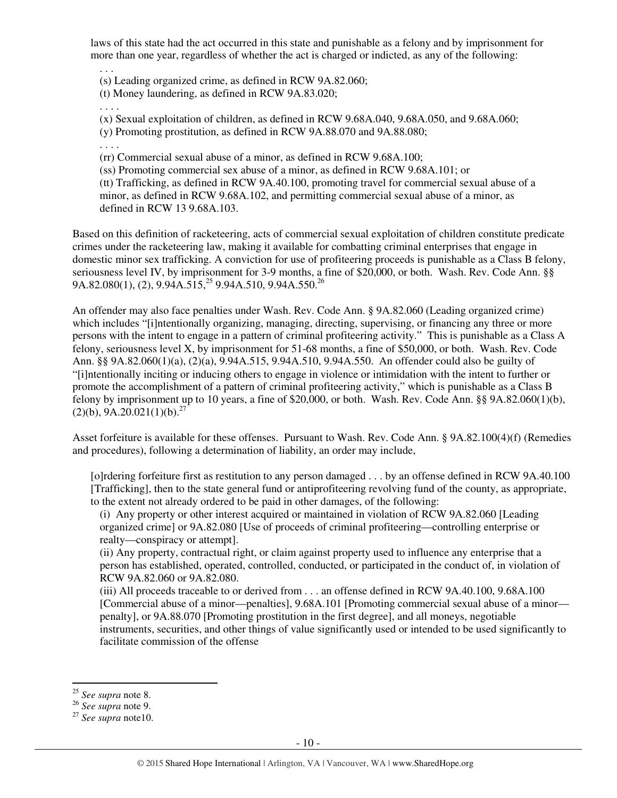laws of this state had the act occurred in this state and punishable as a felony and by imprisonment for more than one year, regardless of whether the act is charged or indicted, as any of the following:

(s) Leading organized crime, as defined in RCW 9A.82.060;

(t) Money laundering, as defined in RCW 9A.83.020;

. . . .

. . .

(x) Sexual exploitation of children, as defined in RCW 9.68A.040, 9.68A.050, and 9.68A.060;

(y) Promoting prostitution, as defined in RCW 9A.88.070 and 9A.88.080;

. . . .

(rr) Commercial sexual abuse of a minor, as defined in RCW 9.68A.100;

(ss) Promoting commercial sex abuse of a minor, as defined in RCW 9.68A.101; or

(tt) Trafficking, as defined in RCW 9A.40.100, promoting travel for commercial sexual abuse of a minor, as defined in RCW 9.68A.102, and permitting commercial sexual abuse of a minor, as defined in RCW 13 9.68A.103.

Based on this definition of racketeering, acts of commercial sexual exploitation of children constitute predicate crimes under the racketeering law, making it available for combatting criminal enterprises that engage in domestic minor sex trafficking. A conviction for use of profiteering proceeds is punishable as a Class B felony, seriousness level IV, by imprisonment for 3-9 months, a fine of \$20,000, or both. Wash. Rev. Code Ann. §§ 9A.82.080(1), (2),  $9.94A.515^{25}$  9.94A.510, 9.94A.550.<sup>26</sup>

An offender may also face penalties under Wash. Rev. Code Ann. § 9A.82.060 (Leading organized crime) which includes "[i]ntentionally organizing, managing, directing, supervising, or financing any three or more persons with the intent to engage in a pattern of criminal profiteering activity." This is punishable as a Class A felony, seriousness level X, by imprisonment for 51-68 months, a fine of \$50,000, or both. Wash. Rev. Code Ann. §§ 9A.82.060(1)(a), (2)(a), 9.94A.515, 9.94A.510, 9.94A.550. An offender could also be guilty of "[i]ntentionally inciting or inducing others to engage in violence or intimidation with the intent to further or promote the accomplishment of a pattern of criminal profiteering activity," which is punishable as a Class B felony by imprisonment up to 10 years, a fine of \$20,000, or both. Wash. Rev. Code Ann. §§ 9A.82.060(1)(b),  $(2)(b)$ , 9A.20.021(1)(b).<sup>27</sup>

Asset forfeiture is available for these offenses. Pursuant to Wash. Rev. Code Ann. § 9A.82.100(4)(f) (Remedies and procedures), following a determination of liability, an order may include,

[o]rdering forfeiture first as restitution to any person damaged . . . by an offense defined in RCW 9A.40.100 [Trafficking], then to the state general fund or antiprofiteering revolving fund of the county, as appropriate, to the extent not already ordered to be paid in other damages, of the following:

(i) Any property or other interest acquired or maintained in violation of RCW 9A.82.060 [Leading organized crime] or 9A.82.080 [Use of proceeds of criminal profiteering—controlling enterprise or realty—conspiracy or attempt].

(ii) Any property, contractual right, or claim against property used to influence any enterprise that a person has established, operated, controlled, conducted, or participated in the conduct of, in violation of RCW 9A.82.060 or 9A.82.080.

(iii) All proceeds traceable to or derived from . . . an offense defined in RCW 9A.40.100, 9.68A.100 [Commercial abuse of a minor—penalties], 9.68A.101 [Promoting commercial sexual abuse of a minor penalty], or 9A.88.070 [Promoting prostitution in the first degree], and all moneys, negotiable instruments, securities, and other things of value significantly used or intended to be used significantly to facilitate commission of the offense

<sup>25</sup> *See supra* note 8.

<sup>26</sup> *See supra* note 9.

<sup>27</sup> *See supra* note10.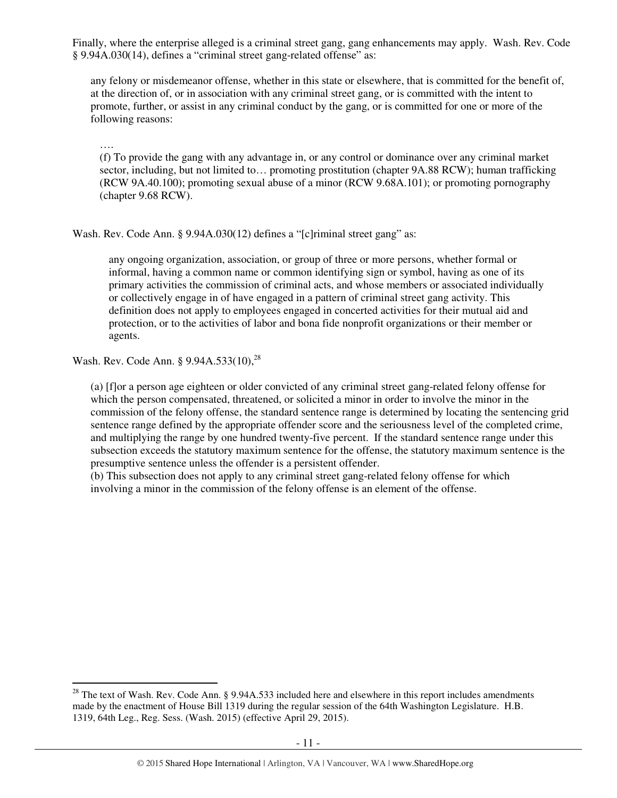Finally, where the enterprise alleged is a criminal street gang, gang enhancements may apply. Wash. Rev. Code § 9.94A.030(14), defines a "criminal street gang-related offense" as:

any felony or misdemeanor offense, whether in this state or elsewhere, that is committed for the benefit of, at the direction of, or in association with any criminal street gang, or is committed with the intent to promote, further, or assist in any criminal conduct by the gang, or is committed for one or more of the following reasons:

…. (f) To provide the gang with any advantage in, or any control or dominance over any criminal market sector, including, but not limited to... promoting prostitution (chapter 9A.88 RCW); human trafficking (RCW 9A.40.100); promoting sexual abuse of a minor (RCW 9.68A.101); or promoting pornography (chapter 9.68 RCW).

Wash. Rev. Code Ann. § 9.94A.030(12) defines a "[c]riminal street gang" as:

any ongoing organization, association, or group of three or more persons, whether formal or informal, having a common name or common identifying sign or symbol, having as one of its primary activities the commission of criminal acts, and whose members or associated individually or collectively engage in of have engaged in a pattern of criminal street gang activity. This definition does not apply to employees engaged in concerted activities for their mutual aid and protection, or to the activities of labor and bona fide nonprofit organizations or their member or agents.

Wash. Rev. Code Ann. § 9.94A.533(10),<sup>28</sup>

 $\overline{a}$ 

(a) [f]or a person age eighteen or older convicted of any criminal street gang-related felony offense for which the person compensated, threatened, or solicited a minor in order to involve the minor in the commission of the felony offense, the standard sentence range is determined by locating the sentencing grid sentence range defined by the appropriate offender score and the seriousness level of the completed crime, and multiplying the range by one hundred twenty-five percent. If the standard sentence range under this subsection exceeds the statutory maximum sentence for the offense, the statutory maximum sentence is the presumptive sentence unless the offender is a persistent offender.

(b) This subsection does not apply to any criminal street gang-related felony offense for which involving a minor in the commission of the felony offense is an element of the offense.

 $28$  The text of Wash. Rev. Code Ann. § 9.94A.533 included here and elsewhere in this report includes amendments made by the enactment of House Bill 1319 during the regular session of the 64th Washington Legislature. H.B. 1319, 64th Leg., Reg. Sess. (Wash. 2015) (effective April 29, 2015).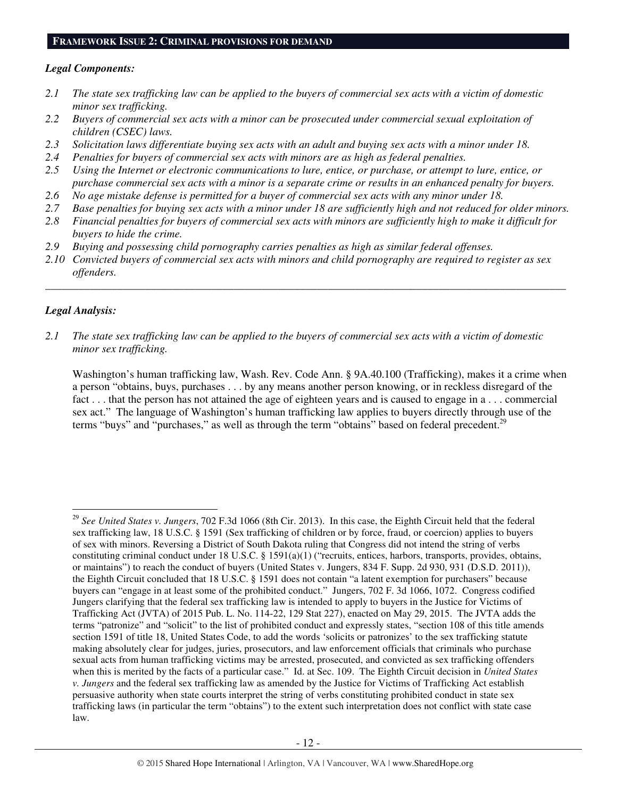## **FRAMEWORK ISSUE 2: CRIMINAL PROVISIONS FOR DEMAND**

#### *Legal Components:*

- *2.1 The state sex trafficking law can be applied to the buyers of commercial sex acts with a victim of domestic minor sex trafficking.*
- *2.2 Buyers of commercial sex acts with a minor can be prosecuted under commercial sexual exploitation of children (CSEC) laws.*
- *2.3 Solicitation laws differentiate buying sex acts with an adult and buying sex acts with a minor under 18.*
- *2.4 Penalties for buyers of commercial sex acts with minors are as high as federal penalties.*
- *2.5 Using the Internet or electronic communications to lure, entice, or purchase, or attempt to lure, entice, or purchase commercial sex acts with a minor is a separate crime or results in an enhanced penalty for buyers.*
- *2.6 No age mistake defense is permitted for a buyer of commercial sex acts with any minor under 18.*
- *2.7 Base penalties for buying sex acts with a minor under 18 are sufficiently high and not reduced for older minors.*
- *2.8 Financial penalties for buyers of commercial sex acts with minors are sufficiently high to make it difficult for buyers to hide the crime.*
- *2.9 Buying and possessing child pornography carries penalties as high as similar federal offenses.*
- *2.10 Convicted buyers of commercial sex acts with minors and child pornography are required to register as sex offenders.*

\_\_\_\_\_\_\_\_\_\_\_\_\_\_\_\_\_\_\_\_\_\_\_\_\_\_\_\_\_\_\_\_\_\_\_\_\_\_\_\_\_\_\_\_\_\_\_\_\_\_\_\_\_\_\_\_\_\_\_\_\_\_\_\_\_\_\_\_\_\_\_\_\_\_\_\_\_\_\_\_\_\_\_\_\_\_\_\_\_\_\_\_\_\_

#### *Legal Analysis:*

 $\overline{a}$ 

*2.1 The state sex trafficking law can be applied to the buyers of commercial sex acts with a victim of domestic minor sex trafficking.* 

Washington's human trafficking law, Wash. Rev. Code Ann. § 9A.40.100 (Trafficking), makes it a crime when a person "obtains, buys, purchases . . . by any means another person knowing, or in reckless disregard of the fact . . . that the person has not attained the age of eighteen years and is caused to engage in a . . . commercial sex act." The language of Washington's human trafficking law applies to buyers directly through use of the terms "buys" and "purchases," as well as through the term "obtains" based on federal precedent.<sup>29</sup>

<sup>29</sup> *See United States v. Jungers*, 702 F.3d 1066 (8th Cir. 2013). In this case, the Eighth Circuit held that the federal sex trafficking law, 18 U.S.C. § 1591 (Sex trafficking of children or by force, fraud, or coercion) applies to buyers of sex with minors. Reversing a District of South Dakota ruling that Congress did not intend the string of verbs constituting criminal conduct under 18 U.S.C. § 1591(a)(1) ("recruits, entices, harbors, transports, provides, obtains, or maintains") to reach the conduct of buyers (United States v. Jungers, 834 F. Supp. 2d 930, 931 (D.S.D. 2011)), the Eighth Circuit concluded that 18 U.S.C. § 1591 does not contain "a latent exemption for purchasers" because buyers can "engage in at least some of the prohibited conduct." Jungers, 702 F. 3d 1066, 1072. Congress codified Jungers clarifying that the federal sex trafficking law is intended to apply to buyers in the Justice for Victims of Trafficking Act (JVTA) of 2015 Pub. L. No. 114-22, 129 Stat 227), enacted on May 29, 2015. The JVTA adds the terms "patronize" and "solicit" to the list of prohibited conduct and expressly states, "section 108 of this title amends section 1591 of title 18, United States Code, to add the words 'solicits or patronizes' to the sex trafficking statute making absolutely clear for judges, juries, prosecutors, and law enforcement officials that criminals who purchase sexual acts from human trafficking victims may be arrested, prosecuted, and convicted as sex trafficking offenders when this is merited by the facts of a particular case." Id. at Sec. 109. The Eighth Circuit decision in *United States v. Jungers* and the federal sex trafficking law as amended by the Justice for Victims of Trafficking Act establish persuasive authority when state courts interpret the string of verbs constituting prohibited conduct in state sex trafficking laws (in particular the term "obtains") to the extent such interpretation does not conflict with state case law.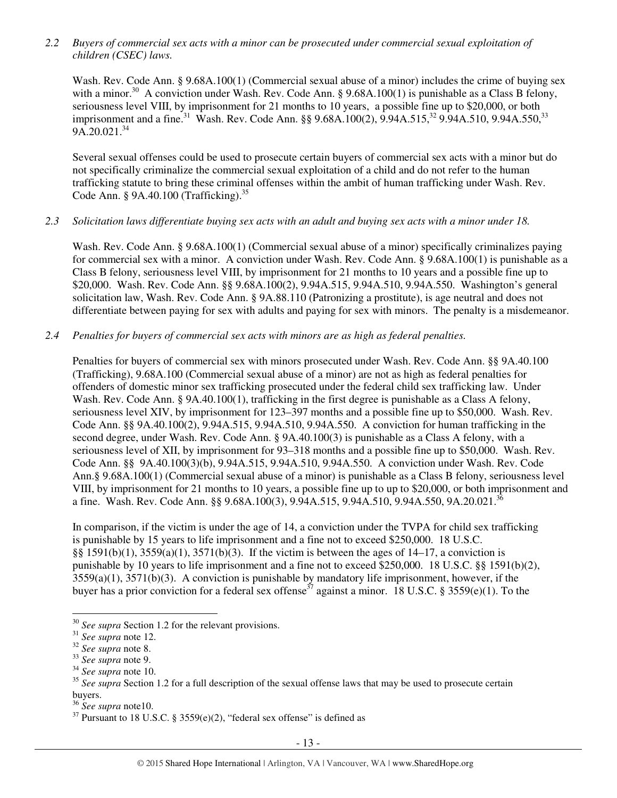*2.2 Buyers of commercial sex acts with a minor can be prosecuted under commercial sexual exploitation of children (CSEC) laws.* 

Wash. Rev. Code Ann. § 9.68A.100(1) (Commercial sexual abuse of a minor) includes the crime of buying sex with a minor.<sup>30</sup> A conviction under Wash. Rev. Code Ann. § 9.68A.100(1) is punishable as a Class B felony, seriousness level VIII, by imprisonment for 21 months to 10 years, a possible fine up to \$20,000, or both imprisonment and a fine.<sup>31</sup> Wash. Rev. Code Ann. §§ 9.68A.100(2), 9.94A.515,<sup>32</sup> 9.94A.510, 9.94A.550,<sup>33</sup>  $9A.20.021.<sup>34</sup>$ 

Several sexual offenses could be used to prosecute certain buyers of commercial sex acts with a minor but do not specifically criminalize the commercial sexual exploitation of a child and do not refer to the human trafficking statute to bring these criminal offenses within the ambit of human trafficking under Wash. Rev. Code Ann. § 9A.40.100 (Trafficking).<sup>35</sup>

#### *2.3 Solicitation laws differentiate buying sex acts with an adult and buying sex acts with a minor under 18.*

Wash. Rev. Code Ann. § 9.68A.100(1) (Commercial sexual abuse of a minor) specifically criminalizes paying for commercial sex with a minor. A conviction under Wash. Rev. Code Ann. § 9.68A.100(1) is punishable as a Class B felony, seriousness level VIII, by imprisonment for 21 months to 10 years and a possible fine up to \$20,000. Wash. Rev. Code Ann. §§ 9.68A.100(2), 9.94A.515, 9.94A.510, 9.94A.550. Washington's general solicitation law, Wash. Rev. Code Ann. § 9A.88.110 (Patronizing a prostitute), is age neutral and does not differentiate between paying for sex with adults and paying for sex with minors. The penalty is a misdemeanor.

#### *2.4 Penalties for buyers of commercial sex acts with minors are as high as federal penalties.*

Penalties for buyers of commercial sex with minors prosecuted under Wash. Rev. Code Ann. §§ 9A.40.100 (Trafficking), 9.68A.100 (Commercial sexual abuse of a minor) are not as high as federal penalties for offenders of domestic minor sex trafficking prosecuted under the federal child sex trafficking law. Under Wash. Rev. Code Ann. § 9A.40.100(1), trafficking in the first degree is punishable as a Class A felony, seriousness level XIV, by imprisonment for 123–397 months and a possible fine up to \$50,000. Wash. Rev. Code Ann. §§ 9A.40.100(2), 9.94A.515, 9.94A.510, 9.94A.550. A conviction for human trafficking in the second degree, under Wash. Rev. Code Ann. § 9A.40.100(3) is punishable as a Class A felony, with a seriousness level of XII, by imprisonment for 93–318 months and a possible fine up to \$50,000. Wash. Rev. Code Ann. §§ 9A.40.100(3)(b), 9.94A.515, 9.94A.510, 9.94A.550. A conviction under Wash. Rev. Code Ann.§ 9.68A.100(1) (Commercial sexual abuse of a minor) is punishable as a Class B felony, seriousness level VIII, by imprisonment for 21 months to 10 years, a possible fine up to up to \$20,000, or both imprisonment and a fine. Wash. Rev. Code Ann. §§ 9.68A.100(3), 9.94A.515, 9.94A.510, 9.94A.550, 9A.20.021.<sup>36</sup>

In comparison, if the victim is under the age of 14, a conviction under the TVPA for child sex trafficking is punishable by 15 years to life imprisonment and a fine not to exceed \$250,000. 18 U.S.C. §§ 1591(b)(1), 3559(a)(1), 3571(b)(3). If the victim is between the ages of 14–17, a conviction is punishable by 10 years to life imprisonment and a fine not to exceed \$250,000. 18 U.S.C. §§ 1591(b)(2), 3559(a)(1), 3571(b)(3). A conviction is punishable by mandatory life imprisonment, however, if the buyer has a prior conviction for a federal sex offense<sup>37</sup> against a minor. 18 U.S.C. § 3559(e)(1). To the

<sup>&</sup>lt;sup>30</sup> *See supra* Section 1.2 for the relevant provisions.

<sup>31</sup> *See supra* note 12.

<sup>32</sup> *See supra* note 8.

<sup>33</sup> *See supra* note 9.

<sup>34</sup> *See supra* note 10.

<sup>&</sup>lt;sup>35</sup> See supra Section 1.2 for a full description of the sexual offense laws that may be used to prosecute certain buyers.

<sup>36</sup> *See supra* note10.

 $37$  Pursuant to 18 U.S.C. § 3559(e)(2), "federal sex offense" is defined as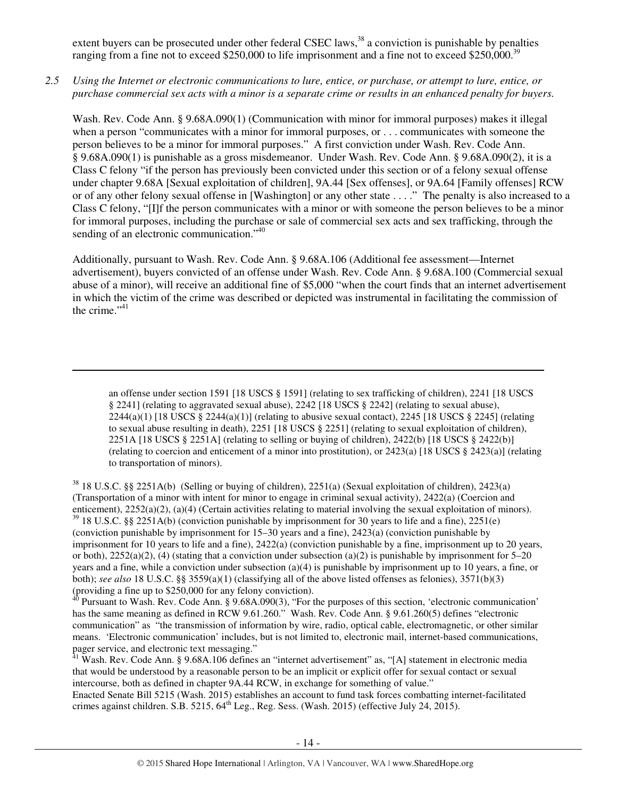extent buyers can be prosecuted under other federal CSEC laws,<sup>38</sup> a conviction is punishable by penalties ranging from a fine not to exceed \$250,000 to life imprisonment and a fine not to exceed \$250,000.<sup>39</sup>

## *2.5 Using the Internet or electronic communications to lure, entice, or purchase, or attempt to lure, entice, or purchase commercial sex acts with a minor is a separate crime or results in an enhanced penalty for buyers.*

Wash. Rev. Code Ann. § 9.68A.090(1) (Communication with minor for immoral purposes) makes it illegal when a person "communicates with a minor for immoral purposes, or . . . communicates with someone the person believes to be a minor for immoral purposes." A first conviction under Wash. Rev. Code Ann. § 9.68A.090(1) is punishable as a gross misdemeanor. Under Wash. Rev. Code Ann. § 9.68A.090(2), it is a Class C felony "if the person has previously been convicted under this section or of a felony sexual offense under chapter 9.68A [Sexual exploitation of children], 9A.44 [Sex offenses], or 9A.64 [Family offenses] RCW or of any other felony sexual offense in [Washington] or any other state . . . ." The penalty is also increased to a Class C felony, "[I]f the person communicates with a minor or with someone the person believes to be a minor for immoral purposes, including the purchase or sale of commercial sex acts and sex trafficking, through the sending of an electronic communication."<sup>40</sup>

Additionally, pursuant to Wash. Rev. Code Ann. § 9.68A.106 (Additional fee assessment—Internet advertisement), buyers convicted of an offense under Wash. Rev. Code Ann. § 9.68A.100 (Commercial sexual abuse of a minor), will receive an additional fine of \$5,000 "when the court finds that an internet advertisement in which the victim of the crime was described or depicted was instrumental in facilitating the commission of the crime." $41$ 

an offense under section 1591 [18 USCS § 1591] (relating to sex trafficking of children), 2241 [18 USCS § 2241] (relating to aggravated sexual abuse), 2242 [18 USCS § 2242] (relating to sexual abuse),  $2244(a)(1)$  [18 USCS § 2244(a)(1)] (relating to abusive sexual contact), 2245 [18 USCS § 2245] (relating to sexual abuse resulting in death), 2251 [18 USCS § 2251] (relating to sexual exploitation of children), 2251A [18 USCS § 2251A] (relating to selling or buying of children), 2422(b) [18 USCS § 2422(b)] (relating to coercion and enticement of a minor into prostitution), or 2423(a) [18 USCS § 2423(a)] (relating to transportation of minors).

 $\overline{a}$ 

<sup>38</sup> 18 U.S.C. §§ 2251A(b) (Selling or buying of children), 2251(a) (Sexual exploitation of children), 2423(a) (Transportation of a minor with intent for minor to engage in criminal sexual activity), 2422(a) (Coercion and enticement), 2252(a)(2), (a)(4) (Certain activities relating to material involving the sexual exploitation of minors). <sup>39</sup> 18 U.S.C. §§ 2251A(b) (conviction punishable by imprisonment for 30 years to life and a fine), 2251(e) (conviction punishable by imprisonment for 15–30 years and a fine), 2423(a) (conviction punishable by imprisonment for 10 years to life and a fine), 2422(a) (conviction punishable by a fine, imprisonment up to 20 years, or both),  $2252(a)(2)$ , (4) (stating that a conviction under subsection (a)(2) is punishable by imprisonment for 5–20 years and a fine, while a conviction under subsection (a)(4) is punishable by imprisonment up to 10 years, a fine, or both); *see also* 18 U.S.C. §§ 3559(a)(1) (classifying all of the above listed offenses as felonies), 3571(b)(3) (providing a fine up to \$250,000 for any felony conviction).

 $40$  Pursuant to Wash. Rev. Code Ann. § 9.68A.090(3), "For the purposes of this section, 'electronic communication' has the same meaning as defined in RCW 9.61.260." Wash. Rev. Code Ann. § 9.61.260(5) defines "electronic communication" as "the transmission of information by wire, radio, optical cable, electromagnetic, or other similar means. 'Electronic communication' includes, but is not limited to, electronic mail, internet-based communications, pager service, and electronic text messaging."

<sup>41</sup> Wash. Rev. Code Ann. § 9.68A.106 defines an "internet advertisement" as, "[A] statement in electronic media that would be understood by a reasonable person to be an implicit or explicit offer for sexual contact or sexual intercourse, both as defined in chapter 9A.44 RCW, in exchange for something of value."

Enacted Senate Bill 5215 (Wash. 2015) establishes an account to fund task forces combatting internet-facilitated crimes against children. S.B. 5215,  $64^{\text{th}}$  Leg., Reg. Sess. (Wash. 2015) (effective July 24, 2015).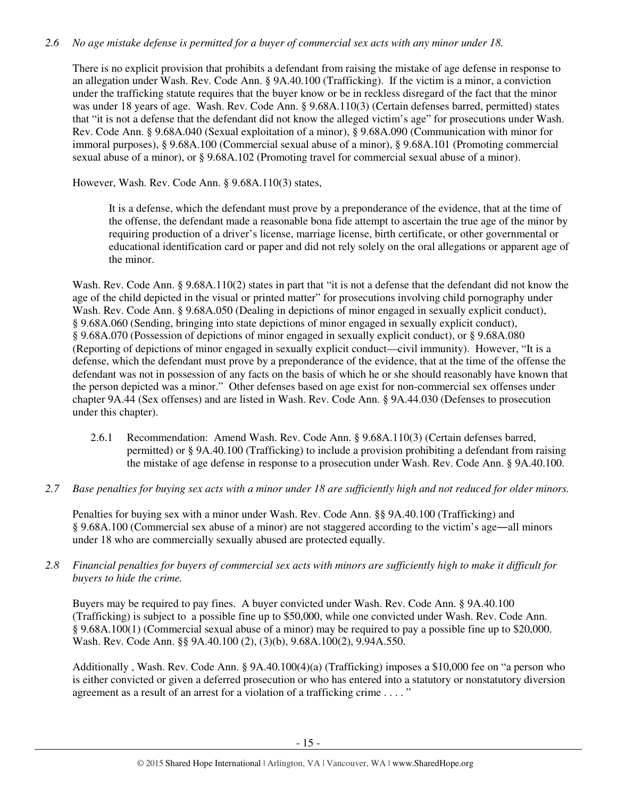# *2.6 No age mistake defense is permitted for a buyer of commercial sex acts with any minor under 18.*

There is no explicit provision that prohibits a defendant from raising the mistake of age defense in response to an allegation under Wash. Rev. Code Ann. § 9A.40.100 (Trafficking). If the victim is a minor, a conviction under the trafficking statute requires that the buyer know or be in reckless disregard of the fact that the minor was under 18 years of age. Wash. Rev. Code Ann. § 9.68A.110(3) (Certain defenses barred, permitted) states that "it is not a defense that the defendant did not know the alleged victim's age" for prosecutions under Wash. Rev. Code Ann. § 9.68A.040 (Sexual exploitation of a minor), § 9.68A.090 (Communication with minor for immoral purposes), § 9.68A.100 (Commercial sexual abuse of a minor), § 9.68A.101 (Promoting commercial sexual abuse of a minor), or § 9.68A.102 (Promoting travel for commercial sexual abuse of a minor).

However, Wash. Rev. Code Ann. § 9.68A.110(3) states,

It is a defense, which the defendant must prove by a preponderance of the evidence, that at the time of the offense, the defendant made a reasonable bona fide attempt to ascertain the true age of the minor by requiring production of a driver's license, marriage license, birth certificate, or other governmental or educational identification card or paper and did not rely solely on the oral allegations or apparent age of the minor.

Wash. Rev. Code Ann. § 9.68A.110(2) states in part that "it is not a defense that the defendant did not know the age of the child depicted in the visual or printed matter" for prosecutions involving child pornography under Wash. Rev. Code Ann. § 9.68A.050 (Dealing in depictions of minor engaged in sexually explicit conduct), § 9.68A.060 (Sending, bringing into state depictions of minor engaged in sexually explicit conduct), § 9.68A.070 (Possession of depictions of minor engaged in sexually explicit conduct), or § 9.68A.080 (Reporting of depictions of minor engaged in sexually explicit conduct—civil immunity). However, "It is a defense, which the defendant must prove by a preponderance of the evidence, that at the time of the offense the defendant was not in possession of any facts on the basis of which he or she should reasonably have known that the person depicted was a minor." Other defenses based on age exist for non-commercial sex offenses under chapter 9A.44 (Sex offenses) and are listed in Wash. Rev. Code Ann. § 9A.44.030 (Defenses to prosecution under this chapter).

- 2.6.1 Recommendation: Amend Wash. Rev. Code Ann. § 9.68A.110(3) (Certain defenses barred, permitted) or § 9A.40.100 (Trafficking) to include a provision prohibiting a defendant from raising the mistake of age defense in response to a prosecution under Wash. Rev. Code Ann. § 9A.40.100.
- *2.7 Base penalties for buying sex acts with a minor under 18 are sufficiently high and not reduced for older minors.*

Penalties for buying sex with a minor under Wash. Rev. Code Ann. §§ 9A.40.100 (Trafficking) and § 9.68A.100 (Commercial sex abuse of a minor) are not staggered according to the victim's age―all minors under 18 who are commercially sexually abused are protected equally.

*2.8 Financial penalties for buyers of commercial sex acts with minors are sufficiently high to make it difficult for buyers to hide the crime.* 

Buyers may be required to pay fines. A buyer convicted under Wash. Rev. Code Ann. § 9A.40.100 (Trafficking) is subject to a possible fine up to \$50,000, while one convicted under Wash. Rev. Code Ann. § 9.68A.100(1) (Commercial sexual abuse of a minor) may be required to pay a possible fine up to \$20,000. Wash. Rev. Code Ann. §§ 9A.40.100 (2), (3)(b), 9.68A.100(2), 9.94A.550.

Additionally , Wash. Rev. Code Ann. § 9A.40.100(4)(a) (Trafficking) imposes a \$10,000 fee on "a person who is either convicted or given a deferred prosecution or who has entered into a statutory or nonstatutory diversion agreement as a result of an arrest for a violation of a trafficking crime . . . . "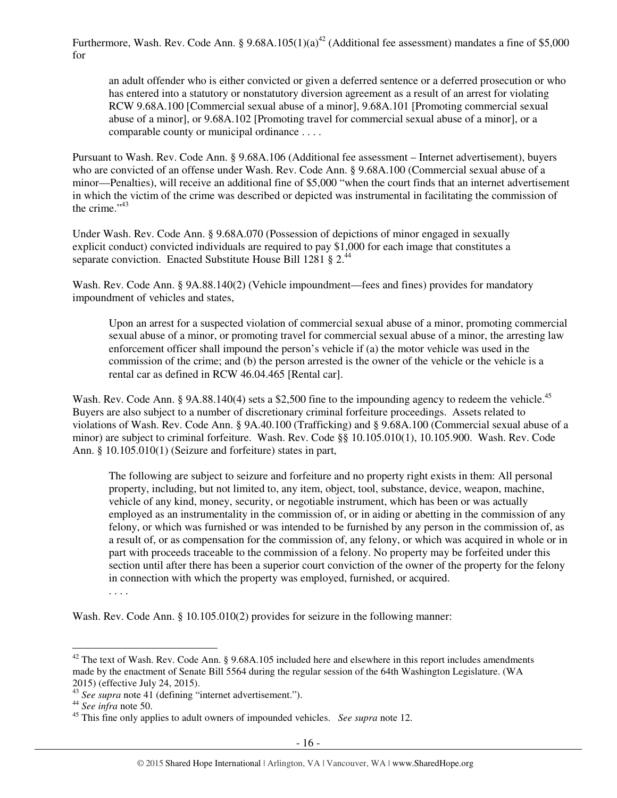Furthermore, Wash. Rev. Code Ann. §  $9.68A.105(1)(a)^{42}$  (Additional fee assessment) mandates a fine of \$5,000 for

an adult offender who is either convicted or given a deferred sentence or a deferred prosecution or who has entered into a statutory or nonstatutory diversion agreement as a result of an arrest for violating RCW 9.68A.100 [Commercial sexual abuse of a minor], 9.68A.101 [Promoting commercial sexual abuse of a minor], or 9.68A.102 [Promoting travel for commercial sexual abuse of a minor], or a comparable county or municipal ordinance . . . .

Pursuant to Wash. Rev. Code Ann. § 9.68A.106 (Additional fee assessment – Internet advertisement), buyers who are convicted of an offense under Wash. Rev. Code Ann. § 9.68A.100 (Commercial sexual abuse of a minor—Penalties), will receive an additional fine of \$5,000 "when the court finds that an internet advertisement in which the victim of the crime was described or depicted was instrumental in facilitating the commission of the crime $^{1,43}$ 

Under Wash. Rev. Code Ann. § 9.68A.070 (Possession of depictions of minor engaged in sexually explicit conduct) convicted individuals are required to pay \$1,000 for each image that constitutes a separate conviction. Enacted Substitute House Bill 1281 § 2.<sup>44</sup>

Wash. Rev. Code Ann. § 9A.88.140(2) (Vehicle impoundment—fees and fines) provides for mandatory impoundment of vehicles and states,

Upon an arrest for a suspected violation of commercial sexual abuse of a minor, promoting commercial sexual abuse of a minor, or promoting travel for commercial sexual abuse of a minor, the arresting law enforcement officer shall impound the person's vehicle if (a) the motor vehicle was used in the commission of the crime; and (b) the person arrested is the owner of the vehicle or the vehicle is a rental car as defined in RCW 46.04.465 [Rental car].

Wash. Rev. Code Ann. § 9A.88.140(4) sets a \$2,500 fine to the impounding agency to redeem the vehicle.<sup>45</sup> Buyers are also subject to a number of discretionary criminal forfeiture proceedings. Assets related to violations of Wash. Rev. Code Ann. § 9A.40.100 (Trafficking) and § 9.68A.100 (Commercial sexual abuse of a minor) are subject to criminal forfeiture. Wash. Rev. Code §§ 10.105.010(1), 10.105.900. Wash. Rev. Code Ann. § 10.105.010(1) (Seizure and forfeiture) states in part,

The following are subject to seizure and forfeiture and no property right exists in them: All personal property, including, but not limited to, any item, object, tool, substance, device, weapon, machine, vehicle of any kind, money, security, or negotiable instrument, which has been or was actually employed as an instrumentality in the commission of, or in aiding or abetting in the commission of any felony, or which was furnished or was intended to be furnished by any person in the commission of, as a result of, or as compensation for the commission of, any felony, or which was acquired in whole or in part with proceeds traceable to the commission of a felony. No property may be forfeited under this section until after there has been a superior court conviction of the owner of the property for the felony in connection with which the property was employed, furnished, or acquired.

. . . .

Wash. Rev. Code Ann. § 10.105.010(2) provides for seizure in the following manner:

<sup>&</sup>lt;sup>42</sup> The text of Wash. Rev. Code Ann. § 9.68A.105 included here and elsewhere in this report includes amendments made by the enactment of Senate Bill 5564 during the regular session of the 64th Washington Legislature. (WA 2015) (effective July 24, 2015).

<sup>43</sup> *See supra* note 41 (defining "internet advertisement.").

<sup>44</sup> *See infra* note 50.

<sup>45</sup> This fine only applies to adult owners of impounded vehicles. *See supra* note 12.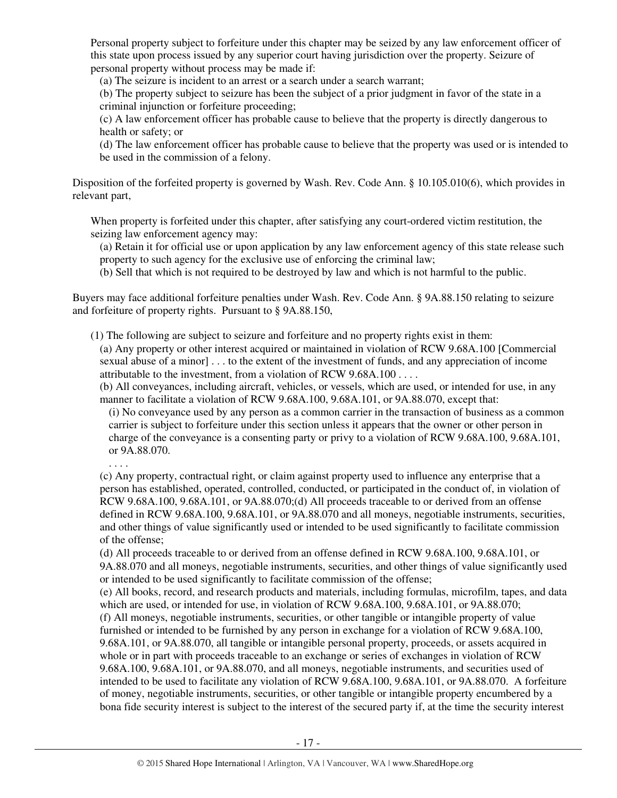Personal property subject to forfeiture under this chapter may be seized by any law enforcement officer of this state upon process issued by any superior court having jurisdiction over the property. Seizure of personal property without process may be made if:

(a) The seizure is incident to an arrest or a search under a search warrant;

(b) The property subject to seizure has been the subject of a prior judgment in favor of the state in a criminal injunction or forfeiture proceeding;

(c) A law enforcement officer has probable cause to believe that the property is directly dangerous to health or safety; or

(d) The law enforcement officer has probable cause to believe that the property was used or is intended to be used in the commission of a felony.

Disposition of the forfeited property is governed by Wash. Rev. Code Ann. § 10.105.010(6), which provides in relevant part,

When property is forfeited under this chapter, after satisfying any court-ordered victim restitution, the seizing law enforcement agency may:

(a) Retain it for official use or upon application by any law enforcement agency of this state release such property to such agency for the exclusive use of enforcing the criminal law;

(b) Sell that which is not required to be destroyed by law and which is not harmful to the public.

Buyers may face additional forfeiture penalties under Wash. Rev. Code Ann. § 9A.88.150 relating to seizure and forfeiture of property rights. Pursuant to § 9A.88.150,

(1) The following are subject to seizure and forfeiture and no property rights exist in them:

(a) Any property or other interest acquired or maintained in violation of RCW 9.68A.100 [Commercial sexual abuse of a minor] . . . to the extent of the investment of funds, and any appreciation of income attributable to the investment, from a violation of RCW 9.68A.100 . . . .

(b) All conveyances, including aircraft, vehicles, or vessels, which are used, or intended for use, in any manner to facilitate a violation of RCW 9.68A.100, 9.68A.101, or 9A.88.070, except that:

(i) No conveyance used by any person as a common carrier in the transaction of business as a common carrier is subject to forfeiture under this section unless it appears that the owner or other person in charge of the conveyance is a consenting party or privy to a violation of RCW 9.68A.100, 9.68A.101, or 9A.88.070.

. . . .

(c) Any property, contractual right, or claim against property used to influence any enterprise that a person has established, operated, controlled, conducted, or participated in the conduct of, in violation of RCW 9.68A.100, 9.68A.101, or 9A.88.070;(d) All proceeds traceable to or derived from an offense defined in RCW 9.68A.100, 9.68A.101, or 9A.88.070 and all moneys, negotiable instruments, securities, and other things of value significantly used or intended to be used significantly to facilitate commission of the offense;

(d) All proceeds traceable to or derived from an offense defined in RCW 9.68A.100, 9.68A.101, or 9A.88.070 and all moneys, negotiable instruments, securities, and other things of value significantly used or intended to be used significantly to facilitate commission of the offense;

(e) All books, record, and research products and materials, including formulas, microfilm, tapes, and data which are used, or intended for use, in violation of RCW 9.68A.100, 9.68A.101, or 9A.88.070;

(f) All moneys, negotiable instruments, securities, or other tangible or intangible property of value furnished or intended to be furnished by any person in exchange for a violation of RCW 9.68A.100, 9.68A.101, or 9A.88.070, all tangible or intangible personal property, proceeds, or assets acquired in whole or in part with proceeds traceable to an exchange or series of exchanges in violation of RCW 9.68A.100, 9.68A.101, or 9A.88.070, and all moneys, negotiable instruments, and securities used of intended to be used to facilitate any violation of RCW 9.68A.100, 9.68A.101, or 9A.88.070. A forfeiture of money, negotiable instruments, securities, or other tangible or intangible property encumbered by a bona fide security interest is subject to the interest of the secured party if, at the time the security interest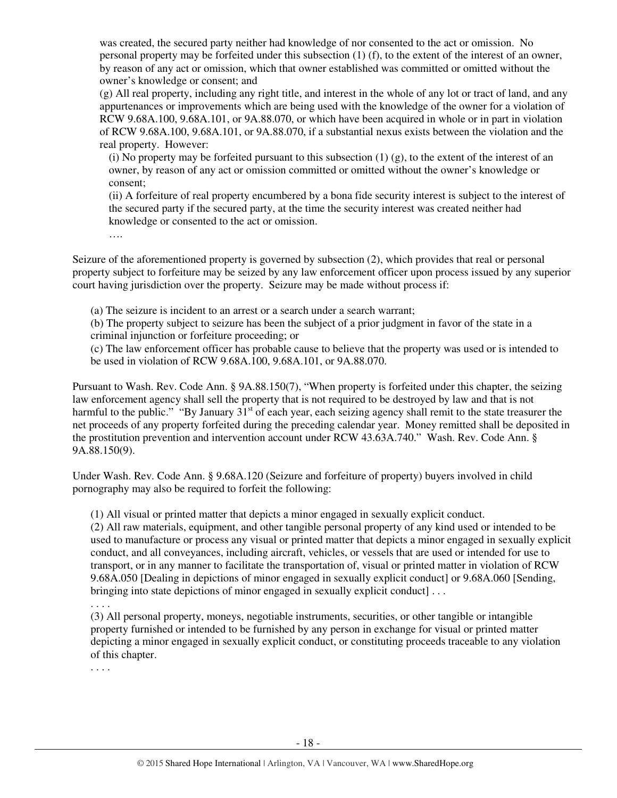was created, the secured party neither had knowledge of nor consented to the act or omission. No personal property may be forfeited under this subsection (1) (f), to the extent of the interest of an owner, by reason of any act or omission, which that owner established was committed or omitted without the owner's knowledge or consent; and

(g) All real property, including any right title, and interest in the whole of any lot or tract of land, and any appurtenances or improvements which are being used with the knowledge of the owner for a violation of RCW 9.68A.100, 9.68A.101, or 9A.88.070, or which have been acquired in whole or in part in violation of RCW 9.68A.100, 9.68A.101, or 9A.88.070, if a substantial nexus exists between the violation and the real property. However:

(i) No property may be forfeited pursuant to this subsection  $(1)$  (g), to the extent of the interest of an owner, by reason of any act or omission committed or omitted without the owner's knowledge or consent;

(ii) A forfeiture of real property encumbered by a bona fide security interest is subject to the interest of the secured party if the secured party, at the time the security interest was created neither had knowledge or consented to the act or omission.

….

Seizure of the aforementioned property is governed by subsection (2), which provides that real or personal property subject to forfeiture may be seized by any law enforcement officer upon process issued by any superior court having jurisdiction over the property. Seizure may be made without process if:

(a) The seizure is incident to an arrest or a search under a search warrant;

(b) The property subject to seizure has been the subject of a prior judgment in favor of the state in a criminal injunction or forfeiture proceeding; or

(c) The law enforcement officer has probable cause to believe that the property was used or is intended to be used in violation of RCW 9.68A.100, 9.68A.101, or 9A.88.070.

Pursuant to Wash. Rev. Code Ann. § 9A.88.150(7), "When property is forfeited under this chapter, the seizing law enforcement agency shall sell the property that is not required to be destroyed by law and that is not harmful to the public." "By January  $31<sup>st</sup>$  of each year, each seizing agency shall remit to the state treasurer the net proceeds of any property forfeited during the preceding calendar year. Money remitted shall be deposited in the prostitution prevention and intervention account under RCW 43.63A.740." Wash. Rev. Code Ann. § 9A.88.150(9).

Under Wash. Rev. Code Ann. § 9.68A.120 (Seizure and forfeiture of property) buyers involved in child pornography may also be required to forfeit the following:

(1) All visual or printed matter that depicts a minor engaged in sexually explicit conduct.

(2) All raw materials, equipment, and other tangible personal property of any kind used or intended to be used to manufacture or process any visual or printed matter that depicts a minor engaged in sexually explicit conduct, and all conveyances, including aircraft, vehicles, or vessels that are used or intended for use to transport, or in any manner to facilitate the transportation of, visual or printed matter in violation of RCW 9.68A.050 [Dealing in depictions of minor engaged in sexually explicit conduct] or 9.68A.060 [Sending, bringing into state depictions of minor engaged in sexually explicit conduct] . . .

. . . .

(3) All personal property, moneys, negotiable instruments, securities, or other tangible or intangible property furnished or intended to be furnished by any person in exchange for visual or printed matter depicting a minor engaged in sexually explicit conduct, or constituting proceeds traceable to any violation of this chapter.

. . . .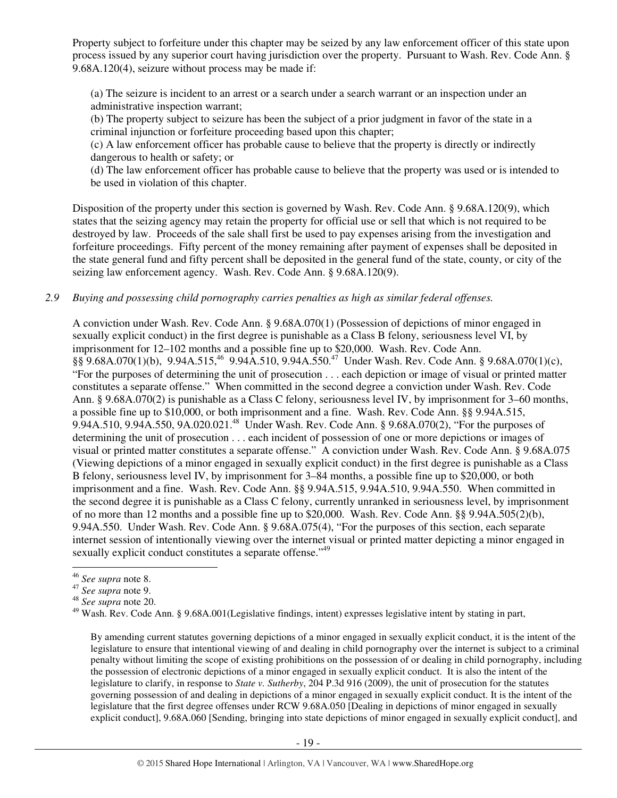Property subject to forfeiture under this chapter may be seized by any law enforcement officer of this state upon process issued by any superior court having jurisdiction over the property. Pursuant to Wash. Rev. Code Ann. § 9.68A.120(4), seizure without process may be made if:

(a) The seizure is incident to an arrest or a search under a search warrant or an inspection under an administrative inspection warrant;

(b) The property subject to seizure has been the subject of a prior judgment in favor of the state in a criminal injunction or forfeiture proceeding based upon this chapter;

(c) A law enforcement officer has probable cause to believe that the property is directly or indirectly dangerous to health or safety; or

(d) The law enforcement officer has probable cause to believe that the property was used or is intended to be used in violation of this chapter.

Disposition of the property under this section is governed by Wash. Rev. Code Ann. § 9.68A.120(9), which states that the seizing agency may retain the property for official use or sell that which is not required to be destroyed by law. Proceeds of the sale shall first be used to pay expenses arising from the investigation and forfeiture proceedings. Fifty percent of the money remaining after payment of expenses shall be deposited in the state general fund and fifty percent shall be deposited in the general fund of the state, county, or city of the seizing law enforcement agency. Wash. Rev. Code Ann. § 9.68A.120(9).

*2.9 Buying and possessing child pornography carries penalties as high as similar federal offenses.* 

A conviction under Wash. Rev. Code Ann. § 9.68A.070(1) (Possession of depictions of minor engaged in sexually explicit conduct) in the first degree is punishable as a Class B felony, seriousness level VI, by imprisonment for 12–102 months and a possible fine up to \$20,000. Wash. Rev. Code Ann. §§ 9.68A.070(1)(b), 9.94A.515,<sup>46</sup> 9.94A.510, 9.94A.550.<sup>47</sup> Under Wash. Rev. Code Ann. § 9.68A.070(1)(c), "For the purposes of determining the unit of prosecution . . . each depiction or image of visual or printed matter constitutes a separate offense." When committed in the second degree a conviction under Wash. Rev. Code Ann. § 9.68A.070(2) is punishable as a Class C felony, seriousness level IV, by imprisonment for 3–60 months, a possible fine up to \$10,000, or both imprisonment and a fine. Wash. Rev. Code Ann. §§ 9.94A.515, 9.94A.510, 9.94A.550, 9A.020.021.<sup>48</sup> Under Wash. Rev. Code Ann. § 9.68A.070(2), "For the purposes of determining the unit of prosecution . . . each incident of possession of one or more depictions or images of visual or printed matter constitutes a separate offense." A conviction under Wash. Rev. Code Ann. § 9.68A.075 (Viewing depictions of a minor engaged in sexually explicit conduct) in the first degree is punishable as a Class B felony, seriousness level IV, by imprisonment for 3–84 months, a possible fine up to \$20,000, or both imprisonment and a fine. Wash. Rev. Code Ann. §§ 9.94A.515, 9.94A.510, 9.94A.550. When committed in the second degree it is punishable as a Class C felony, currently unranked in seriousness level, by imprisonment of no more than 12 months and a possible fine up to \$20,000. Wash. Rev. Code Ann. §§ 9.94A.505(2)(b), 9.94A.550. Under Wash. Rev. Code Ann. § 9.68A.075(4), "For the purposes of this section, each separate internet session of intentionally viewing over the internet visual or printed matter depicting a minor engaged in sexually explicit conduct constitutes a separate offense."<sup>49</sup>

 $\overline{a}$ 

By amending current statutes governing depictions of a minor engaged in sexually explicit conduct, it is the intent of the legislature to ensure that intentional viewing of and dealing in child pornography over the internet is subject to a criminal penalty without limiting the scope of existing prohibitions on the possession of or dealing in child pornography, including the possession of electronic depictions of a minor engaged in sexually explicit conduct. It is also the intent of the legislature to clarify, in response to *State v. Sutherby*, 204 P.3d 916 (2009), the unit of prosecution for the statutes governing possession of and dealing in depictions of a minor engaged in sexually explicit conduct. It is the intent of the legislature that the first degree offenses under RCW 9.68A.050 [Dealing in depictions of minor engaged in sexually explicit conduct], 9.68A.060 [Sending, bringing into state depictions of minor engaged in sexually explicit conduct], and

<sup>46</sup> *See supra* note 8.

<sup>47</sup> *See supra* note 9.

<sup>48</sup> *See supra* note 20.

<sup>49</sup> Wash. Rev. Code Ann. § 9.68A.001(Legislative findings, intent) expresses legislative intent by stating in part,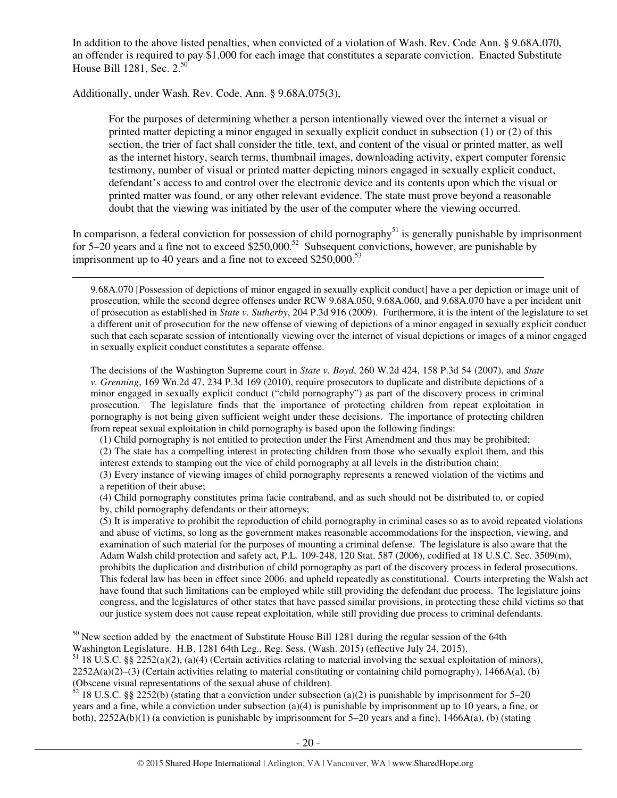In addition to the above listed penalties, when convicted of a violation of Wash. Rev. Code Ann. § 9.68A.070, an offender is required to pay \$1,000 for each image that constitutes a separate conviction. Enacted Substitute House Bill 1281, Sec. 2.<sup>50</sup>

Additionally, under Wash. Rev. Code. Ann. § 9.68A.075(3),

 $\overline{a}$ 

For the purposes of determining whether a person intentionally viewed over the internet a visual or printed matter depicting a minor engaged in sexually explicit conduct in subsection (1) or (2) of this section, the trier of fact shall consider the title, text, and content of the visual or printed matter, as well as the internet history, search terms, thumbnail images, downloading activity, expert computer forensic testimony, number of visual or printed matter depicting minors engaged in sexually explicit conduct, defendant's access to and control over the electronic device and its contents upon which the visual or printed matter was found, or any other relevant evidence. The state must prove beyond a reasonable doubt that the viewing was initiated by the user of the computer where the viewing occurred.

In comparison, a federal conviction for possession of child pornography<sup>51</sup> is generally punishable by imprisonment for 5–20 years and a fine not to exceed  $$250,000$ <sup>52</sup> Subsequent convictions, however, are punishable by imprisonment up to 40 years and a fine not to exceed  $$250,000.<sup>53</sup>$ 

9.68A.070 [Possession of depictions of minor engaged in sexually explicit conduct] have a per depiction or image unit of prosecution, while the second degree offenses under RCW 9.68A.050, 9.68A.060, and 9.68A.070 have a per incident unit of prosecution as established in *State v. Sutherby*, 204 P.3d 916 (2009). Furthermore, it is the intent of the legislature to set a different unit of prosecution for the new offense of viewing of depictions of a minor engaged in sexually explicit conduct such that each separate session of intentionally viewing over the internet of visual depictions or images of a minor engaged in sexually explicit conduct constitutes a separate offense.

The decisions of the Washington Supreme court in *State v. Boyd*, 260 W.2d 424, 158 P.3d 54 (2007), and *State v. Grenning*, 169 Wn.2d 47, 234 P.3d 169 (2010), require prosecutors to duplicate and distribute depictions of a minor engaged in sexually explicit conduct ("child pornography") as part of the discovery process in criminal prosecution. The legislature finds that the importance of protecting children from repeat exploitation in pornography is not being given sufficient weight under these decisions. The importance of protecting children from repeat sexual exploitation in child pornography is based upon the following findings:

(1) Child pornography is not entitled to protection under the First Amendment and thus may be prohibited;

(2) The state has a compelling interest in protecting children from those who sexually exploit them, and this interest extends to stamping out the vice of child pornography at all levels in the distribution chain;

(3) Every instance of viewing images of child pornography represents a renewed violation of the victims and a repetition of their abuse;

(4) Child pornography constitutes prima facie contraband, and as such should not be distributed to, or copied by, child pornography defendants or their attorneys;

(5) It is imperative to prohibit the reproduction of child pornography in criminal cases so as to avoid repeated violations and abuse of victims, so long as the government makes reasonable accommodations for the inspection, viewing, and examination of such material for the purposes of mounting a criminal defense. The legislature is also aware that the Adam Walsh child protection and safety act, P.L. 109-248, 120 Stat. 587 (2006), codified at 18 U.S.C. Sec. 3509(m), prohibits the duplication and distribution of child pornography as part of the discovery process in federal prosecutions. This federal law has been in effect since 2006, and upheld repeatedly as constitutional. Courts interpreting the Walsh act have found that such limitations can be employed while still providing the defendant due process. The legislature joins congress, and the legislatures of other states that have passed similar provisions, in protecting these child victims so that our justice system does not cause repeat exploitation, while still providing due process to criminal defendants.

<sup>50</sup> New section added by the enactment of Substitute House Bill 1281 during the regular session of the 64th Washington Legislature. H.B. 1281 64th Leg., Reg. Sess. (Wash. 2015) (effective July 24, 2015).

 $51$  18 U.S.C. §§ 2252(a)(2), (a)(4) (Certain activities relating to material involving the sexual exploitation of minors),  $2252A(a)(2)$ –(3) (Certain activities relating to material constituting or containing child pornography), 1466A(a), (b) (Obscene visual representations of the sexual abuse of children).

 $52$  18 U.S.C. §§ 2252(b) (stating that a conviction under subsection (a)(2) is punishable by imprisonment for 5–20 years and a fine, while a conviction under subsection (a)(4) is punishable by imprisonment up to 10 years, a fine, or both), 2252A(b)(1) (a conviction is punishable by imprisonment for 5–20 years and a fine), 1466A(a), (b) (stating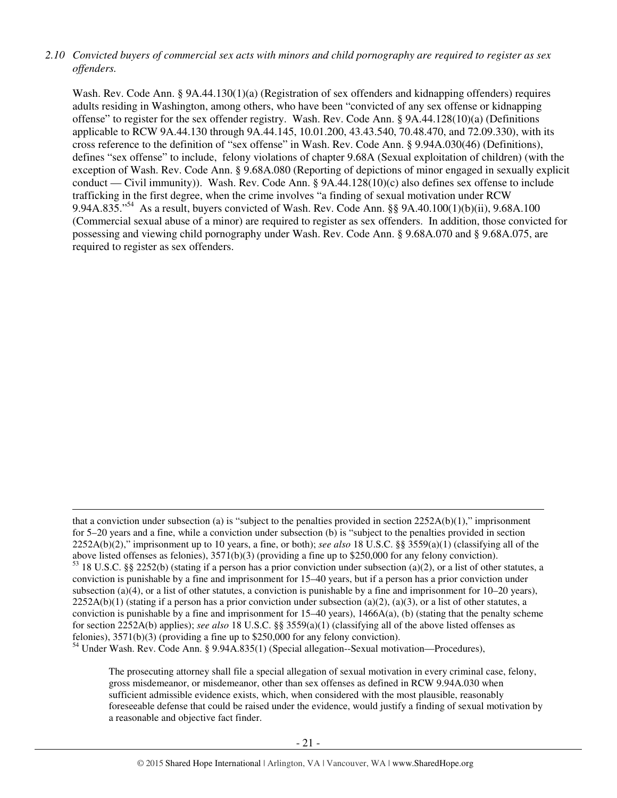# *2.10 Convicted buyers of commercial sex acts with minors and child pornography are required to register as sex offenders.*

Wash. Rev. Code Ann. § 9A.44.130(1)(a) (Registration of sex offenders and kidnapping offenders) requires adults residing in Washington, among others, who have been "convicted of any sex offense or kidnapping offense" to register for the sex offender registry. Wash. Rev. Code Ann. § 9A.44.128(10)(a) (Definitions applicable to RCW 9A.44.130 through 9A.44.145, 10.01.200, 43.43.540, 70.48.470, and 72.09.330), with its cross reference to the definition of "sex offense" in Wash. Rev. Code Ann. § 9.94A.030(46) (Definitions), defines "sex offense" to include, felony violations of chapter 9.68A (Sexual exploitation of children) (with the exception of Wash. Rev. Code Ann. § 9.68A.080 (Reporting of depictions of minor engaged in sexually explicit conduct — Civil immunity)). Wash. Rev. Code Ann. § 9A.44.128(10)(c) also defines sex offense to include trafficking in the first degree, when the crime involves "a finding of sexual motivation under RCW 9.94A.835."<sup>54</sup> As a result, buyers convicted of Wash. Rev. Code Ann. §§ 9A.40.100(1)(b)(ii), 9.68A.100 (Commercial sexual abuse of a minor) are required to register as sex offenders. In addition, those convicted for possessing and viewing child pornography under Wash. Rev. Code Ann. § 9.68A.070 and § 9.68A.075, are required to register as sex offenders.

<sup>54</sup> Under Wash. Rev. Code Ann. § 9.94A.835(1) (Special allegation--Sexual motivation—Procedures),

 $\overline{a}$ 

The prosecuting attorney shall file a special allegation of sexual motivation in every criminal case, felony, gross misdemeanor, or misdemeanor, other than sex offenses as defined in RCW 9.94A.030 when sufficient admissible evidence exists, which, when considered with the most plausible, reasonably foreseeable defense that could be raised under the evidence, would justify a finding of sexual motivation by a reasonable and objective fact finder.

that a conviction under subsection (a) is "subject to the penalties provided in section  $2252A(b)(1)$ ," imprisonment for 5–20 years and a fine, while a conviction under subsection (b) is "subject to the penalties provided in section 2252A(b)(2)," imprisonment up to 10 years, a fine, or both); *see also* 18 U.S.C. §§ 3559(a)(1) (classifying all of the above listed offenses as felonies), 3571(b)(3) (providing a fine up to \$250,000 for any felony conviction).  $53$  18 U.S.C. §§ 2252(b) (stating if a person has a prior conviction under subsection (a)(2), or a list of other statutes, a conviction is punishable by a fine and imprisonment for 15–40 years, but if a person has a prior conviction under subsection (a)(4), or a list of other statutes, a conviction is punishable by a fine and imprisonment for  $10-20$  years),  $2252A(b)(1)$  (stating if a person has a prior conviction under subsection (a)(2), (a)(3), or a list of other statutes, a conviction is punishable by a fine and imprisonment for  $15-40$  years),  $1466A(a)$ , (b) (stating that the penalty scheme for section 2252A(b) applies); *see also* 18 U.S.C. §§ 3559(a)(1) (classifying all of the above listed offenses as felonies), 3571(b)(3) (providing a fine up to \$250,000 for any felony conviction).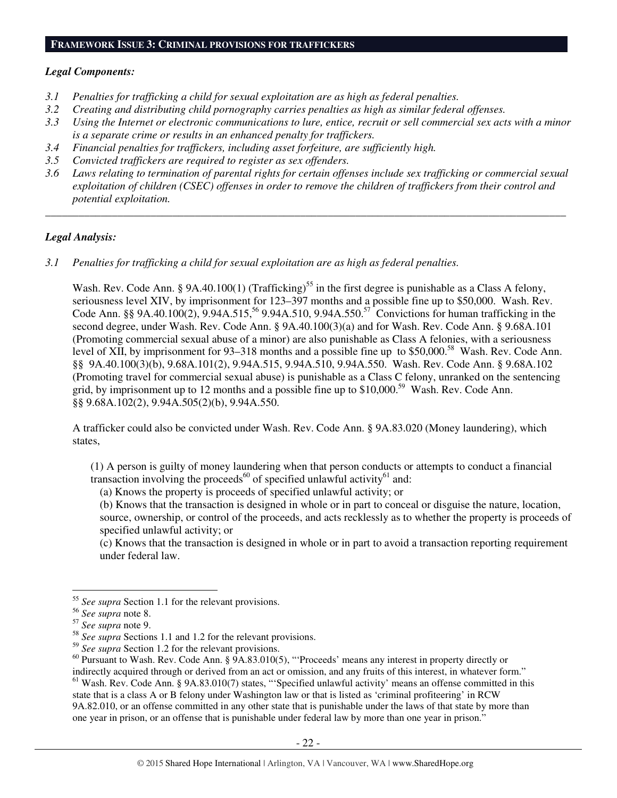#### **FRAMEWORK ISSUE 3: CRIMINAL PROVISIONS FOR TRAFFICKERS**

#### *Legal Components:*

- *3.1 Penalties for trafficking a child for sexual exploitation are as high as federal penalties.*
- *3.2 Creating and distributing child pornography carries penalties as high as similar federal offenses.*
- *3.3 Using the Internet or electronic communications to lure, entice, recruit or sell commercial sex acts with a minor is a separate crime or results in an enhanced penalty for traffickers.*
- *3.4 Financial penalties for traffickers, including asset forfeiture, are sufficiently high.*
- *3.5 Convicted traffickers are required to register as sex offenders.*
- *3.6 Laws relating to termination of parental rights for certain offenses include sex trafficking or commercial sexual exploitation of children (CSEC) offenses in order to remove the children of traffickers from their control and potential exploitation.*

*\_\_\_\_\_\_\_\_\_\_\_\_\_\_\_\_\_\_\_\_\_\_\_\_\_\_\_\_\_\_\_\_\_\_\_\_\_\_\_\_\_\_\_\_\_\_\_\_\_\_\_\_\_\_\_\_\_\_\_\_\_\_\_\_\_\_\_\_\_\_\_\_\_\_\_\_\_\_\_\_\_\_\_\_\_\_\_\_\_\_\_\_\_\_* 

#### *Legal Analysis:*

*3.1 Penalties for trafficking a child for sexual exploitation are as high as federal penalties.* 

Wash. Rev. Code Ann. § 9A.40.100(1) (Trafficking)<sup>55</sup> in the first degree is punishable as a Class A felony, seriousness level XIV, by imprisonment for 123–397 months and a possible fine up to \$50,000. Wash. Rev. Code Ann. §§ 9A.40.100(2), 9.94A.515,<sup>56</sup> 9.94A.510, 9.94A.550.<sup>57</sup> Convictions for human trafficking in the second degree, under Wash. Rev. Code Ann. § 9A.40.100(3)(a) and for Wash. Rev. Code Ann. § 9.68A.101 (Promoting commercial sexual abuse of a minor) are also punishable as Class A felonies, with a seriousness level of XII, by imprisonment for 93–318 months and a possible fine up to \$50,000.<sup>58</sup> Wash. Rev. Code Ann. §§ 9A.40.100(3)(b), 9.68A.101(2), 9.94A.515, 9.94A.510, 9.94A.550. Wash. Rev. Code Ann. § 9.68A.102 (Promoting travel for commercial sexual abuse) is punishable as a Class C felony, unranked on the sentencing grid, by imprisonment up to 12 months and a possible fine up to \$10,000.<sup>59</sup> Wash. Rev. Code Ann. §§ 9.68A.102(2), 9.94A.505(2)(b), 9.94A.550.

A trafficker could also be convicted under Wash. Rev. Code Ann. § 9A.83.020 (Money laundering), which states,

(1) A person is guilty of money laundering when that person conducts or attempts to conduct a financial transaction involving the proceeds<sup>60</sup> of specified unlawful activity<sup>61</sup> and:

(a) Knows the property is proceeds of specified unlawful activity; or

(b) Knows that the transaction is designed in whole or in part to conceal or disguise the nature, location, source, ownership, or control of the proceeds, and acts recklessly as to whether the property is proceeds of specified unlawful activity; or

(c) Knows that the transaction is designed in whole or in part to avoid a transaction reporting requirement under federal law.

<sup>&</sup>lt;sup>55</sup> See supra Section 1.1 for the relevant provisions.

<sup>56</sup> *See supra* note 8.

<sup>57</sup> *See supra* note 9.

<sup>58</sup> *See supra* Sections 1.1 and 1.2 for the relevant provisions.

<sup>59</sup> *See supra* Section 1.2 for the relevant provisions.

<sup>60</sup> Pursuant to Wash. Rev. Code Ann. § 9A.83.010(5), "'Proceeds' means any interest in property directly or indirectly acquired through or derived from an act or omission, and any fruits of this interest, in whatever form."

 $61$  Wash. Rev. Code Ann. § 9A.83.010(7) states, "Specified unlawful activity' means an offense committed in this state that is a class A or B felony under Washington law or that is listed as 'criminal profiteering' in RCW 9A.82.010, or an offense committed in any other state that is punishable under the laws of that state by more than one year in prison, or an offense that is punishable under federal law by more than one year in prison."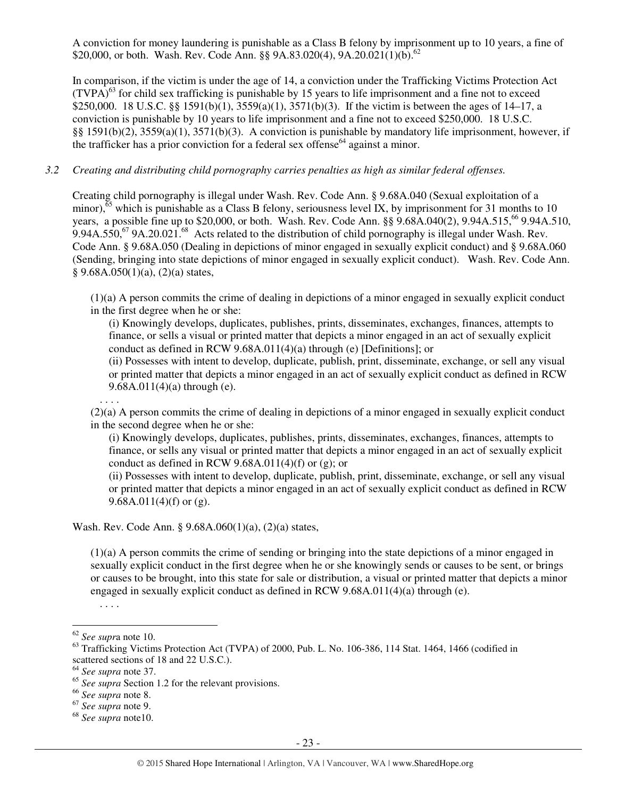A conviction for money laundering is punishable as a Class B felony by imprisonment up to 10 years, a fine of \$20,000, or both. Wash. Rev. Code Ann. §§ 9A.83.020(4), 9A.20.021(1)(b).<sup>62</sup>

In comparison, if the victim is under the age of 14, a conviction under the Trafficking Victims Protection Act  $(TVPA)<sup>63</sup>$  for child sex trafficking is punishable by 15 years to life imprisonment and a fine not to exceed \$250,000. 18 U.S.C. §§ 1591(b)(1), 3559(a)(1), 3571(b)(3). If the victim is between the ages of 14–17, a conviction is punishable by 10 years to life imprisonment and a fine not to exceed \$250,000. 18 U.S.C. §§ 1591(b)(2), 3559(a)(1), 3571(b)(3). A conviction is punishable by mandatory life imprisonment, however, if the trafficker has a prior conviction for a federal sex offense<sup>64</sup> against a minor.

#### *3.2 Creating and distributing child pornography carries penalties as high as similar federal offenses.*

Creating child pornography is illegal under Wash. Rev. Code Ann. § 9.68A.040 (Sexual exploitation of a minor),<sup> $\overline{65}$ </sup> which is punishable as a Class B felony, seriousness level IX, by imprisonment for 31 months to 10 years, a possible fine up to \$20,000, or both. Wash. Rev. Code Ann. §§ 9.68A.040(2), 9.94A.515,<sup>66</sup> 9.94A.510, 9.94A.550,<sup>67</sup> 9A.20.021.<sup>68</sup> Acts related to the distribution of child pornography is illegal under Wash. Rev. Code Ann. § 9.68A.050 (Dealing in depictions of minor engaged in sexually explicit conduct) and § 9.68A.060 (Sending, bringing into state depictions of minor engaged in sexually explicit conduct). Wash. Rev. Code Ann.  $§ 9.68A.050(1)(a), (2)(a) states,$ 

(1)(a) A person commits the crime of dealing in depictions of a minor engaged in sexually explicit conduct in the first degree when he or she:

(i) Knowingly develops, duplicates, publishes, prints, disseminates, exchanges, finances, attempts to finance, or sells a visual or printed matter that depicts a minor engaged in an act of sexually explicit conduct as defined in RCW 9.68A.011(4)(a) through (e) [Definitions]; or

(ii) Possesses with intent to develop, duplicate, publish, print, disseminate, exchange, or sell any visual or printed matter that depicts a minor engaged in an act of sexually explicit conduct as defined in RCW 9.68A.011(4)(a) through (e).

(2)(a) A person commits the crime of dealing in depictions of a minor engaged in sexually explicit conduct in the second degree when he or she:

(i) Knowingly develops, duplicates, publishes, prints, disseminates, exchanges, finances, attempts to finance, or sells any visual or printed matter that depicts a minor engaged in an act of sexually explicit conduct as defined in RCW 9.68A.011(4)(f) or (g); or

(ii) Possesses with intent to develop, duplicate, publish, print, disseminate, exchange, or sell any visual or printed matter that depicts a minor engaged in an act of sexually explicit conduct as defined in RCW 9.68A.011(4)(f) or (g).

Wash. Rev. Code Ann. § 9.68A.060(1)(a), (2)(a) states,

(1)(a) A person commits the crime of sending or bringing into the state depictions of a minor engaged in sexually explicit conduct in the first degree when he or she knowingly sends or causes to be sent, or brings or causes to be brought, into this state for sale or distribution, a visual or printed matter that depicts a minor engaged in sexually explicit conduct as defined in RCW  $9.68A.011(4)(a)$  through (e).

. . . .

. . . .

 $\overline{a}$ <sup>62</sup> *See supr*a note 10.

<sup>&</sup>lt;sup>63</sup> Trafficking Victims Protection Act (TVPA) of 2000, Pub. L. No. 106-386, 114 Stat. 1464, 1466 (codified in scattered sections of 18 and 22 U.S.C.).

<sup>64</sup> *See supra* note 37.

<sup>&</sup>lt;sup>65</sup> See supra Section 1.2 for the relevant provisions.

<sup>66</sup> *See supra* note 8.

<sup>67</sup> *See supra* note 9.

<sup>68</sup> *See supra* note10.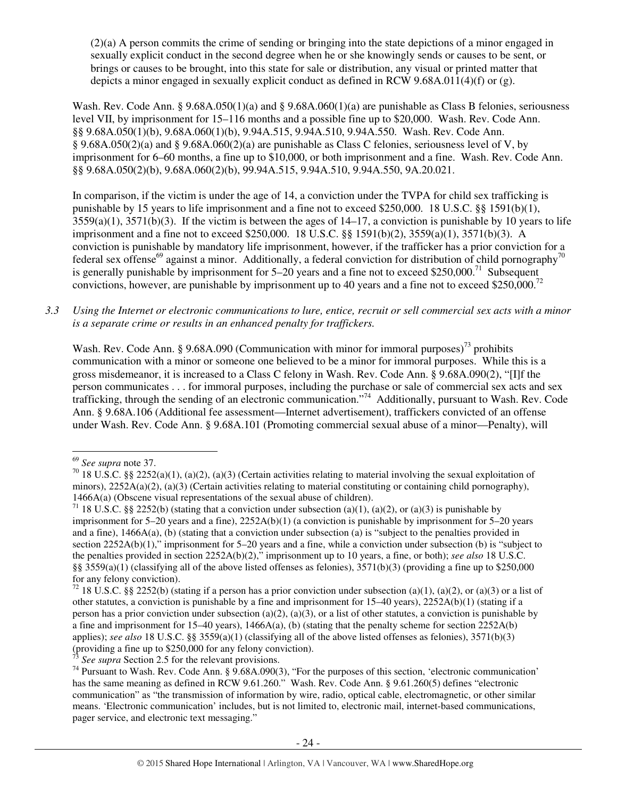(2)(a) A person commits the crime of sending or bringing into the state depictions of a minor engaged in sexually explicit conduct in the second degree when he or she knowingly sends or causes to be sent, or brings or causes to be brought, into this state for sale or distribution, any visual or printed matter that depicts a minor engaged in sexually explicit conduct as defined in RCW 9.68A.011(4)(f) or (g).

Wash. Rev. Code Ann. § 9.68A.050(1)(a) and § 9.68A.060(1)(a) are punishable as Class B felonies, seriousness level VII, by imprisonment for 15–116 months and a possible fine up to \$20,000. Wash. Rev. Code Ann. §§ 9.68A.050(1)(b), 9.68A.060(1)(b), 9.94A.515, 9.94A.510, 9.94A.550. Wash. Rev. Code Ann. § 9.68A.050(2)(a) and § 9.68A.060(2)(a) are punishable as Class C felonies, seriousness level of V, by imprisonment for 6–60 months, a fine up to \$10,000, or both imprisonment and a fine. Wash. Rev. Code Ann. §§ 9.68A.050(2)(b), 9.68A.060(2)(b), 99.94A.515, 9.94A.510, 9.94A.550, 9A.20.021.

In comparison, if the victim is under the age of 14, a conviction under the TVPA for child sex trafficking is punishable by 15 years to life imprisonment and a fine not to exceed \$250,000. 18 U.S.C. §§ 1591(b)(1),  $3559(a)(1)$ ,  $3571(b)(3)$ . If the victim is between the ages of  $14-17$ , a conviction is punishable by 10 years to life imprisonment and a fine not to exceed \$250,000. 18 U.S.C. §§ 1591(b)(2), 3559(a)(1), 3571(b)(3). A conviction is punishable by mandatory life imprisonment, however, if the trafficker has a prior conviction for a federal sex offense<sup>69</sup> against a minor. Additionally, a federal conviction for distribution of child pornography<sup>70</sup> is generally punishable by imprisonment for  $5-20$  years and a fine not to exceed \$250,000.<sup>71</sup> Subsequent convictions, however, are punishable by imprisonment up to 40 years and a fine not to exceed \$250,000.<sup>72</sup>

*3.3 Using the Internet or electronic communications to lure, entice, recruit or sell commercial sex acts with a minor is a separate crime or results in an enhanced penalty for traffickers.* 

Wash. Rev. Code Ann. § 9.68A.090 (Communication with minor for immoral purposes)<sup>73</sup> prohibits communication with a minor or someone one believed to be a minor for immoral purposes. While this is a gross misdemeanor, it is increased to a Class C felony in Wash. Rev. Code Ann. § 9.68A.090(2), "[I]f the person communicates . . . for immoral purposes, including the purchase or sale of commercial sex acts and sex trafficking, through the sending of an electronic communication."<sup>74</sup> Additionally, pursuant to Wash. Rev. Code Ann. § 9.68A.106 (Additional fee assessment—Internet advertisement), traffickers convicted of an offense under Wash. Rev. Code Ann. § 9.68A.101 (Promoting commercial sexual abuse of a minor—Penalty), will

<sup>69</sup> *See supra* note 37.

<sup>&</sup>lt;sup>70</sup> 18 U.S.C. §§ 2252(a)(1), (a)(2), (a)(3) (Certain activities relating to material involving the sexual exploitation of minors),  $2252A(a)(2)$ ,  $(a)(3)$  (Certain activities relating to material constituting or containing child pornography), 1466A(a) (Obscene visual representations of the sexual abuse of children).

<sup>&</sup>lt;sup>71</sup> 18 U.S.C. §§ 2252(b) (stating that a conviction under subsection (a)(1), (a)(2), or (a)(3) is punishable by imprisonment for 5–20 years and a fine), 2252A(b)(1) (a conviction is punishable by imprisonment for 5–20 years and a fine), 1466A(a), (b) (stating that a conviction under subsection (a) is "subject to the penalties provided in section 2252A(b)(1)," imprisonment for 5–20 years and a fine, while a conviction under subsection (b) is "subject to the penalties provided in section 2252A(b)(2)," imprisonment up to 10 years, a fine, or both); *see also* 18 U.S.C. §§ 3559(a)(1) (classifying all of the above listed offenses as felonies),  $3571(b)(3)$  (providing a fine up to \$250,000 for any felony conviction).

<sup>&</sup>lt;sup>72</sup> 18 U.S.C. §§ 2252(b) (stating if a person has a prior conviction under subsection (a)(1), (a)(2), or (a)(3) or a list of other statutes, a conviction is punishable by a fine and imprisonment for 15–40 years), 2252A(b)(1) (stating if a person has a prior conviction under subsection (a)(2), (a)(3), or a list of other statutes, a conviction is punishable by a fine and imprisonment for  $15-40$  years),  $1466A(a)$ , (b) (stating that the penalty scheme for section  $2252A(b)$ applies); *see also* 18 U.S.C. §§ 3559(a)(1) (classifying all of the above listed offenses as felonies), 3571(b)(3) (providing a fine up to \$250,000 for any felony conviction).

See supra Section 2.5 for the relevant provisions.

<sup>74</sup> Pursuant to Wash. Rev. Code Ann. § 9.68A.090(3), "For the purposes of this section, 'electronic communication' has the same meaning as defined in RCW 9.61.260." Wash. Rev. Code Ann. § 9.61.260(5) defines "electronic communication" as "the transmission of information by wire, radio, optical cable, electromagnetic, or other similar means. 'Electronic communication' includes, but is not limited to, electronic mail, internet-based communications, pager service, and electronic text messaging."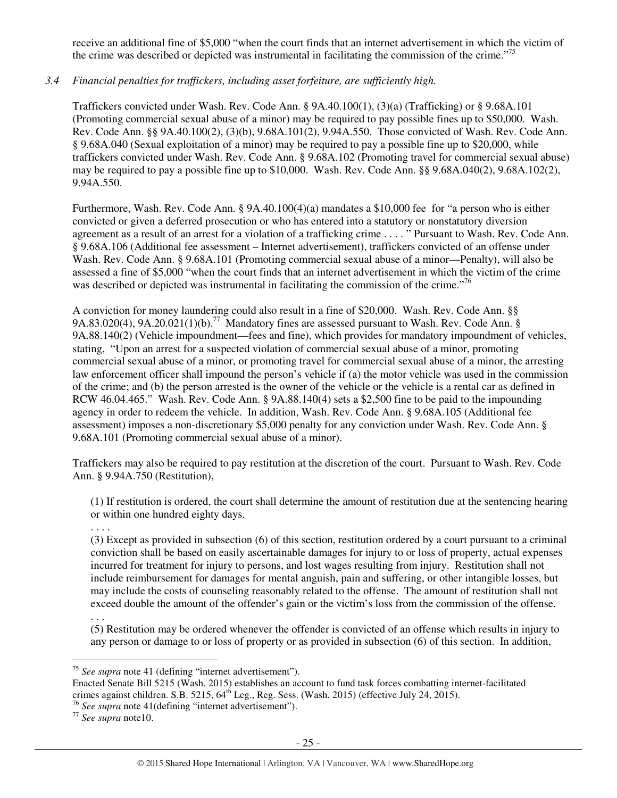receive an additional fine of \$5,000 "when the court finds that an internet advertisement in which the victim of the crime was described or depicted was instrumental in facilitating the commission of the crime."<sup>75</sup>

# *3.4 Financial penalties for traffickers, including asset forfeiture, are sufficiently high.*

Traffickers convicted under Wash. Rev. Code Ann. § 9A.40.100(1), (3)(a) (Trafficking) or § 9.68A.101 (Promoting commercial sexual abuse of a minor) may be required to pay possible fines up to \$50,000. Wash. Rev. Code Ann. §§ 9A.40.100(2), (3)(b), 9.68A.101(2), 9.94A.550. Those convicted of Wash. Rev. Code Ann. § 9.68A.040 (Sexual exploitation of a minor) may be required to pay a possible fine up to \$20,000, while traffickers convicted under Wash. Rev. Code Ann. § 9.68A.102 (Promoting travel for commercial sexual abuse) may be required to pay a possible fine up to \$10,000. Wash. Rev. Code Ann. §§ 9.68A.040(2), 9.68A.102(2), 9.94A.550.

Furthermore, Wash. Rev. Code Ann. § 9A.40.100(4)(a) mandates a \$10,000 fee for "a person who is either convicted or given a deferred prosecution or who has entered into a statutory or nonstatutory diversion agreement as a result of an arrest for a violation of a trafficking crime . . . . " Pursuant to Wash. Rev. Code Ann. § 9.68A.106 (Additional fee assessment – Internet advertisement), traffickers convicted of an offense under Wash. Rev. Code Ann. § 9.68A.101 (Promoting commercial sexual abuse of a minor—Penalty), will also be assessed a fine of \$5,000 "when the court finds that an internet advertisement in which the victim of the crime was described or depicted was instrumental in facilitating the commission of the crime."<sup>76</sup>

A conviction for money laundering could also result in a fine of \$20,000. Wash. Rev. Code Ann. §§ 9A.83.020(4), 9A.20.021(1)(b).<sup>77</sup> Mandatory fines are assessed pursuant to Wash. Rev. Code Ann. § 9A.88.140(2) (Vehicle impoundment—fees and fine), which provides for mandatory impoundment of vehicles, stating, "Upon an arrest for a suspected violation of commercial sexual abuse of a minor, promoting commercial sexual abuse of a minor, or promoting travel for commercial sexual abuse of a minor, the arresting law enforcement officer shall impound the person's vehicle if (a) the motor vehicle was used in the commission of the crime; and (b) the person arrested is the owner of the vehicle or the vehicle is a rental car as defined in RCW 46.04.465." Wash. Rev. Code Ann. § 9A.88.140(4) sets a \$2,500 fine to be paid to the impounding agency in order to redeem the vehicle. In addition, Wash. Rev. Code Ann. § 9.68A.105 (Additional fee assessment) imposes a non-discretionary \$5,000 penalty for any conviction under Wash. Rev. Code Ann. § 9.68A.101 (Promoting commercial sexual abuse of a minor).

Traffickers may also be required to pay restitution at the discretion of the court. Pursuant to Wash. Rev. Code Ann. § 9.94A.750 (Restitution),

(1) If restitution is ordered, the court shall determine the amount of restitution due at the sentencing hearing or within one hundred eighty days.

. . . . (3) Except as provided in subsection (6) of this section, restitution ordered by a court pursuant to a criminal conviction shall be based on easily ascertainable damages for injury to or loss of property, actual expenses incurred for treatment for injury to persons, and lost wages resulting from injury. Restitution shall not include reimbursement for damages for mental anguish, pain and suffering, or other intangible losses, but may include the costs of counseling reasonably related to the offense. The amount of restitution shall not exceed double the amount of the offender's gain or the victim's loss from the commission of the offense.

(5) Restitution may be ordered whenever the offender is convicted of an offense which results in injury to any person or damage to or loss of property or as provided in subsection (6) of this section. In addition,

<sup>. . .</sup> 

 $\overline{a}$ <sup>75</sup> *See supra* note 41 (defining "internet advertisement").

Enacted Senate Bill 5215 (Wash. 2015) establishes an account to fund task forces combatting internet-facilitated crimes against children. S.B. 5215,  $64<sup>th</sup>$  Leg., Reg. Sess. (Wash. 2015) (effective July 24, 2015).

<sup>76</sup> *See supra* note 41(defining "internet advertisement").

<sup>77</sup> *See supra* note10.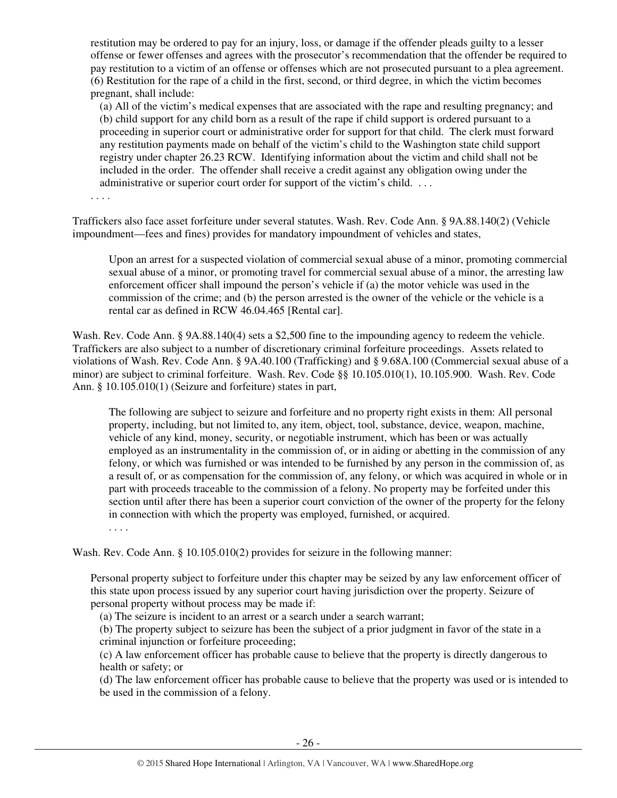restitution may be ordered to pay for an injury, loss, or damage if the offender pleads guilty to a lesser offense or fewer offenses and agrees with the prosecutor's recommendation that the offender be required to pay restitution to a victim of an offense or offenses which are not prosecuted pursuant to a plea agreement. (6) Restitution for the rape of a child in the first, second, or third degree, in which the victim becomes pregnant, shall include:

(a) All of the victim's medical expenses that are associated with the rape and resulting pregnancy; and (b) child support for any child born as a result of the rape if child support is ordered pursuant to a proceeding in superior court or administrative order for support for that child. The clerk must forward any restitution payments made on behalf of the victim's child to the Washington state child support registry under chapter 26.23 RCW. Identifying information about the victim and child shall not be included in the order. The offender shall receive a credit against any obligation owing under the administrative or superior court order for support of the victim's child. . . .

. . . .

Traffickers also face asset forfeiture under several statutes. Wash. Rev. Code Ann. § 9A.88.140(2) (Vehicle impoundment—fees and fines) provides for mandatory impoundment of vehicles and states,

Upon an arrest for a suspected violation of commercial sexual abuse of a minor, promoting commercial sexual abuse of a minor, or promoting travel for commercial sexual abuse of a minor, the arresting law enforcement officer shall impound the person's vehicle if (a) the motor vehicle was used in the commission of the crime; and (b) the person arrested is the owner of the vehicle or the vehicle is a rental car as defined in RCW 46.04.465 [Rental car].

Wash. Rev. Code Ann. § 9A.88.140(4) sets a \$2,500 fine to the impounding agency to redeem the vehicle. Traffickers are also subject to a number of discretionary criminal forfeiture proceedings. Assets related to violations of Wash. Rev. Code Ann. § 9A.40.100 (Trafficking) and § 9.68A.100 (Commercial sexual abuse of a minor) are subject to criminal forfeiture. Wash. Rev. Code §§ 10.105.010(1), 10.105.900. Wash. Rev. Code Ann. § 10.105.010(1) (Seizure and forfeiture) states in part,

The following are subject to seizure and forfeiture and no property right exists in them: All personal property, including, but not limited to, any item, object, tool, substance, device, weapon, machine, vehicle of any kind, money, security, or negotiable instrument, which has been or was actually employed as an instrumentality in the commission of, or in aiding or abetting in the commission of any felony, or which was furnished or was intended to be furnished by any person in the commission of, as a result of, or as compensation for the commission of, any felony, or which was acquired in whole or in part with proceeds traceable to the commission of a felony. No property may be forfeited under this section until after there has been a superior court conviction of the owner of the property for the felony in connection with which the property was employed, furnished, or acquired.

. . . .

Wash. Rev. Code Ann. § 10.105.010(2) provides for seizure in the following manner:

Personal property subject to forfeiture under this chapter may be seized by any law enforcement officer of this state upon process issued by any superior court having jurisdiction over the property. Seizure of personal property without process may be made if:

(a) The seizure is incident to an arrest or a search under a search warrant;

(b) The property subject to seizure has been the subject of a prior judgment in favor of the state in a criminal injunction or forfeiture proceeding;

(c) A law enforcement officer has probable cause to believe that the property is directly dangerous to health or safety; or

(d) The law enforcement officer has probable cause to believe that the property was used or is intended to be used in the commission of a felony.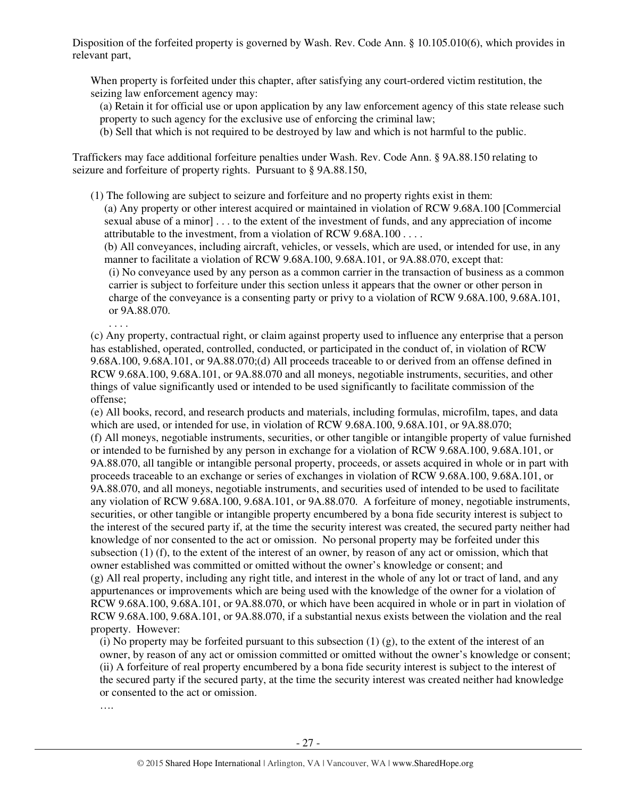Disposition of the forfeited property is governed by Wash. Rev. Code Ann. § 10.105.010(6), which provides in relevant part,

When property is forfeited under this chapter, after satisfying any court-ordered victim restitution, the seizing law enforcement agency may:

(a) Retain it for official use or upon application by any law enforcement agency of this state release such property to such agency for the exclusive use of enforcing the criminal law;

(b) Sell that which is not required to be destroyed by law and which is not harmful to the public.

Traffickers may face additional forfeiture penalties under Wash. Rev. Code Ann. § 9A.88.150 relating to seizure and forfeiture of property rights. Pursuant to § 9A.88.150,

(1) The following are subject to seizure and forfeiture and no property rights exist in them: (a) Any property or other interest acquired or maintained in violation of RCW 9.68A.100 [Commercial sexual abuse of a minor] . . . to the extent of the investment of funds, and any appreciation of income attributable to the investment, from a violation of RCW 9.68A.100 . . . .

(b) All conveyances, including aircraft, vehicles, or vessels, which are used, or intended for use, in any manner to facilitate a violation of RCW 9.68A.100, 9.68A.101, or 9A.88.070, except that:

(i) No conveyance used by any person as a common carrier in the transaction of business as a common carrier is subject to forfeiture under this section unless it appears that the owner or other person in charge of the conveyance is a consenting party or privy to a violation of RCW 9.68A.100, 9.68A.101, or 9A.88.070.

. . . .

(c) Any property, contractual right, or claim against property used to influence any enterprise that a person has established, operated, controlled, conducted, or participated in the conduct of, in violation of RCW 9.68A.100, 9.68A.101, or 9A.88.070;(d) All proceeds traceable to or derived from an offense defined in RCW 9.68A.100, 9.68A.101, or 9A.88.070 and all moneys, negotiable instruments, securities, and other things of value significantly used or intended to be used significantly to facilitate commission of the offense;

(e) All books, record, and research products and materials, including formulas, microfilm, tapes, and data which are used, or intended for use, in violation of RCW 9.68A.100, 9.68A.101, or 9A.88.070; (f) All moneys, negotiable instruments, securities, or other tangible or intangible property of value furnished or intended to be furnished by any person in exchange for a violation of RCW 9.68A.100, 9.68A.101, or 9A.88.070, all tangible or intangible personal property, proceeds, or assets acquired in whole or in part with proceeds traceable to an exchange or series of exchanges in violation of RCW 9.68A.100, 9.68A.101, or 9A.88.070, and all moneys, negotiable instruments, and securities used of intended to be used to facilitate any violation of RCW 9.68A.100, 9.68A.101, or 9A.88.070. A forfeiture of money, negotiable instruments, securities, or other tangible or intangible property encumbered by a bona fide security interest is subject to the interest of the secured party if, at the time the security interest was created, the secured party neither had knowledge of nor consented to the act or omission. No personal property may be forfeited under this subsection (1) (f), to the extent of the interest of an owner, by reason of any act or omission, which that owner established was committed or omitted without the owner's knowledge or consent; and (g) All real property, including any right title, and interest in the whole of any lot or tract of land, and any appurtenances or improvements which are being used with the knowledge of the owner for a violation of RCW 9.68A.100, 9.68A.101, or 9A.88.070, or which have been acquired in whole or in part in violation of RCW 9.68A.100, 9.68A.101, or 9A.88.070, if a substantial nexus exists between the violation and the real property. However:

(i) No property may be forfeited pursuant to this subsection  $(1)$  (g), to the extent of the interest of an owner, by reason of any act or omission committed or omitted without the owner's knowledge or consent; (ii) A forfeiture of real property encumbered by a bona fide security interest is subject to the interest of the secured party if the secured party, at the time the security interest was created neither had knowledge or consented to the act or omission.

….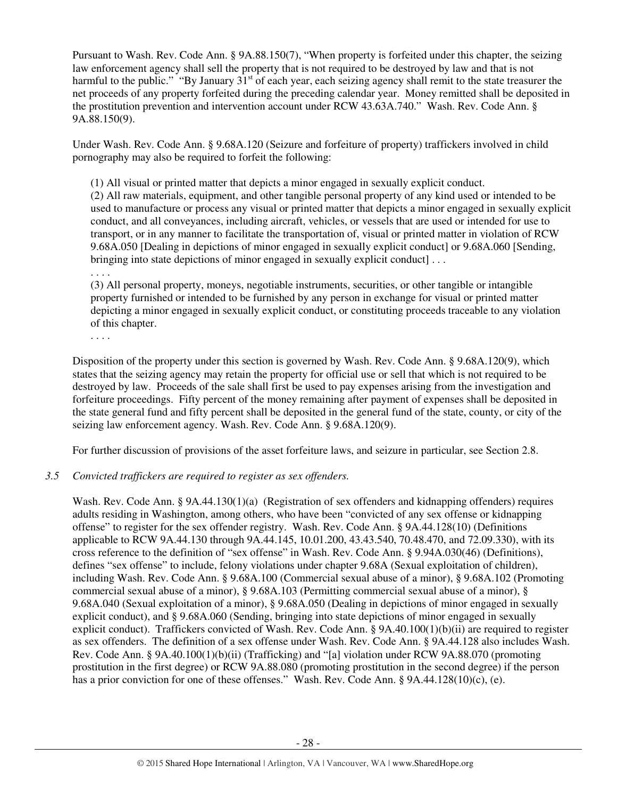Pursuant to Wash. Rev. Code Ann. § 9A.88.150(7), "When property is forfeited under this chapter, the seizing law enforcement agency shall sell the property that is not required to be destroyed by law and that is not harmful to the public." "By January  $31<sup>st</sup>$  of each year, each seizing agency shall remit to the state treasurer the net proceeds of any property forfeited during the preceding calendar year. Money remitted shall be deposited in the prostitution prevention and intervention account under RCW 43.63A.740." Wash. Rev. Code Ann. § 9A.88.150(9).

Under Wash. Rev. Code Ann. § 9.68A.120 (Seizure and forfeiture of property) traffickers involved in child pornography may also be required to forfeit the following:

(1) All visual or printed matter that depicts a minor engaged in sexually explicit conduct.

(2) All raw materials, equipment, and other tangible personal property of any kind used or intended to be used to manufacture or process any visual or printed matter that depicts a minor engaged in sexually explicit conduct, and all conveyances, including aircraft, vehicles, or vessels that are used or intended for use to transport, or in any manner to facilitate the transportation of, visual or printed matter in violation of RCW 9.68A.050 [Dealing in depictions of minor engaged in sexually explicit conduct] or 9.68A.060 [Sending, bringing into state depictions of minor engaged in sexually explicit conduct  $|\dots$ 

. . . .

(3) All personal property, moneys, negotiable instruments, securities, or other tangible or intangible property furnished or intended to be furnished by any person in exchange for visual or printed matter depicting a minor engaged in sexually explicit conduct, or constituting proceeds traceable to any violation of this chapter.

. . . .

Disposition of the property under this section is governed by Wash. Rev. Code Ann. § 9.68A.120(9), which states that the seizing agency may retain the property for official use or sell that which is not required to be destroyed by law. Proceeds of the sale shall first be used to pay expenses arising from the investigation and forfeiture proceedings. Fifty percent of the money remaining after payment of expenses shall be deposited in the state general fund and fifty percent shall be deposited in the general fund of the state, county, or city of the seizing law enforcement agency. Wash. Rev. Code Ann. § 9.68A.120(9).

For further discussion of provisions of the asset forfeiture laws, and seizure in particular, see Section 2.8.

#### *3.5 Convicted traffickers are required to register as sex offenders.*

Wash. Rev. Code Ann. § 9A.44.130(1)(a) (Registration of sex offenders and kidnapping offenders) requires adults residing in Washington, among others, who have been "convicted of any sex offense or kidnapping offense" to register for the sex offender registry. Wash. Rev. Code Ann. § 9A.44.128(10) (Definitions applicable to RCW 9A.44.130 through 9A.44.145, 10.01.200, 43.43.540, 70.48.470, and 72.09.330), with its cross reference to the definition of "sex offense" in Wash. Rev. Code Ann. § 9.94A.030(46) (Definitions), defines "sex offense" to include, felony violations under chapter 9.68A (Sexual exploitation of children), including Wash. Rev. Code Ann. § 9.68A.100 (Commercial sexual abuse of a minor), § 9.68A.102 (Promoting commercial sexual abuse of a minor), § 9.68A.103 (Permitting commercial sexual abuse of a minor), § 9.68A.040 (Sexual exploitation of a minor), § 9.68A.050 (Dealing in depictions of minor engaged in sexually explicit conduct), and § 9.68A.060 (Sending, bringing into state depictions of minor engaged in sexually explicit conduct). Traffickers convicted of Wash. Rev. Code Ann. § 9A.40.100(1)(b)(ii) are required to register as sex offenders. The definition of a sex offense under Wash. Rev. Code Ann. § 9A.44.128 also includes Wash. Rev. Code Ann. § 9A.40.100(1)(b)(ii) (Trafficking) and "[a] violation under RCW 9A.88.070 (promoting prostitution in the first degree) or RCW 9A.88.080 (promoting prostitution in the second degree) if the person has a prior conviction for one of these offenses." Wash. Rev. Code Ann. § 9A.44.128(10)(c), (e).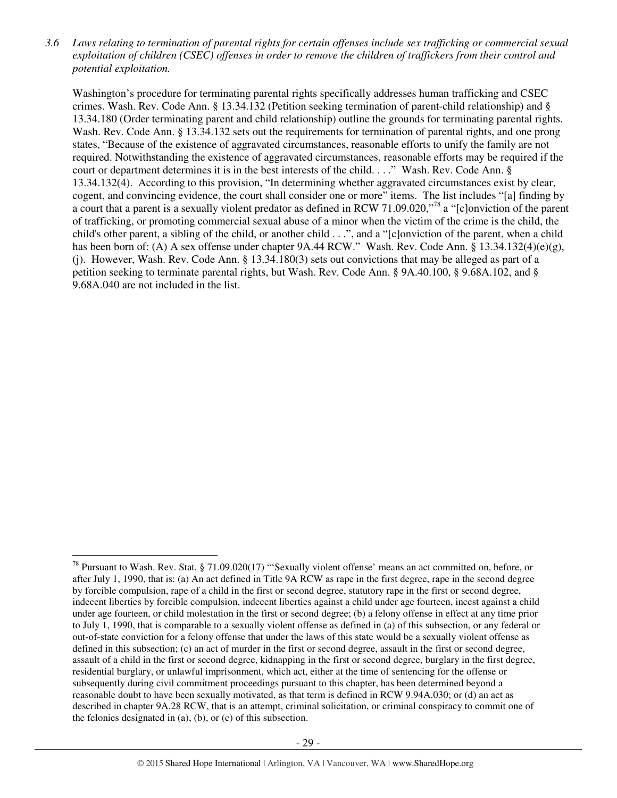*3.6 Laws relating to termination of parental rights for certain offenses include sex trafficking or commercial sexual exploitation of children (CSEC) offenses in order to remove the children of traffickers from their control and potential exploitation.* 

Washington's procedure for terminating parental rights specifically addresses human trafficking and CSEC crimes. Wash. Rev. Code Ann. § 13.34.132 (Petition seeking termination of parent-child relationship) and § 13.34.180 (Order terminating parent and child relationship) outline the grounds for terminating parental rights. Wash. Rev. Code Ann. § 13.34.132 sets out the requirements for termination of parental rights, and one prong states, "Because of the existence of aggravated circumstances, reasonable efforts to unify the family are not required. Notwithstanding the existence of aggravated circumstances, reasonable efforts may be required if the court or department determines it is in the best interests of the child. . . ." Wash. Rev. Code Ann. § 13.34.132(4). According to this provision, "In determining whether aggravated circumstances exist by clear, cogent, and convincing evidence, the court shall consider one or more" items. The list includes "[a] finding by a court that a parent is a sexually violent predator as defined in RCW 71.09.020,"<sup>78</sup> a "[c]onviction of the parent of trafficking, or promoting commercial sexual abuse of a minor when the victim of the crime is the child, the child's other parent, a sibling of the child, or another child . . .", and a "[c]onviction of the parent, when a child has been born of: (A) A sex offense under chapter 9A.44 RCW." Wash. Rev. Code Ann. § 13.34.132(4)(e)(g), (j). However, Wash. Rev. Code Ann. § 13.34.180(3) sets out convictions that may be alleged as part of a petition seeking to terminate parental rights, but Wash. Rev. Code Ann. § 9A.40.100, § 9.68A.102, and § 9.68A.040 are not included in the list.

 $^{78}$  Pursuant to Wash. Rev. Stat. § 71.09.020(17) "'Sexually violent offense' means an act committed on, before, or after July 1, 1990, that is: (a) An act defined in Title 9A RCW as rape in the first degree, rape in the second degree by forcible compulsion, rape of a child in the first or second degree, statutory rape in the first or second degree, indecent liberties by forcible compulsion, indecent liberties against a child under age fourteen, incest against a child under age fourteen, or child molestation in the first or second degree; (b) a felony offense in effect at any time prior to July 1, 1990, that is comparable to a sexually violent offense as defined in (a) of this subsection, or any federal or out-of-state conviction for a felony offense that under the laws of this state would be a sexually violent offense as defined in this subsection; (c) an act of murder in the first or second degree, assault in the first or second degree, assault of a child in the first or second degree, kidnapping in the first or second degree, burglary in the first degree, residential burglary, or unlawful imprisonment, which act, either at the time of sentencing for the offense or subsequently during civil commitment proceedings pursuant to this chapter, has been determined beyond a reasonable doubt to have been sexually motivated, as that term is defined in RCW 9.94A.030; or (d) an act as described in chapter 9A.28 RCW, that is an attempt, criminal solicitation, or criminal conspiracy to commit one of the felonies designated in (a), (b), or (c) of this subsection.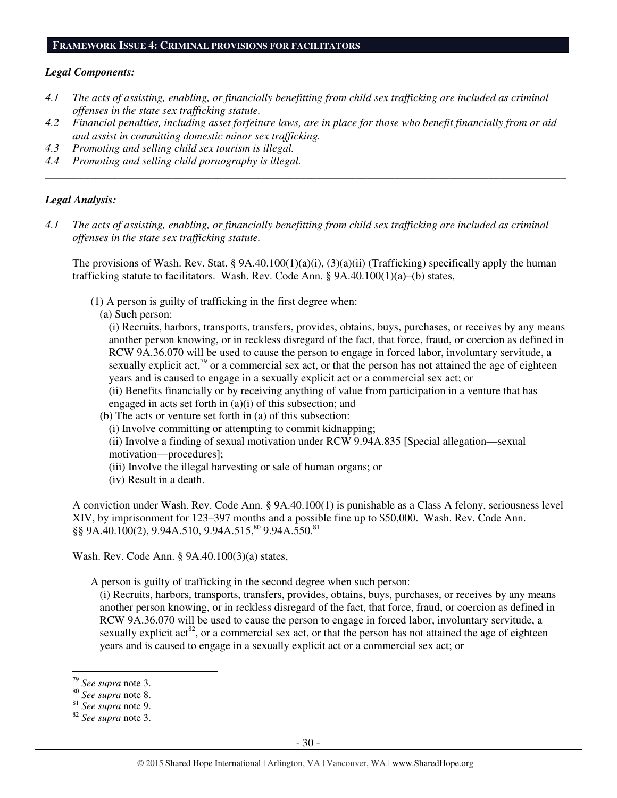#### **FRAMEWORK ISSUE 4: CRIMINAL PROVISIONS FOR FACILITATORS**

#### *Legal Components:*

- *4.1 The acts of assisting, enabling, or financially benefitting from child sex trafficking are included as criminal offenses in the state sex trafficking statute.*
- *4.2 Financial penalties, including asset forfeiture laws, are in place for those who benefit financially from or aid and assist in committing domestic minor sex trafficking.*

*\_\_\_\_\_\_\_\_\_\_\_\_\_\_\_\_\_\_\_\_\_\_\_\_\_\_\_\_\_\_\_\_\_\_\_\_\_\_\_\_\_\_\_\_\_\_\_\_\_\_\_\_\_\_\_\_\_\_\_\_\_\_\_\_\_\_\_\_\_\_\_\_\_\_\_\_\_\_\_\_\_\_\_\_\_\_\_\_\_\_\_\_\_\_* 

- *4.3 Promoting and selling child sex tourism is illegal.*
- *4.4 Promoting and selling child pornography is illegal.*

#### *Legal Analysis:*

*4.1 The acts of assisting, enabling, or financially benefitting from child sex trafficking are included as criminal offenses in the state sex trafficking statute.* 

The provisions of Wash. Rev. Stat. §  $9A.40.100(1)(a)(i)$ ,  $(3)(a)(ii)$  (Trafficking) specifically apply the human trafficking statute to facilitators. Wash. Rev. Code Ann. §  $9A.40.100(1)(a)$ –(b) states,

- (1) A person is guilty of trafficking in the first degree when:
	- (a) Such person:

(i) Recruits, harbors, transports, transfers, provides, obtains, buys, purchases, or receives by any means another person knowing, or in reckless disregard of the fact, that force, fraud, or coercion as defined in RCW 9A.36.070 will be used to cause the person to engage in forced labor, involuntary servitude, a sexually explicit act,<sup>79</sup> or a commercial sex act, or that the person has not attained the age of eighteen years and is caused to engage in a sexually explicit act or a commercial sex act; or

(ii) Benefits financially or by receiving anything of value from participation in a venture that has engaged in acts set forth in (a)(i) of this subsection; and

- (b) The acts or venture set forth in (a) of this subsection:
	- (i) Involve committing or attempting to commit kidnapping;

(ii) Involve a finding of sexual motivation under RCW 9.94A.835 [Special allegation—sexual motivation—procedures];

- (iii) Involve the illegal harvesting or sale of human organs; or
- (iv) Result in a death.

A conviction under Wash. Rev. Code Ann. § 9A.40.100(1) is punishable as a Class A felony, seriousness level XIV, by imprisonment for 123–397 months and a possible fine up to \$50,000. Wash. Rev. Code Ann. §§ 9A.40.100(2), 9.94A.510, 9.94A.515,<sup>80</sup> 9.94A.550.<sup>81</sup>

Wash. Rev. Code Ann. § 9A.40.100(3)(a) states,

A person is guilty of trafficking in the second degree when such person:

(i) Recruits, harbors, transports, transfers, provides, obtains, buys, purchases, or receives by any means another person knowing, or in reckless disregard of the fact, that force, fraud, or coercion as defined in RCW 9A.36.070 will be used to cause the person to engage in forced labor, involuntary servitude, a sexually explicit  $\text{act}^{82}$ , or a commercial sex act, or that the person has not attained the age of eighteen years and is caused to engage in a sexually explicit act or a commercial sex act; or

 $\overline{a}$ <sup>79</sup> *See supra* note 3.

<sup>80</sup> *See supra* note 8.

<sup>81</sup> *See supra* note 9.

<sup>82</sup> *See supra* note 3.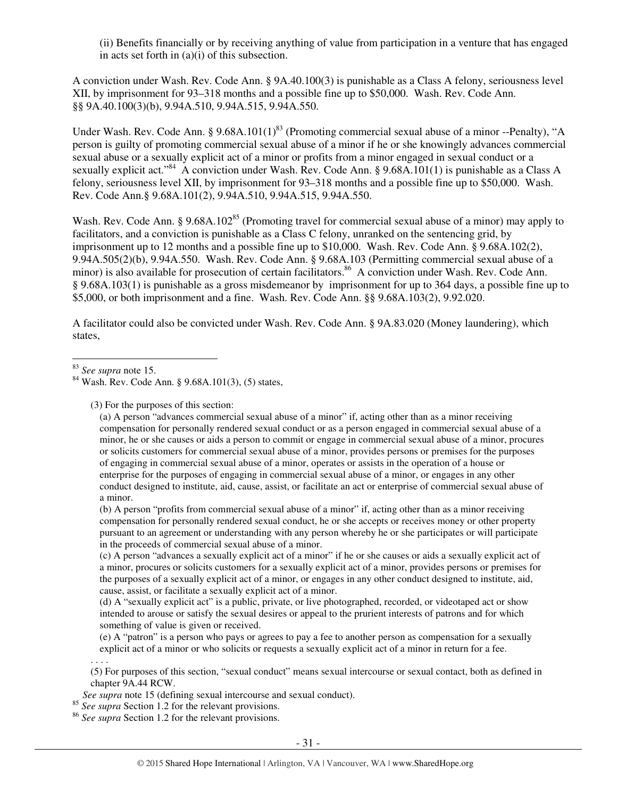(ii) Benefits financially or by receiving anything of value from participation in a venture that has engaged in acts set forth in (a)(i) of this subsection.

A conviction under Wash. Rev. Code Ann. § 9A.40.100(3) is punishable as a Class A felony, seriousness level XII, by imprisonment for 93–318 months and a possible fine up to \$50,000. Wash. Rev. Code Ann. §§ 9A.40.100(3)(b), 9.94A.510, 9.94A.515, 9.94A.550.

Under Wash. Rev. Code Ann. §  $9.68A.101(1)^{83}$  (Promoting commercial sexual abuse of a minor --Penalty), "A person is guilty of promoting commercial sexual abuse of a minor if he or she knowingly advances commercial sexual abuse or a sexually explicit act of a minor or profits from a minor engaged in sexual conduct or a sexually explicit act."<sup>84</sup> A conviction under Wash. Rev. Code Ann. § 9.68A.101(1) is punishable as a Class A felony, seriousness level XII, by imprisonment for 93–318 months and a possible fine up to \$50,000. Wash. Rev. Code Ann.§ 9.68A.101(2), 9.94A.510, 9.94A.515, 9.94A.550.

Wash. Rev. Code Ann. § 9.68A.102<sup>85</sup> (Promoting travel for commercial sexual abuse of a minor) may apply to facilitators, and a conviction is punishable as a Class C felony, unranked on the sentencing grid, by imprisonment up to 12 months and a possible fine up to \$10,000. Wash. Rev. Code Ann. § 9.68A.102(2), 9.94A.505(2)(b), 9.94A.550. Wash. Rev. Code Ann. § 9.68A.103 (Permitting commercial sexual abuse of a minor) is also available for prosecution of certain facilitators.<sup>86</sup> A conviction under Wash. Rev. Code Ann. § 9.68A.103(1) is punishable as a gross misdemeanor by imprisonment for up to 364 days, a possible fine up to \$5,000, or both imprisonment and a fine. Wash. Rev. Code Ann. §§ 9.68A.103(2), 9.92.020.

A facilitator could also be convicted under Wash. Rev. Code Ann. § 9A.83.020 (Money laundering), which states,

. . . .

 $\overline{a}$ 

(3) For the purposes of this section:

(a) A person "advances commercial sexual abuse of a minor" if, acting other than as a minor receiving compensation for personally rendered sexual conduct or as a person engaged in commercial sexual abuse of a minor, he or she causes or aids a person to commit or engage in commercial sexual abuse of a minor, procures or solicits customers for commercial sexual abuse of a minor, provides persons or premises for the purposes of engaging in commercial sexual abuse of a minor, operates or assists in the operation of a house or enterprise for the purposes of engaging in commercial sexual abuse of a minor, or engages in any other conduct designed to institute, aid, cause, assist, or facilitate an act or enterprise of commercial sexual abuse of a minor.

(b) A person "profits from commercial sexual abuse of a minor" if, acting other than as a minor receiving compensation for personally rendered sexual conduct, he or she accepts or receives money or other property pursuant to an agreement or understanding with any person whereby he or she participates or will participate in the proceeds of commercial sexual abuse of a minor.

(c) A person "advances a sexually explicit act of a minor" if he or she causes or aids a sexually explicit act of a minor, procures or solicits customers for a sexually explicit act of a minor, provides persons or premises for the purposes of a sexually explicit act of a minor, or engages in any other conduct designed to institute, aid, cause, assist, or facilitate a sexually explicit act of a minor.

(d) A "sexually explicit act" is a public, private, or live photographed, recorded, or videotaped act or show intended to arouse or satisfy the sexual desires or appeal to the prurient interests of patrons and for which something of value is given or received.

(e) A "patron" is a person who pays or agrees to pay a fee to another person as compensation for a sexually explicit act of a minor or who solicits or requests a sexually explicit act of a minor in return for a fee.

(5) For purposes of this section, "sexual conduct" means sexual intercourse or sexual contact, both as defined in chapter 9A.44 RCW.

 *See supra* note 15 (defining sexual intercourse and sexual conduct).

<sup>85</sup> *See supra* Section 1.2 for the relevant provisions.

<sup>86</sup> *See supra* Section 1.2 for the relevant provisions.

<sup>83</sup> *See supra* note 15.

 $^{84}$  Wash. Rev. Code Ann. § 9.68A.101(3), (5) states,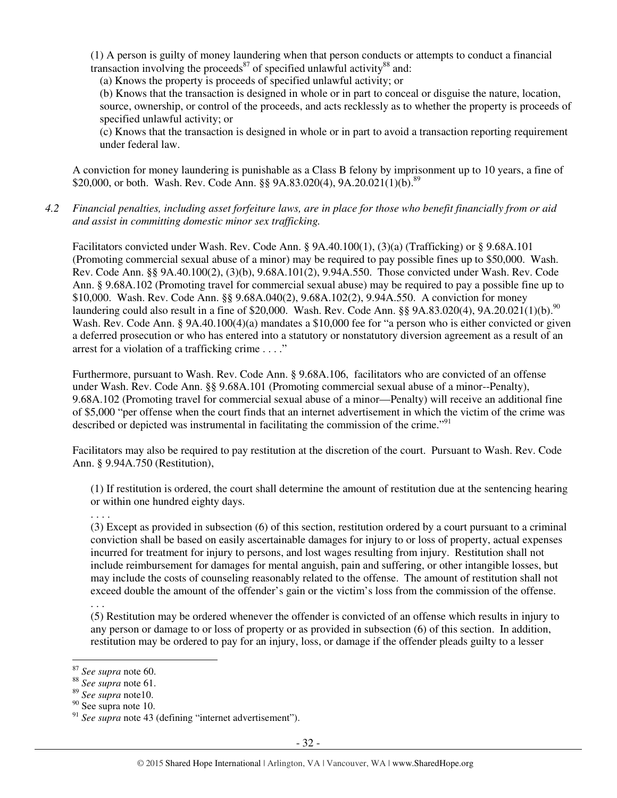(1) A person is guilty of money laundering when that person conducts or attempts to conduct a financial transaction involving the proceeds<sup>87</sup> of specified unlawful activity<sup>88</sup> and:

(a) Knows the property is proceeds of specified unlawful activity; or

(b) Knows that the transaction is designed in whole or in part to conceal or disguise the nature, location, source, ownership, or control of the proceeds, and acts recklessly as to whether the property is proceeds of specified unlawful activity; or

(c) Knows that the transaction is designed in whole or in part to avoid a transaction reporting requirement under federal law.

A conviction for money laundering is punishable as a Class B felony by imprisonment up to 10 years, a fine of \$20,000, or both. Wash. Rev. Code Ann. §§ 9A.83.020(4), 9A.20.021(1)(b).<sup>89</sup>

*4.2 Financial penalties, including asset forfeiture laws, are in place for those who benefit financially from or aid and assist in committing domestic minor sex trafficking.* 

Facilitators convicted under Wash. Rev. Code Ann. § 9A.40.100(1), (3)(a) (Trafficking) or § 9.68A.101 (Promoting commercial sexual abuse of a minor) may be required to pay possible fines up to \$50,000. Wash. Rev. Code Ann. §§ 9A.40.100(2), (3)(b), 9.68A.101(2), 9.94A.550. Those convicted under Wash. Rev. Code Ann. § 9.68A.102 (Promoting travel for commercial sexual abuse) may be required to pay a possible fine up to \$10,000. Wash. Rev. Code Ann. §§ 9.68A.040(2), 9.68A.102(2), 9.94A.550. A conviction for money laundering could also result in a fine of \$20,000. Wash. Rev. Code Ann. §§ 9A.83.020(4), 9A.20.021(1)(b).<sup>90</sup> Wash. Rev. Code Ann. § 9A.40.100(4)(a) mandates a \$10,000 fee for "a person who is either convicted or given a deferred prosecution or who has entered into a statutory or nonstatutory diversion agreement as a result of an arrest for a violation of a trafficking crime . . . ."

Furthermore, pursuant to Wash. Rev. Code Ann. § 9.68A.106, facilitators who are convicted of an offense under Wash. Rev. Code Ann. §§ 9.68A.101 (Promoting commercial sexual abuse of a minor--Penalty), 9.68A.102 (Promoting travel for commercial sexual abuse of a minor—Penalty) will receive an additional fine of \$5,000 "per offense when the court finds that an internet advertisement in which the victim of the crime was described or depicted was instrumental in facilitating the commission of the crime."<sup>91</sup>

Facilitators may also be required to pay restitution at the discretion of the court. Pursuant to Wash. Rev. Code Ann. § 9.94A.750 (Restitution),

(1) If restitution is ordered, the court shall determine the amount of restitution due at the sentencing hearing or within one hundred eighty days.

. . . .

(3) Except as provided in subsection (6) of this section, restitution ordered by a court pursuant to a criminal conviction shall be based on easily ascertainable damages for injury to or loss of property, actual expenses incurred for treatment for injury to persons, and lost wages resulting from injury. Restitution shall not include reimbursement for damages for mental anguish, pain and suffering, or other intangible losses, but may include the costs of counseling reasonably related to the offense. The amount of restitution shall not exceed double the amount of the offender's gain or the victim's loss from the commission of the offense.

. . . (5) Restitution may be ordered whenever the offender is convicted of an offense which results in injury to any person or damage to or loss of property or as provided in subsection (6) of this section. In addition, restitution may be ordered to pay for an injury, loss, or damage if the offender pleads guilty to a lesser

<sup>87</sup> *See supra* note 60.

<sup>88</sup> *See supra* note 61.

<sup>89</sup> *See supra* note10.

<sup>90</sup> See supra note 10.

<sup>&</sup>lt;sup>91</sup> See supra note 43 (defining "internet advertisement").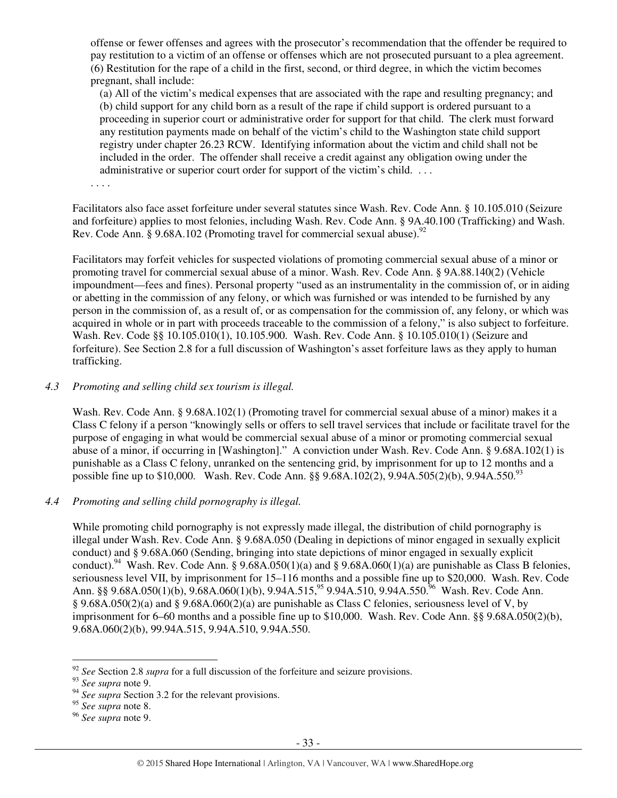offense or fewer offenses and agrees with the prosecutor's recommendation that the offender be required to pay restitution to a victim of an offense or offenses which are not prosecuted pursuant to a plea agreement. (6) Restitution for the rape of a child in the first, second, or third degree, in which the victim becomes pregnant, shall include:

(a) All of the victim's medical expenses that are associated with the rape and resulting pregnancy; and (b) child support for any child born as a result of the rape if child support is ordered pursuant to a proceeding in superior court or administrative order for support for that child. The clerk must forward any restitution payments made on behalf of the victim's child to the Washington state child support registry under chapter 26.23 RCW. Identifying information about the victim and child shall not be included in the order. The offender shall receive a credit against any obligation owing under the administrative or superior court order for support of the victim's child. ...

. . . .

Facilitators also face asset forfeiture under several statutes since Wash. Rev. Code Ann. § 10.105.010 (Seizure and forfeiture) applies to most felonies, including Wash. Rev. Code Ann. § 9A.40.100 (Trafficking) and Wash. Rev. Code Ann.  $\S$  9.68A.102 (Promoting travel for commercial sexual abuse).<sup>92</sup>

Facilitators may forfeit vehicles for suspected violations of promoting commercial sexual abuse of a minor or promoting travel for commercial sexual abuse of a minor. Wash. Rev. Code Ann. § 9A.88.140(2) (Vehicle impoundment—fees and fines). Personal property "used as an instrumentality in the commission of, or in aiding or abetting in the commission of any felony, or which was furnished or was intended to be furnished by any person in the commission of, as a result of, or as compensation for the commission of, any felony, or which was acquired in whole or in part with proceeds traceable to the commission of a felony," is also subject to forfeiture. Wash. Rev. Code §§ 10.105.010(1), 10.105.900. Wash. Rev. Code Ann. § 10.105.010(1) (Seizure and forfeiture). See Section 2.8 for a full discussion of Washington's asset forfeiture laws as they apply to human trafficking.

#### *4.3 Promoting and selling child sex tourism is illegal.*

Wash. Rev. Code Ann. § 9.68A.102(1) (Promoting travel for commercial sexual abuse of a minor) makes it a Class C felony if a person "knowingly sells or offers to sell travel services that include or facilitate travel for the purpose of engaging in what would be commercial sexual abuse of a minor or promoting commercial sexual abuse of a minor, if occurring in [Washington]." A conviction under Wash. Rev. Code Ann. § 9.68A.102(1) is punishable as a Class C felony, unranked on the sentencing grid, by imprisonment for up to 12 months and a possible fine up to \$10,000. Wash. Rev. Code Ann. §§ 9.68A.102(2), 9.94A.505(2)(b), 9.94A.550.<sup>93</sup>

# *4.4 Promoting and selling child pornography is illegal.*

While promoting child pornography is not expressly made illegal, the distribution of child pornography is illegal under Wash. Rev. Code Ann. § 9.68A.050 (Dealing in depictions of minor engaged in sexually explicit conduct) and § 9.68A.060 (Sending, bringing into state depictions of minor engaged in sexually explicit conduct).<sup>94</sup> Wash. Rev. Code Ann. § 9.68A.050(1)(a) and § 9.68A.060(1)(a) are punishable as Class B felonies, seriousness level VII, by imprisonment for 15–116 months and a possible fine up to \$20,000. Wash. Rev. Code Ann. §§ 9.68A.050(1)(b), 9.68A.060(1)(b), 9.94A.515,<sup>95</sup> 9.94A.510, 9.94A.550.<sup>96</sup> Wash. Rev. Code Ann. § 9.68A.050(2)(a) and § 9.68A.060(2)(a) are punishable as Class C felonies, seriousness level of V, by imprisonment for 6–60 months and a possible fine up to \$10,000. Wash. Rev. Code Ann. §§ 9.68A.050(2)(b), 9.68A.060(2)(b), 99.94A.515, 9.94A.510, 9.94A.550.

 $\overline{a}$ <sup>92</sup> *See* Section 2.8 *supra* for a full discussion of the forfeiture and seizure provisions.

<sup>93</sup> *See supra* note 9.

<sup>&</sup>lt;sup>94</sup> See supra Section 3.2 for the relevant provisions.

<sup>95</sup> *See supra* note 8.

<sup>96</sup> *See supra* note 9.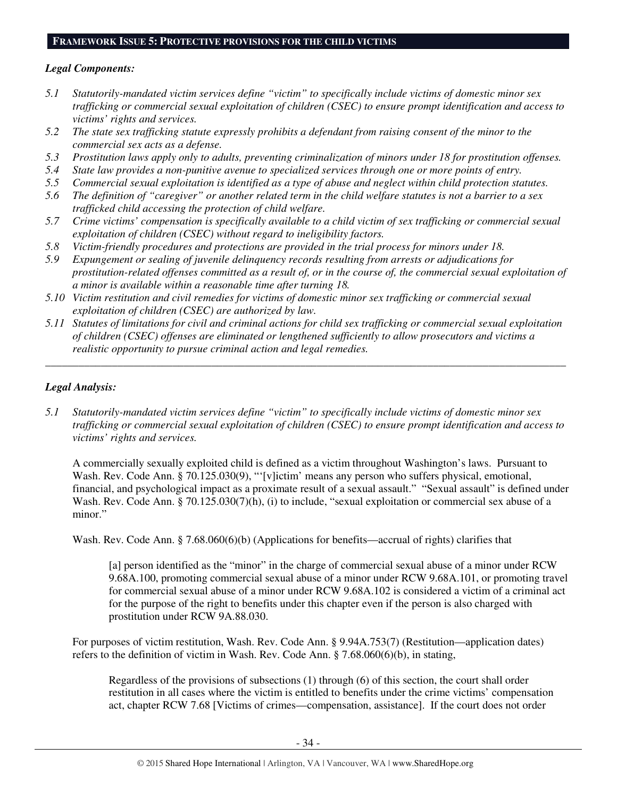#### **FRAMEWORK ISSUE 5: PROTECTIVE PROVISIONS FOR THE CHILD VICTIMS**

## *Legal Components:*

- *5.1 Statutorily-mandated victim services define "victim" to specifically include victims of domestic minor sex trafficking or commercial sexual exploitation of children (CSEC) to ensure prompt identification and access to victims' rights and services.*
- *5.2 The state sex trafficking statute expressly prohibits a defendant from raising consent of the minor to the commercial sex acts as a defense.*
- *5.3 Prostitution laws apply only to adults, preventing criminalization of minors under 18 for prostitution offenses.*
- *5.4 State law provides a non-punitive avenue to specialized services through one or more points of entry.*
- *5.5 Commercial sexual exploitation is identified as a type of abuse and neglect within child protection statutes.*
- *5.6 The definition of "caregiver" or another related term in the child welfare statutes is not a barrier to a sex trafficked child accessing the protection of child welfare.*
- *5.7 Crime victims' compensation is specifically available to a child victim of sex trafficking or commercial sexual exploitation of children (CSEC) without regard to ineligibility factors.*
- *5.8 Victim-friendly procedures and protections are provided in the trial process for minors under 18.*
- *5.9 Expungement or sealing of juvenile delinquency records resulting from arrests or adjudications for prostitution-related offenses committed as a result of, or in the course of, the commercial sexual exploitation of a minor is available within a reasonable time after turning 18.*
- *5.10 Victim restitution and civil remedies for victims of domestic minor sex trafficking or commercial sexual exploitation of children (CSEC) are authorized by law.*
- *5.11 Statutes of limitations for civil and criminal actions for child sex trafficking or commercial sexual exploitation of children (CSEC) offenses are eliminated or lengthened sufficiently to allow prosecutors and victims a realistic opportunity to pursue criminal action and legal remedies.*

*\_\_\_\_\_\_\_\_\_\_\_\_\_\_\_\_\_\_\_\_\_\_\_\_\_\_\_\_\_\_\_\_\_\_\_\_\_\_\_\_\_\_\_\_\_\_\_\_\_\_\_\_\_\_\_\_\_\_\_\_\_\_\_\_\_\_\_\_\_\_\_\_\_\_\_\_\_\_\_\_\_\_\_\_\_\_\_\_\_\_\_\_\_\_* 

## *Legal Analysis:*

*5.1 Statutorily-mandated victim services define "victim" to specifically include victims of domestic minor sex trafficking or commercial sexual exploitation of children (CSEC) to ensure prompt identification and access to victims' rights and services.* 

A commercially sexually exploited child is defined as a victim throughout Washington's laws. Pursuant to Wash. Rev. Code Ann. § 70.125.030(9), "'[v]ictim' means any person who suffers physical, emotional, financial, and psychological impact as a proximate result of a sexual assault." "Sexual assault" is defined under Wash. Rev. Code Ann. § 70.125.030(7)(h), (i) to include, "sexual exploitation or commercial sex abuse of a minor."

Wash. Rev. Code Ann. § 7.68.060(6)(b) (Applications for benefits—accrual of rights) clarifies that

[a] person identified as the "minor" in the charge of commercial sexual abuse of a minor under RCW 9.68A.100, promoting commercial sexual abuse of a minor under RCW 9.68A.101, or promoting travel for commercial sexual abuse of a minor under RCW 9.68A.102 is considered a victim of a criminal act for the purpose of the right to benefits under this chapter even if the person is also charged with prostitution under RCW 9A.88.030.

For purposes of victim restitution, Wash. Rev. Code Ann. § 9.94A.753(7) (Restitution—application dates) refers to the definition of victim in Wash. Rev. Code Ann. § 7.68.060(6)(b), in stating,

Regardless of the provisions of subsections (1) through (6) of this section, the court shall order restitution in all cases where the victim is entitled to benefits under the crime victims' compensation act, chapter RCW 7.68 [Victims of crimes—compensation, assistance]. If the court does not order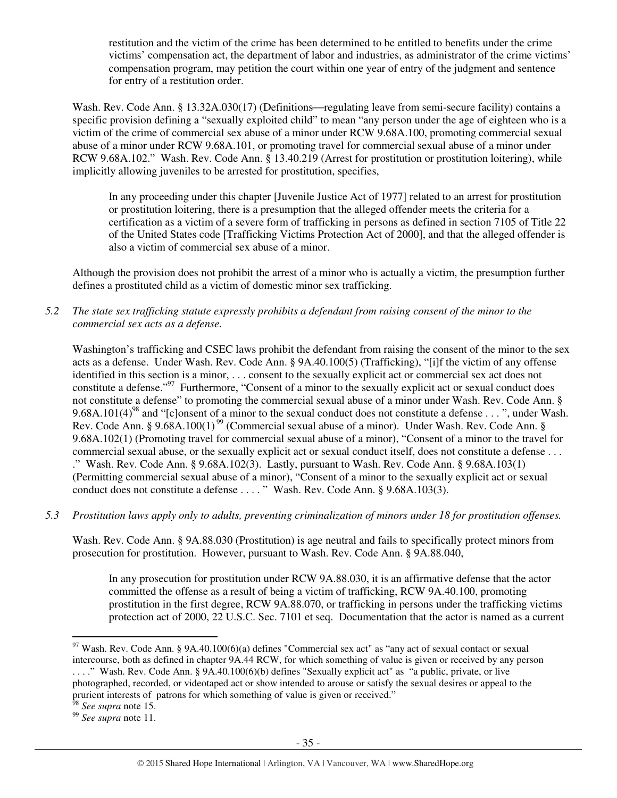restitution and the victim of the crime has been determined to be entitled to benefits under the crime victims' compensation act, the department of labor and industries, as administrator of the crime victims' compensation program, may petition the court within one year of entry of the judgment and sentence for entry of a restitution order.

Wash. Rev. Code Ann. § 13.32A.030(17) (Definitions—regulating leave from semi-secure facility) contains a specific provision defining a "sexually exploited child" to mean "any person under the age of eighteen who is a victim of the crime of commercial sex abuse of a minor under RCW 9.68A.100, promoting commercial sexual abuse of a minor under RCW 9.68A.101, or promoting travel for commercial sexual abuse of a minor under RCW 9.68A.102." Wash. Rev. Code Ann. § 13.40.219 (Arrest for prostitution or prostitution loitering), while implicitly allowing juveniles to be arrested for prostitution, specifies,

In any proceeding under this chapter [Juvenile Justice Act of 1977] related to an arrest for prostitution or prostitution loitering, there is a presumption that the alleged offender meets the criteria for a certification as a victim of a severe form of trafficking in persons as defined in section 7105 of Title 22 of the United States code [Trafficking Victims Protection Act of 2000], and that the alleged offender is also a victim of commercial sex abuse of a minor.

Although the provision does not prohibit the arrest of a minor who is actually a victim, the presumption further defines a prostituted child as a victim of domestic minor sex trafficking.

*5.2 The state sex trafficking statute expressly prohibits a defendant from raising consent of the minor to the commercial sex acts as a defense.* 

Washington's trafficking and CSEC laws prohibit the defendant from raising the consent of the minor to the sex acts as a defense. Under Wash. Rev. Code Ann. § 9A.40.100(5) (Trafficking), "[i]f the victim of any offense identified in this section is a minor, . . . consent to the sexually explicit act or commercial sex act does not constitute a defense."<sup>97</sup> Furthermore, "Consent of a minor to the sexually explicit act or sexual conduct does not constitute a defense" to promoting the commercial sexual abuse of a minor under Wash. Rev. Code Ann. § 9.68A.101(4)<sup>98</sup> and "[c]onsent of a minor to the sexual conduct does not constitute a defense . . . ", under Wash. Rev. Code Ann. § 9.68A.100(1)<sup>99</sup> (Commercial sexual abuse of a minor). Under Wash. Rev. Code Ann. § 9.68A.102(1) (Promoting travel for commercial sexual abuse of a minor), "Consent of a minor to the travel for commercial sexual abuse, or the sexually explicit act or sexual conduct itself, does not constitute a defense . . . ." Wash. Rev. Code Ann. § 9.68A.102(3). Lastly, pursuant to Wash. Rev. Code Ann. § 9.68A.103(1) (Permitting commercial sexual abuse of a minor), "Consent of a minor to the sexually explicit act or sexual conduct does not constitute a defense . . . . " Wash. Rev. Code Ann. § 9.68A.103(3).

*5.3 Prostitution laws apply only to adults, preventing criminalization of minors under 18 for prostitution offenses.* 

Wash. Rev. Code Ann. § 9A.88.030 (Prostitution) is age neutral and fails to specifically protect minors from prosecution for prostitution. However, pursuant to Wash. Rev. Code Ann. § 9A.88.040,

In any prosecution for prostitution under RCW 9A.88.030, it is an affirmative defense that the actor committed the offense as a result of being a victim of trafficking, RCW 9A.40.100, promoting prostitution in the first degree, RCW 9A.88.070, or trafficking in persons under the trafficking victims protection act of 2000, 22 U.S.C. Sec. 7101 et seq. Documentation that the actor is named as a current

 $\overline{a}$  $97$  Wash. Rev. Code Ann. § 9A.40.100(6)(a) defines "Commercial sex act" as "any act of sexual contact or sexual intercourse, both as defined in chapter 9A.44 RCW, for which something of value is given or received by any person ...." Wash. Rev. Code Ann. § 9A.40.100(6)(b) defines "Sexually explicit act" as "a public, private, or live photographed, recorded, or videotaped act or show intended to arouse or satisfy the sexual desires or appeal to the prurient interests of patrons for which something of value is given or received."

<sup>98</sup> *See supra* note 15.

<sup>99</sup> *See supra* note 11.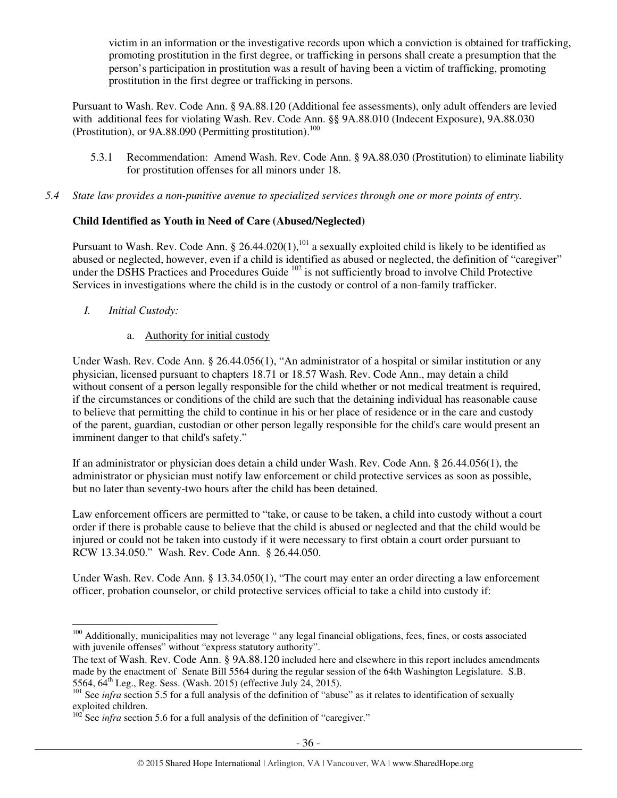victim in an information or the investigative records upon which a conviction is obtained for trafficking, promoting prostitution in the first degree, or trafficking in persons shall create a presumption that the person's participation in prostitution was a result of having been a victim of trafficking, promoting prostitution in the first degree or trafficking in persons.

Pursuant to Wash. Rev. Code Ann. § 9A.88.120 (Additional fee assessments), only adult offenders are levied with additional fees for violating Wash. Rev. Code Ann. §§ 9A.88.010 (Indecent Exposure), 9A.88.030 (Prostitution), or  $9A.88.090$  (Permitting prostitution).<sup>100</sup>

- 5.3.1 Recommendation: Amend Wash. Rev. Code Ann. § 9A.88.030 (Prostitution) to eliminate liability for prostitution offenses for all minors under 18.
- *5.4 State law provides a non-punitive avenue to specialized services through one or more points of entry.*

# **Child Identified as Youth in Need of Care (Abused/Neglected)**

Pursuant to Wash. Rev. Code Ann. § 26.44.020(1),<sup>101</sup> a sexually exploited child is likely to be identified as abused or neglected, however, even if a child is identified as abused or neglected, the definition of "caregiver" under the DSHS Practices and Procedures Guide <sup>102</sup> is not sufficiently broad to involve Child Protective Services in investigations where the child is in the custody or control of a non-family trafficker.

- *I. Initial Custody:* 
	- a. Authority for initial custody

Under Wash. Rev. Code Ann. § 26.44.056(1), "An administrator of a hospital or similar institution or any physician, licensed pursuant to chapters 18.71 or 18.57 Wash. Rev. Code Ann., may detain a child without consent of a person legally responsible for the child whether or not medical treatment is required, if the circumstances or conditions of the child are such that the detaining individual has reasonable cause to believe that permitting the child to continue in his or her place of residence or in the care and custody of the parent, guardian, custodian or other person legally responsible for the child's care would present an imminent danger to that child's safety."

If an administrator or physician does detain a child under Wash. Rev. Code Ann. § 26.44.056(1), the administrator or physician must notify law enforcement or child protective services as soon as possible, but no later than seventy-two hours after the child has been detained.

Law enforcement officers are permitted to "take, or cause to be taken, a child into custody without a court order if there is probable cause to believe that the child is abused or neglected and that the child would be injured or could not be taken into custody if it were necessary to first obtain a court order pursuant to RCW 13.34.050." Wash. Rev. Code Ann. § 26.44.050.

Under Wash. Rev. Code Ann. § 13.34.050(1), "The court may enter an order directing a law enforcement officer, probation counselor, or child protective services official to take a child into custody if:

 $\overline{a}$ <sup>100</sup> Additionally, municipalities may not leverage " any legal financial obligations, fees, fines, or costs associated with juvenile offenses" without "express statutory authority".

The text of Wash. Rev. Code Ann. § 9A.88.120 included here and elsewhere in this report includes amendments made by the enactment of Senate Bill 5564 during the regular session of the 64th Washington Legislature. S.B. 5564, 64th Leg., Reg. Sess. (Wash. 2015) (effective July 24, 2015).

<sup>&</sup>lt;sup>101</sup> See *infra* section 5.5 for a full analysis of the definition of "abuse" as it relates to identification of sexually exploited children.

 $102^{\circ}$  See *infra* section 5.6 for a full analysis of the definition of "caregiver."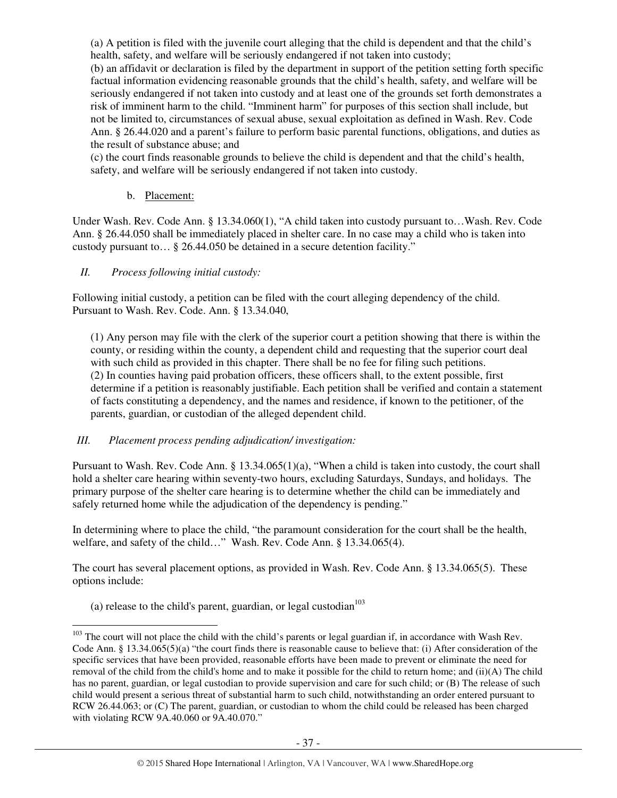(a) A petition is filed with the juvenile court alleging that the child is dependent and that the child's health, safety, and welfare will be seriously endangered if not taken into custody;

(b) an affidavit or declaration is filed by the department in support of the petition setting forth specific factual information evidencing reasonable grounds that the child's health, safety, and welfare will be seriously endangered if not taken into custody and at least one of the grounds set forth demonstrates a risk of imminent harm to the child. "Imminent harm" for purposes of this section shall include, but not be limited to, circumstances of sexual abuse, sexual exploitation as defined in Wash. Rev. Code Ann. § 26.44.020 and a parent's failure to perform basic parental functions, obligations, and duties as the result of substance abuse; and

(c) the court finds reasonable grounds to believe the child is dependent and that the child's health, safety, and welfare will be seriously endangered if not taken into custody.

## b. Placement:

Under Wash. Rev. Code Ann. § 13.34.060(1), "A child taken into custody pursuant to…Wash. Rev. Code Ann. § 26.44.050 shall be immediately placed in shelter care. In no case may a child who is taken into custody pursuant to… § 26.44.050 be detained in a secure detention facility."

# *II. Process following initial custody:*

Following initial custody, a petition can be filed with the court alleging dependency of the child. Pursuant to Wash. Rev. Code. Ann. § 13.34.040,

(1) Any person may file with the clerk of the superior court a petition showing that there is within the county, or residing within the county, a dependent child and requesting that the superior court deal with such child as provided in this chapter. There shall be no fee for filing such petitions. (2) In counties having paid probation officers, these officers shall, to the extent possible, first determine if a petition is reasonably justifiable. Each petition shall be verified and contain a statement of facts constituting a dependency, and the names and residence, if known to the petitioner, of the parents, guardian, or custodian of the alleged dependent child.

#### *III. Placement process pending adjudication/ investigation:*

Pursuant to Wash. Rev. Code Ann. § 13.34.065(1)(a), "When a child is taken into custody, the court shall hold a shelter care hearing within seventy-two hours, excluding Saturdays, Sundays, and holidays. The primary purpose of the shelter care hearing is to determine whether the child can be immediately and safely returned home while the adjudication of the dependency is pending."

In determining where to place the child, "the paramount consideration for the court shall be the health, welfare, and safety of the child…" Wash. Rev. Code Ann. § 13.34.065(4).

The court has several placement options, as provided in Wash. Rev. Code Ann. § 13.34.065(5). These options include:

(a) release to the child's parent, guardian, or legal custodian $^{103}$ 

 $103$  The court will not place the child with the child's parents or legal guardian if, in accordance with Wash Rev. Code Ann. § 13.34.065(5)(a) "the court finds there is reasonable cause to believe that: (i) After consideration of the specific services that have been provided, reasonable efforts have been made to prevent or eliminate the need for removal of the child from the child's home and to make it possible for the child to return home; and (ii)(A) The child has no parent, guardian, or legal custodian to provide supervision and care for such child; or (B) The release of such child would present a serious threat of substantial harm to such child, notwithstanding an order entered pursuant to RCW 26.44.063; or (C) The parent, guardian, or custodian to whom the child could be released has been charged with violating RCW 9A.40.060 or 9A.40.070."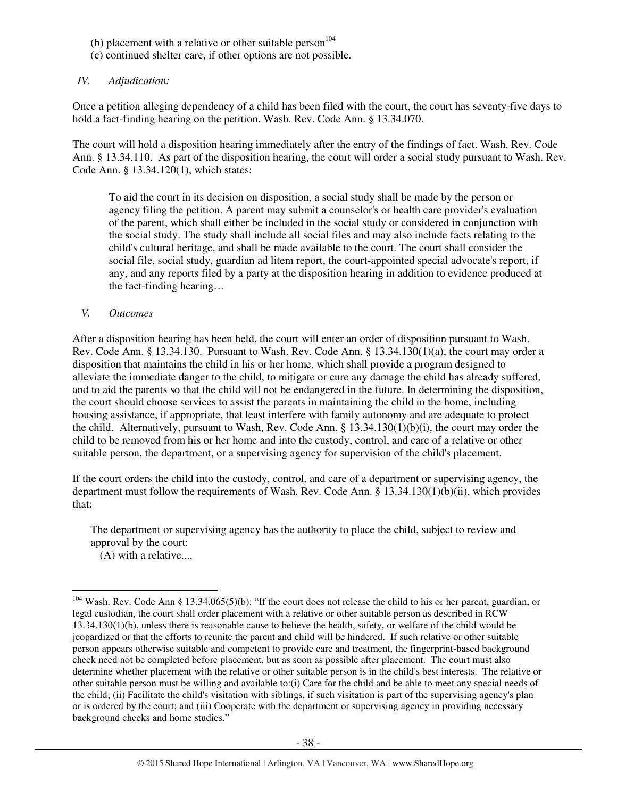- (b) placement with a relative or other suitable person<sup>104</sup>
- (c) continued shelter care, if other options are not possible.

## *IV. Adjudication:*

Once a petition alleging dependency of a child has been filed with the court, the court has seventy-five days to hold a fact-finding hearing on the petition. Wash. Rev. Code Ann. § 13.34.070.

The court will hold a disposition hearing immediately after the entry of the findings of fact. Wash. Rev. Code Ann. § 13.34.110. As part of the disposition hearing, the court will order a social study pursuant to Wash. Rev. Code Ann. § 13.34.120(1), which states:

To aid the court in its decision on disposition, a social study shall be made by the person or agency filing the petition. A parent may submit a counselor's or health care provider's evaluation of the parent, which shall either be included in the social study or considered in conjunction with the social study. The study shall include all social files and may also include facts relating to the child's cultural heritage, and shall be made available to the court. The court shall consider the social file, social study, guardian ad litem report, the court-appointed special advocate's report, if any, and any reports filed by a party at the disposition hearing in addition to evidence produced at the fact-finding hearing…

#### *V. Outcomes*

 $\overline{a}$ 

After a disposition hearing has been held, the court will enter an order of disposition pursuant to Wash. Rev. Code Ann. § 13.34.130. Pursuant to Wash. Rev. Code Ann. § 13.34.130(1)(a), the court may order a disposition that maintains the child in his or her home, which shall provide a program designed to alleviate the immediate danger to the child, to mitigate or cure any damage the child has already suffered, and to aid the parents so that the child will not be endangered in the future. In determining the disposition, the court should choose services to assist the parents in maintaining the child in the home, including housing assistance, if appropriate, that least interfere with family autonomy and are adequate to protect the child. Alternatively, pursuant to Wash, Rev. Code Ann. § 13.34.130(1)(b)(i), the court may order the child to be removed from his or her home and into the custody, control, and care of a relative or other suitable person, the department, or a supervising agency for supervision of the child's placement.

If the court orders the child into the custody, control, and care of a department or supervising agency, the department must follow the requirements of Wash. Rev. Code Ann. § 13.34.130(1)(b)(ii), which provides that:

The department or supervising agency has the authority to place the child, subject to review and approval by the court: (A) with a relative...,

 $104$  Wash. Rev. Code Ann § 13.34.065(5)(b): "If the court does not release the child to his or her parent, guardian, or legal custodian, the court shall order placement with a relative or other suitable person as described in RCW 13.34.130(1)(b), unless there is reasonable cause to believe the health, safety, or welfare of the child would be jeopardized or that the efforts to reunite the parent and child will be hindered. If such relative or other suitable person appears otherwise suitable and competent to provide care and treatment, the fingerprint-based background check need not be completed before placement, but as soon as possible after placement. The court must also determine whether placement with the relative or other suitable person is in the child's best interests. The relative or other suitable person must be willing and available to:(i) Care for the child and be able to meet any special needs of the child; (ii) Facilitate the child's visitation with siblings, if such visitation is part of the supervising agency's plan or is ordered by the court; and (iii) Cooperate with the department or supervising agency in providing necessary background checks and home studies."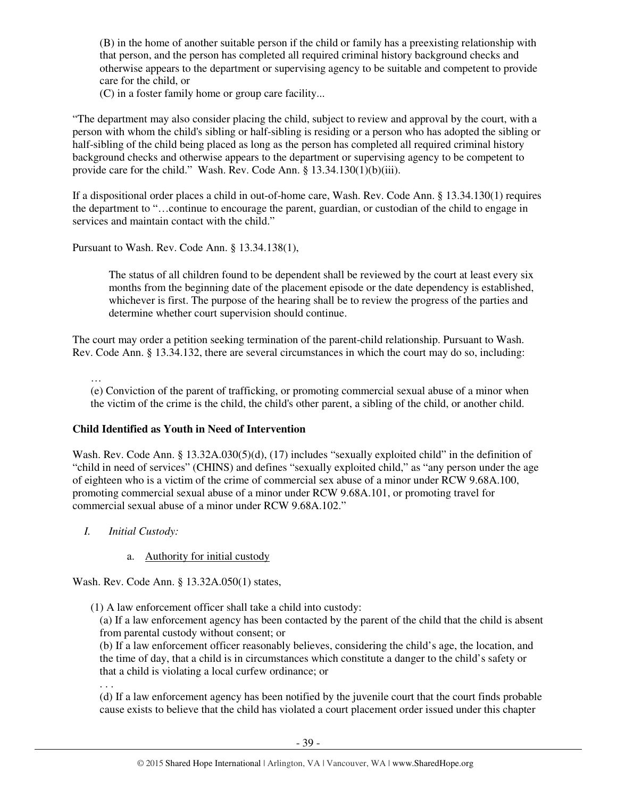(B) in the home of another suitable person if the child or family has a preexisting relationship with that person, and the person has completed all required criminal history background checks and otherwise appears to the department or supervising agency to be suitable and competent to provide care for the child, or

(C) in a foster family home or group care facility...

"The department may also consider placing the child, subject to review and approval by the court, with a person with whom the child's sibling or half-sibling is residing or a person who has adopted the sibling or half-sibling of the child being placed as long as the person has completed all required criminal history background checks and otherwise appears to the department or supervising agency to be competent to provide care for the child." Wash. Rev. Code Ann. § 13.34.130(1)(b)(iii).

If a dispositional order places a child in out-of-home care, Wash. Rev. Code Ann. § 13.34.130(1) requires the department to "…continue to encourage the parent, guardian, or custodian of the child to engage in services and maintain contact with the child."

Pursuant to Wash. Rev. Code Ann. § 13.34.138(1),

The status of all children found to be dependent shall be reviewed by the court at least every six months from the beginning date of the placement episode or the date dependency is established, whichever is first. The purpose of the hearing shall be to review the progress of the parties and determine whether court supervision should continue.

The court may order a petition seeking termination of the parent-child relationship. Pursuant to Wash. Rev. Code Ann. § 13.34.132, there are several circumstances in which the court may do so, including:

…

(e) Conviction of the parent of trafficking, or promoting commercial sexual abuse of a minor when the victim of the crime is the child, the child's other parent, a sibling of the child, or another child.

# **Child Identified as Youth in Need of Intervention**

Wash. Rev. Code Ann. § 13.32A.030(5)(d), (17) includes "sexually exploited child" in the definition of "child in need of services" (CHINS) and defines "sexually exploited child," as "any person under the age of eighteen who is a victim of the crime of commercial sex abuse of a minor under RCW 9.68A.100, promoting commercial sexual abuse of a minor under RCW 9.68A.101, or promoting travel for commercial sexual abuse of a minor under RCW 9.68A.102."

- *I. Initial Custody:* 
	- a. Authority for initial custody

Wash. Rev. Code Ann. § 13.32A.050(1) states,

(1) A law enforcement officer shall take a child into custody:

(a) If a law enforcement agency has been contacted by the parent of the child that the child is absent from parental custody without consent; or

(b) If a law enforcement officer reasonably believes, considering the child's age, the location, and the time of day, that a child is in circumstances which constitute a danger to the child's safety or that a child is violating a local curfew ordinance; or

. . .

(d) If a law enforcement agency has been notified by the juvenile court that the court finds probable cause exists to believe that the child has violated a court placement order issued under this chapter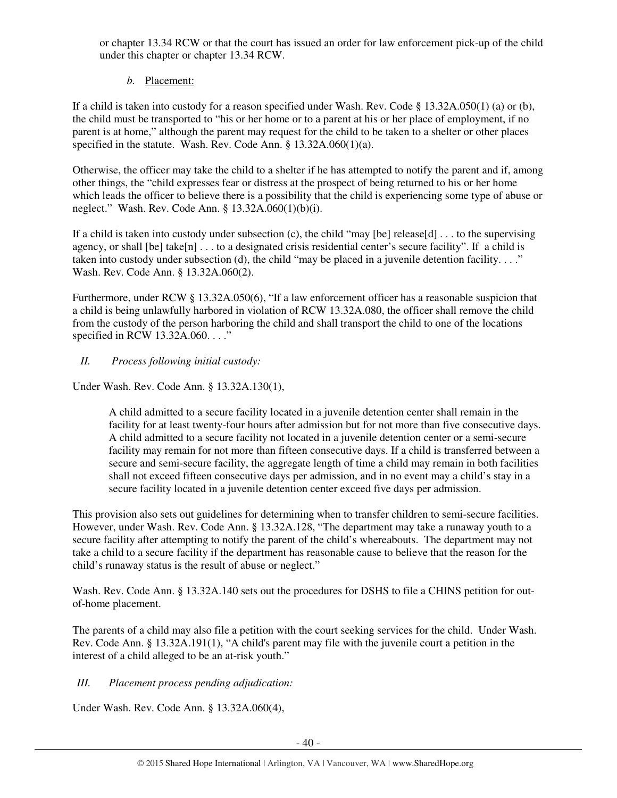or chapter 13.34 RCW or that the court has issued an order for law enforcement pick-up of the child under this chapter or chapter 13.34 RCW.

# *b.* Placement:

If a child is taken into custody for a reason specified under Wash. Rev. Code § 13.32A.050(1) (a) or (b), the child must be transported to "his or her home or to a parent at his or her place of employment, if no parent is at home," although the parent may request for the child to be taken to a shelter or other places specified in the statute. Wash. Rev. Code Ann. § 13.32A.060(1)(a).

Otherwise, the officer may take the child to a shelter if he has attempted to notify the parent and if, among other things, the "child expresses fear or distress at the prospect of being returned to his or her home which leads the officer to believe there is a possibility that the child is experiencing some type of abuse or neglect." Wash. Rev. Code Ann. § 13.32A.060(1)(b)(i).

If a child is taken into custody under subsection (c), the child "may [be] release[d] . . . to the supervising agency, or shall  $[be]$  take $[n]$ ... to a designated crisis residential center's secure facility". If a child is taken into custody under subsection (d), the child "may be placed in a juvenile detention facility...." Wash. Rev. Code Ann. § 13.32A.060(2).

Furthermore, under RCW § 13.32A.050(6), "If a law enforcement officer has a reasonable suspicion that a child is being unlawfully harbored in violation of RCW 13.32A.080, the officer shall remove the child from the custody of the person harboring the child and shall transport the child to one of the locations specified in RCW 13.32A.060. . . ."

# *II. Process following initial custody:*

Under Wash. Rev. Code Ann. § 13.32A.130(1),

A child admitted to a secure facility located in a juvenile detention center shall remain in the facility for at least twenty-four hours after admission but for not more than five consecutive days. A child admitted to a secure facility not located in a juvenile detention center or a semi-secure facility may remain for not more than fifteen consecutive days. If a child is transferred between a secure and semi-secure facility, the aggregate length of time a child may remain in both facilities shall not exceed fifteen consecutive days per admission, and in no event may a child's stay in a secure facility located in a juvenile detention center exceed five days per admission.

This provision also sets out guidelines for determining when to transfer children to semi-secure facilities. However, under Wash. Rev. Code Ann. § 13.32A.128, "The department may take a runaway youth to a secure facility after attempting to notify the parent of the child's whereabouts. The department may not take a child to a secure facility if the department has reasonable cause to believe that the reason for the child's runaway status is the result of abuse or neglect."

Wash. Rev. Code Ann. § 13.32A.140 sets out the procedures for DSHS to file a CHINS petition for outof-home placement.

The parents of a child may also file a petition with the court seeking services for the child. Under Wash. Rev. Code Ann. § 13.32A.191(1), "A child's parent may file with the juvenile court a petition in the interest of a child alleged to be an at-risk youth."

*III. Placement process pending adjudication:* 

Under Wash. Rev. Code Ann. § 13.32A.060(4),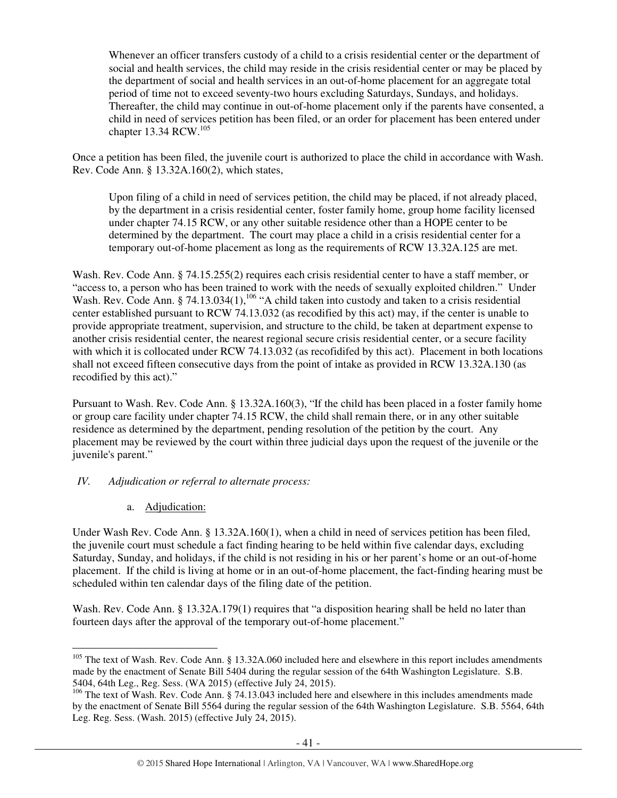Whenever an officer transfers custody of a child to a crisis residential center or the department of social and health services, the child may reside in the crisis residential center or may be placed by the department of social and health services in an out-of-home placement for an aggregate total period of time not to exceed seventy-two hours excluding Saturdays, Sundays, and holidays. Thereafter, the child may continue in out-of-home placement only if the parents have consented, a child in need of services petition has been filed, or an order for placement has been entered under chapter 13.34 RCW.<sup>105</sup>

Once a petition has been filed, the juvenile court is authorized to place the child in accordance with Wash. Rev. Code Ann. § 13.32A.160(2), which states,

Upon filing of a child in need of services petition, the child may be placed, if not already placed, by the department in a crisis residential center, foster family home, group home facility licensed under chapter 74.15 RCW, or any other suitable residence other than a HOPE center to be determined by the department. The court may place a child in a crisis residential center for a temporary out-of-home placement as long as the requirements of RCW 13.32A.125 are met.

Wash. Rev. Code Ann. § 74.15.255(2) requires each crisis residential center to have a staff member, or "access to, a person who has been trained to work with the needs of sexually exploited children." Under Wash. Rev. Code Ann. § 74.13.034(1),  $^{106}$  "A child taken into custody and taken to a crisis residential center established pursuant to RCW 74.13.032 (as recodified by this act) may, if the center is unable to provide appropriate treatment, supervision, and structure to the child, be taken at department expense to another crisis residential center, the nearest regional secure crisis residential center, or a secure facility with which it is collocated under RCW 74.13.032 (as recofidifed by this act). Placement in both locations shall not exceed fifteen consecutive days from the point of intake as provided in RCW 13.32A.130 (as recodified by this act)."

Pursuant to Wash. Rev. Code Ann. § 13.32A.160(3), "If the child has been placed in a foster family home or group care facility under chapter 74.15 RCW, the child shall remain there, or in any other suitable residence as determined by the department, pending resolution of the petition by the court. Any placement may be reviewed by the court within three judicial days upon the request of the juvenile or the juvenile's parent."

## *IV. Adjudication or referral to alternate process:*

a. Adjudication:

 $\overline{a}$ 

Under Wash Rev. Code Ann. § 13.32A.160(1), when a child in need of services petition has been filed. the juvenile court must schedule a fact finding hearing to be held within five calendar days, excluding Saturday, Sunday, and holidays, if the child is not residing in his or her parent's home or an out-of-home placement. If the child is living at home or in an out-of-home placement, the fact-finding hearing must be scheduled within ten calendar days of the filing date of the petition.

Wash. Rev. Code Ann. § 13.32A.179(1) requires that "a disposition hearing shall be held no later than fourteen days after the approval of the temporary out-of-home placement."

<sup>&</sup>lt;sup>105</sup> The text of Wash. Rev. Code Ann. § 13.32A.060 included here and elsewhere in this report includes amendments made by the enactment of Senate Bill 5404 during the regular session of the 64th Washington Legislature. S.B. 5404, 64th Leg., Reg. Sess. (WA 2015) (effective July 24, 2015).

<sup>&</sup>lt;sup>106</sup> The text of Wash. Rev. Code Ann. § 74.13.043 included here and elsewhere in this includes amendments made by the enactment of Senate Bill 5564 during the regular session of the 64th Washington Legislature. S.B. 5564, 64th Leg. Reg. Sess. (Wash. 2015) (effective July 24, 2015).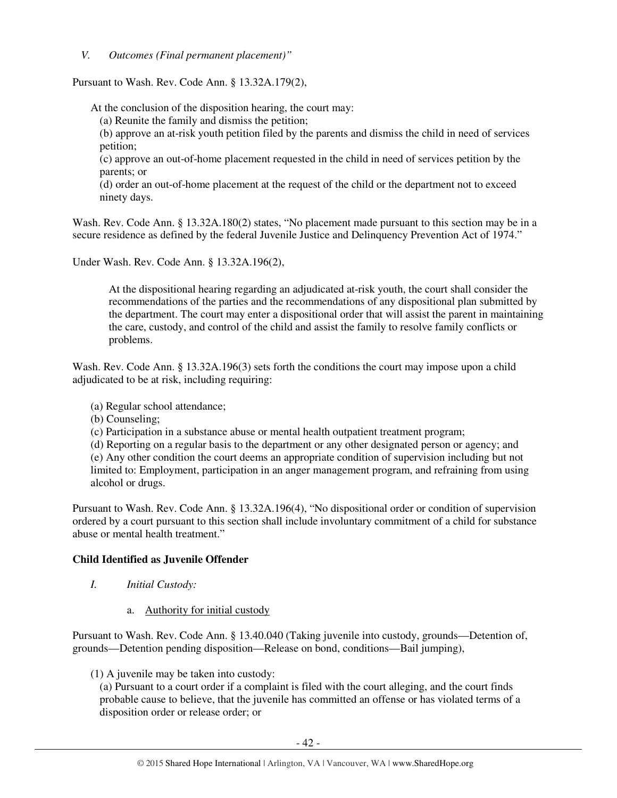*V. Outcomes (Final permanent placement)"* 

Pursuant to Wash. Rev. Code Ann. § 13.32A.179(2),

At the conclusion of the disposition hearing, the court may:

(a) Reunite the family and dismiss the petition;

(b) approve an at-risk youth petition filed by the parents and dismiss the child in need of services petition;

(c) approve an out-of-home placement requested in the child in need of services petition by the parents; or

(d) order an out-of-home placement at the request of the child or the department not to exceed ninety days.

Wash. Rev. Code Ann. § 13.32A.180(2) states, "No placement made pursuant to this section may be in a secure residence as defined by the federal Juvenile Justice and Delinquency Prevention Act of 1974."

Under Wash. Rev. Code Ann. § 13.32A.196(2),

At the dispositional hearing regarding an adjudicated at-risk youth, the court shall consider the recommendations of the parties and the recommendations of any dispositional plan submitted by the department. The court may enter a dispositional order that will assist the parent in maintaining the care, custody, and control of the child and assist the family to resolve family conflicts or problems.

Wash. Rev. Code Ann. § 13.32A.196(3) sets forth the conditions the court may impose upon a child adjudicated to be at risk, including requiring:

- (a) Regular school attendance;
- (b) Counseling;
- (c) Participation in a substance abuse or mental health outpatient treatment program;
- (d) Reporting on a regular basis to the department or any other designated person or agency; and

(e) Any other condition the court deems an appropriate condition of supervision including but not limited to: Employment, participation in an anger management program, and refraining from using alcohol or drugs.

Pursuant to Wash. Rev. Code Ann. § 13.32A.196(4), "No dispositional order or condition of supervision ordered by a court pursuant to this section shall include involuntary commitment of a child for substance abuse or mental health treatment."

#### **Child Identified as Juvenile Offender**

- *I. Initial Custody:* 
	- a. Authority for initial custody

Pursuant to Wash. Rev. Code Ann. § 13.40.040 (Taking juvenile into custody, grounds—Detention of, grounds—Detention pending disposition—Release on bond, conditions—Bail jumping),

(1) A juvenile may be taken into custody:

(a) Pursuant to a court order if a complaint is filed with the court alleging, and the court finds probable cause to believe, that the juvenile has committed an offense or has violated terms of a disposition order or release order; or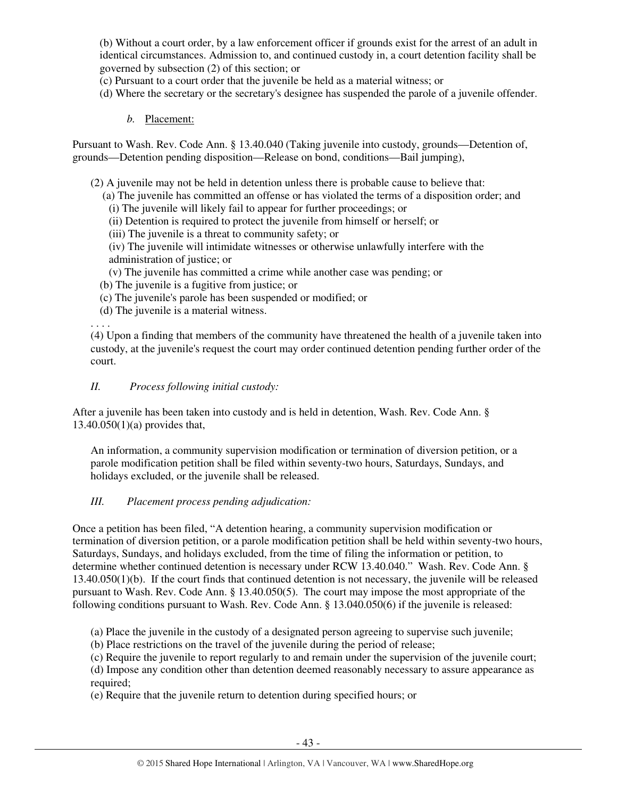(b) Without a court order, by a law enforcement officer if grounds exist for the arrest of an adult in identical circumstances. Admission to, and continued custody in, a court detention facility shall be governed by subsection (2) of this section; or

- (c) Pursuant to a court order that the juvenile be held as a material witness; or
- (d) Where the secretary or the secretary's designee has suspended the parole of a juvenile offender.
	- *b.* Placement:

Pursuant to Wash. Rev. Code Ann. § 13.40.040 (Taking juvenile into custody, grounds—Detention of, grounds—Detention pending disposition—Release on bond, conditions—Bail jumping),

(2) A juvenile may not be held in detention unless there is probable cause to believe that:

- (a) The juvenile has committed an offense or has violated the terms of a disposition order; and
- (i) The juvenile will likely fail to appear for further proceedings; or
- (ii) Detention is required to protect the juvenile from himself or herself; or
- (iii) The juvenile is a threat to community safety; or
- (iv) The juvenile will intimidate witnesses or otherwise unlawfully interfere with the administration of justice; or
- (v) The juvenile has committed a crime while another case was pending; or
- (b) The juvenile is a fugitive from justice; or
- (c) The juvenile's parole has been suspended or modified; or
- (d) The juvenile is a material witness.

. . . .

(4) Upon a finding that members of the community have threatened the health of a juvenile taken into custody, at the juvenile's request the court may order continued detention pending further order of the court.

*II. Process following initial custody:* 

After a juvenile has been taken into custody and is held in detention, Wash. Rev. Code Ann. § 13.40.050(1)(a) provides that,

An information, a community supervision modification or termination of diversion petition, or a parole modification petition shall be filed within seventy-two hours, Saturdays, Sundays, and holidays excluded, or the juvenile shall be released.

#### *III. Placement process pending adjudication:*

Once a petition has been filed, "A detention hearing, a community supervision modification or termination of diversion petition, or a parole modification petition shall be held within seventy-two hours, Saturdays, Sundays, and holidays excluded, from the time of filing the information or petition, to determine whether continued detention is necessary under RCW 13.40.040." Wash. Rev. Code Ann. § 13.40.050(1)(b). If the court finds that continued detention is not necessary, the juvenile will be released pursuant to Wash. Rev. Code Ann. § 13.40.050(5). The court may impose the most appropriate of the following conditions pursuant to Wash. Rev. Code Ann. § 13.040.050(6) if the juvenile is released:

- (a) Place the juvenile in the custody of a designated person agreeing to supervise such juvenile;
- (b) Place restrictions on the travel of the juvenile during the period of release;
- (c) Require the juvenile to report regularly to and remain under the supervision of the juvenile court;

(d) Impose any condition other than detention deemed reasonably necessary to assure appearance as required;

(e) Require that the juvenile return to detention during specified hours; or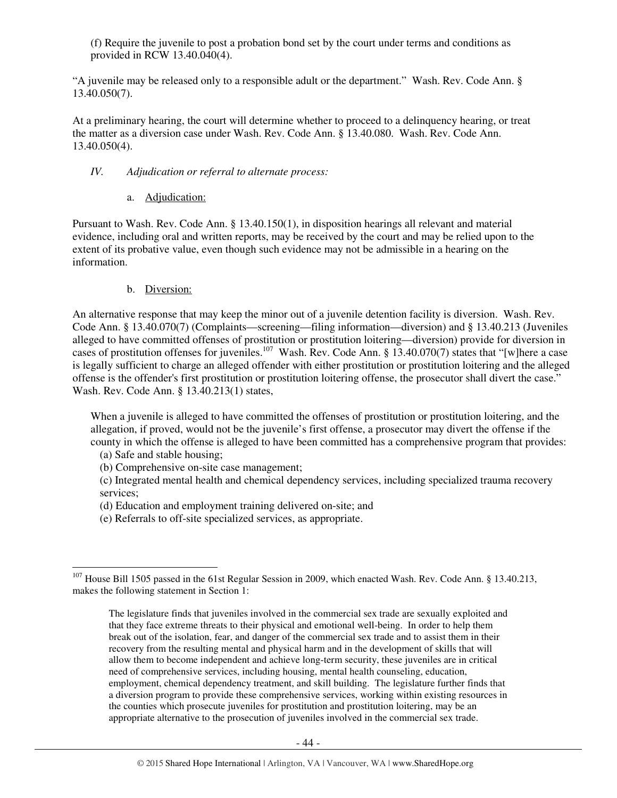(f) Require the juvenile to post a probation bond set by the court under terms and conditions as provided in RCW 13.40.040(4).

"A juvenile may be released only to a responsible adult or the department." Wash. Rev. Code Ann. § 13.40.050(7).

At a preliminary hearing, the court will determine whether to proceed to a delinquency hearing, or treat the matter as a diversion case under Wash. Rev. Code Ann. § 13.40.080. Wash. Rev. Code Ann. 13.40.050(4).

## *IV. Adjudication or referral to alternate process:*

## a. Adjudication:

Pursuant to Wash. Rev. Code Ann. § 13.40.150(1), in disposition hearings all relevant and material evidence, including oral and written reports, may be received by the court and may be relied upon to the extent of its probative value, even though such evidence may not be admissible in a hearing on the information.

# b. Diversion:

An alternative response that may keep the minor out of a juvenile detention facility is diversion. Wash. Rev. Code Ann. § 13.40.070(7) (Complaints—screening—filing information—diversion) and § 13.40.213 (Juveniles alleged to have committed offenses of prostitution or prostitution loitering—diversion) provide for diversion in cases of prostitution offenses for juveniles.<sup>107</sup> Wash. Rev. Code Ann. § 13.40.070(7) states that "[w]here a case is legally sufficient to charge an alleged offender with either prostitution or prostitution loitering and the alleged offense is the offender's first prostitution or prostitution loitering offense, the prosecutor shall divert the case." Wash. Rev. Code Ann. § 13.40.213(1) states,

When a juvenile is alleged to have committed the offenses of prostitution or prostitution loitering, and the allegation, if proved, would not be the juvenile's first offense, a prosecutor may divert the offense if the county in which the offense is alleged to have been committed has a comprehensive program that provides:

- (a) Safe and stable housing;
- (b) Comprehensive on-site case management;

(c) Integrated mental health and chemical dependency services, including specialized trauma recovery services;

- (d) Education and employment training delivered on-site; and
- (e) Referrals to off-site specialized services, as appropriate.

 $\overline{a}$ <sup>107</sup> House Bill 1505 passed in the 61st Regular Session in 2009, which enacted Wash. Rev. Code Ann. § 13.40.213, makes the following statement in Section 1:

The legislature finds that juveniles involved in the commercial sex trade are sexually exploited and that they face extreme threats to their physical and emotional well-being. In order to help them break out of the isolation, fear, and danger of the commercial sex trade and to assist them in their recovery from the resulting mental and physical harm and in the development of skills that will allow them to become independent and achieve long-term security, these juveniles are in critical need of comprehensive services, including housing, mental health counseling, education, employment, chemical dependency treatment, and skill building. The legislature further finds that a diversion program to provide these comprehensive services, working within existing resources in the counties which prosecute juveniles for prostitution and prostitution loitering, may be an appropriate alternative to the prosecution of juveniles involved in the commercial sex trade.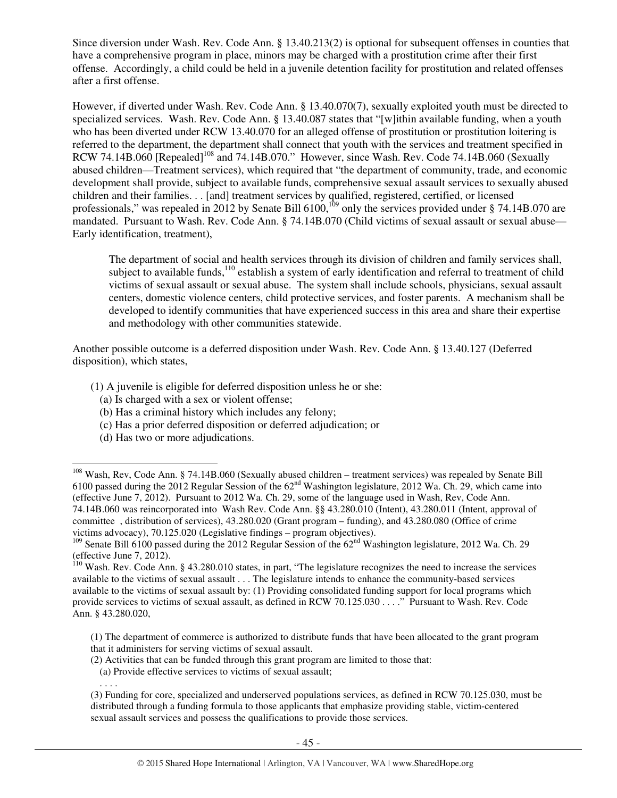Since diversion under Wash. Rev. Code Ann. § 13.40.213(2) is optional for subsequent offenses in counties that have a comprehensive program in place, minors may be charged with a prostitution crime after their first offense. Accordingly, a child could be held in a juvenile detention facility for prostitution and related offenses after a first offense.

However, if diverted under Wash. Rev. Code Ann. § 13.40.070(7), sexually exploited youth must be directed to specialized services. Wash. Rev. Code Ann. § 13.40.087 states that "[w]ithin available funding, when a youth who has been diverted under RCW 13.40.070 for an alleged offense of prostitution or prostitution loitering is referred to the department, the department shall connect that youth with the services and treatment specified in RCW 74.14B.060 [Repealed]<sup>108</sup> and 74.14B.070." However, since Wash. Rev. Code 74.14B.060 (Sexually abused children—Treatment services), which required that "the department of community, trade, and economic development shall provide, subject to available funds, comprehensive sexual assault services to sexually abused children and their families. . . [and] treatment services by qualified, registered, certified, or licensed professionals," was repealed in 2012 by Senate Bill 6100,<sup>109</sup> only the services provided under § 74.14B.070 are mandated. Pursuant to Wash. Rev. Code Ann. § 74.14B.070 (Child victims of sexual assault or sexual abuse— Early identification, treatment),

The department of social and health services through its division of children and family services shall, subject to available funds,<sup>110</sup> establish a system of early identification and referral to treatment of child victims of sexual assault or sexual abuse. The system shall include schools, physicians, sexual assault centers, domestic violence centers, child protective services, and foster parents. A mechanism shall be developed to identify communities that have experienced success in this area and share their expertise and methodology with other communities statewide.

Another possible outcome is a deferred disposition under Wash. Rev. Code Ann. § 13.40.127 (Deferred disposition), which states,

- (1) A juvenile is eligible for deferred disposition unless he or she:
	- (a) Is charged with a sex or violent offense;
	- (b) Has a criminal history which includes any felony;
	- (c) Has a prior deferred disposition or deferred adjudication; or
	- (d) Has two or more adjudications.

 $\overline{a}$ 

. . . .

- (2) Activities that can be funded through this grant program are limited to those that:
- (a) Provide effective services to victims of sexual assault;
- (3) Funding for core, specialized and underserved populations services, as defined in RCW 70.125.030, must be distributed through a funding formula to those applicants that emphasize providing stable, victim-centered sexual assault services and possess the qualifications to provide those services.

<sup>&</sup>lt;sup>108</sup> Wash, Rev, Code Ann. § 74.14B.060 (Sexually abused children – treatment services) was repealed by Senate Bill 6100 passed during the 2012 Regular Session of the 62nd Washington legislature, 2012 Wa. Ch. 29, which came into (effective June 7, 2012). Pursuant to 2012 Wa. Ch. 29, some of the language used in Wash, Rev, Code Ann. 74.14B.060 was reincorporated into Wash Rev. Code Ann. §§ 43.280.010 (Intent), 43.280.011 (Intent, approval of committee , distribution of services), 43.280.020 (Grant program – funding), and 43.280.080 (Office of crime victims advocacy), 70.125.020 (Legislative findings – program objectives).

<sup>&</sup>lt;sup>109</sup> Senate Bill 6100 passed during the 2012 Regular Session of the 62<sup>nd</sup> Washington legislature, 2012 Wa. Ch. 29 (effective June 7,  $2012$ ).

<sup>&</sup>lt;sup>110</sup> Wash. Rev. Code Ann. § 43.280.010 states, in part, "The legislature recognizes the need to increase the services available to the victims of sexual assault . . . The legislature intends to enhance the community-based services available to the victims of sexual assault by: (1) Providing consolidated funding support for local programs which provide services to victims of sexual assault, as defined in RCW 70.125.030 . . . ." Pursuant to Wash. Rev. Code Ann. § 43.280.020,

<sup>(1)</sup> The department of commerce is authorized to distribute funds that have been allocated to the grant program that it administers for serving victims of sexual assault.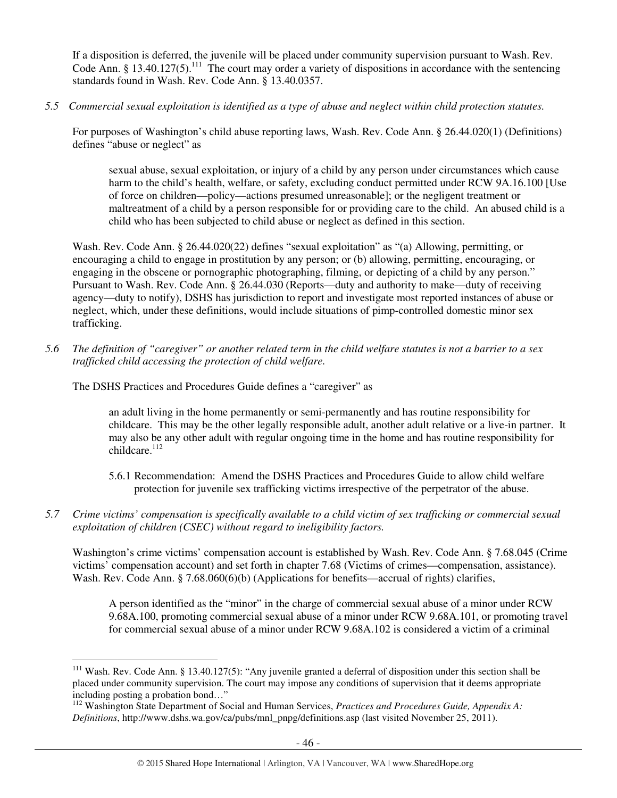If a disposition is deferred, the juvenile will be placed under community supervision pursuant to Wash. Rev. Code Ann. § 13.40.127(5).<sup>111</sup> The court may order a variety of dispositions in accordance with the sentencing standards found in Wash. Rev. Code Ann. § 13.40.0357.

*5.5 Commercial sexual exploitation is identified as a type of abuse and neglect within child protection statutes.* 

For purposes of Washington's child abuse reporting laws, Wash. Rev. Code Ann. § 26.44.020(1) (Definitions) defines "abuse or neglect" as

sexual abuse, sexual exploitation, or injury of a child by any person under circumstances which cause harm to the child's health, welfare, or safety, excluding conduct permitted under RCW 9A.16.100 [Use of force on children—policy—actions presumed unreasonable]; or the negligent treatment or maltreatment of a child by a person responsible for or providing care to the child. An abused child is a child who has been subjected to child abuse or neglect as defined in this section.

Wash. Rev. Code Ann. § 26.44.020(22) defines "sexual exploitation" as "(a) Allowing, permitting, or encouraging a child to engage in prostitution by any person; or (b) allowing, permitting, encouraging, or engaging in the obscene or pornographic photographing, filming, or depicting of a child by any person." Pursuant to Wash. Rev. Code Ann. § 26.44.030 (Reports—duty and authority to make—duty of receiving agency—duty to notify), DSHS has jurisdiction to report and investigate most reported instances of abuse or neglect, which, under these definitions, would include situations of pimp-controlled domestic minor sex trafficking.

*5.6 The definition of "caregiver" or another related term in the child welfare statutes is not a barrier to a sex trafficked child accessing the protection of child welfare.* 

The DSHS Practices and Procedures Guide defines a "caregiver" as

 $\overline{a}$ 

an adult living in the home permanently or semi-permanently and has routine responsibility for childcare. This may be the other legally responsible adult, another adult relative or a live-in partner. It may also be any other adult with regular ongoing time in the home and has routine responsibility for  $chi<sub>112</sub>$ 

- 5.6.1 Recommendation: Amend the DSHS Practices and Procedures Guide to allow child welfare protection for juvenile sex trafficking victims irrespective of the perpetrator of the abuse.
- *5.7 Crime victims' compensation is specifically available to a child victim of sex trafficking or commercial sexual exploitation of children (CSEC) without regard to ineligibility factors.*

Washington's crime victims' compensation account is established by Wash. Rev. Code Ann. § 7.68.045 (Crime victims' compensation account) and set forth in chapter 7.68 (Victims of crimes—compensation, assistance). Wash. Rev. Code Ann. § 7.68.060(6)(b) (Applications for benefits—accrual of rights) clarifies,

A person identified as the "minor" in the charge of commercial sexual abuse of a minor under RCW 9.68A.100, promoting commercial sexual abuse of a minor under RCW 9.68A.101, or promoting travel for commercial sexual abuse of a minor under RCW 9.68A.102 is considered a victim of a criminal

 $111$  Wash. Rev. Code Ann. § 13.40.127(5): "Any juvenile granted a deferral of disposition under this section shall be placed under community supervision. The court may impose any conditions of supervision that it deems appropriate including posting a probation bond…"

<sup>112</sup> Washington State Department of Social and Human Services, *Practices and Procedures Guide, Appendix A: Definitions*, http://www.dshs.wa.gov/ca/pubs/mnl\_pnpg/definitions.asp (last visited November 25, 2011).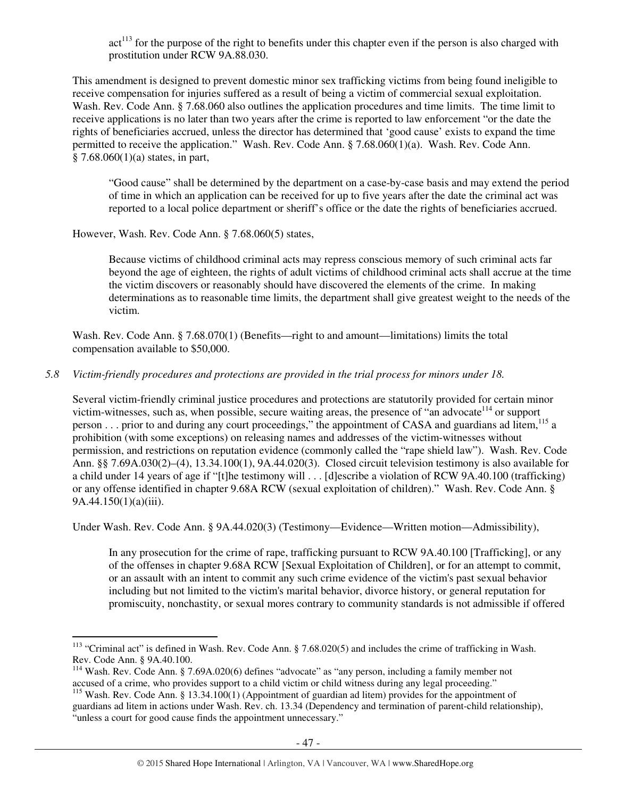$act<sup>113</sup>$  for the purpose of the right to benefits under this chapter even if the person is also charged with prostitution under RCW 9A.88.030.

This amendment is designed to prevent domestic minor sex trafficking victims from being found ineligible to receive compensation for injuries suffered as a result of being a victim of commercial sexual exploitation. Wash. Rev. Code Ann. § 7.68.060 also outlines the application procedures and time limits. The time limit to receive applications is no later than two years after the crime is reported to law enforcement "or the date the rights of beneficiaries accrued, unless the director has determined that 'good cause' exists to expand the time permitted to receive the application." Wash. Rev. Code Ann. § 7.68.060(1)(a). Wash. Rev. Code Ann.  $§ 7.68.060(1)(a)$  states, in part,

"Good cause" shall be determined by the department on a case-by-case basis and may extend the period of time in which an application can be received for up to five years after the date the criminal act was reported to a local police department or sheriff's office or the date the rights of beneficiaries accrued.

However, Wash. Rev. Code Ann. § 7.68.060(5) states,

Because victims of childhood criminal acts may repress conscious memory of such criminal acts far beyond the age of eighteen, the rights of adult victims of childhood criminal acts shall accrue at the time the victim discovers or reasonably should have discovered the elements of the crime. In making determinations as to reasonable time limits, the department shall give greatest weight to the needs of the victim.

Wash. Rev. Code Ann. § 7.68.070(1) (Benefits—right to and amount—limitations) limits the total compensation available to \$50,000.

# *5.8 Victim-friendly procedures and protections are provided in the trial process for minors under 18.*

Several victim-friendly criminal justice procedures and protections are statutorily provided for certain minor victim-witnesses, such as, when possible, secure waiting areas, the presence of "an advocate<sup>114</sup> or support person . . . prior to and during any court proceedings," the appointment of CASA and guardians ad litem,<sup>115</sup> a prohibition (with some exceptions) on releasing names and addresses of the victim-witnesses without permission, and restrictions on reputation evidence (commonly called the "rape shield law"). Wash. Rev. Code Ann. §§ 7.69A.030(2)–(4), 13.34.100(1), 9A.44.020(3). Closed circuit television testimony is also available for a child under 14 years of age if "[t]he testimony will . . . [d]escribe a violation of RCW 9A.40.100 (trafficking) or any offense identified in chapter 9.68A RCW (sexual exploitation of children)." Wash. Rev. Code Ann. § 9A.44.150(1)(a)(iii).

Under Wash. Rev. Code Ann. § 9A.44.020(3) (Testimony—Evidence—Written motion—Admissibility),

In any prosecution for the crime of rape, trafficking pursuant to RCW 9A.40.100 [Trafficking], or any of the offenses in chapter 9.68A RCW [Sexual Exploitation of Children], or for an attempt to commit, or an assault with an intent to commit any such crime evidence of the victim's past sexual behavior including but not limited to the victim's marital behavior, divorce history, or general reputation for promiscuity, nonchastity, or sexual mores contrary to community standards is not admissible if offered

 $\overline{a}$ <sup>113</sup> "Criminal act" is defined in Wash. Rev. Code Ann. § 7.68.020(5) and includes the crime of trafficking in Wash. Rev. Code Ann. § 9A.40.100.

<sup>114</sup> Wash. Rev. Code Ann. § 7.69A.020(6) defines "advocate" as "any person, including a family member not accused of a crime, who provides support to a child victim or child witness during any legal proceeding."

<sup>&</sup>lt;sup>115</sup> Wash. Rev. Code Ann. § 13.34.100(1) (Appointment of guardian ad litem) provides for the appointment of guardians ad litem in actions under Wash. Rev. ch. 13.34 (Dependency and termination of parent-child relationship), "unless a court for good cause finds the appointment unnecessary."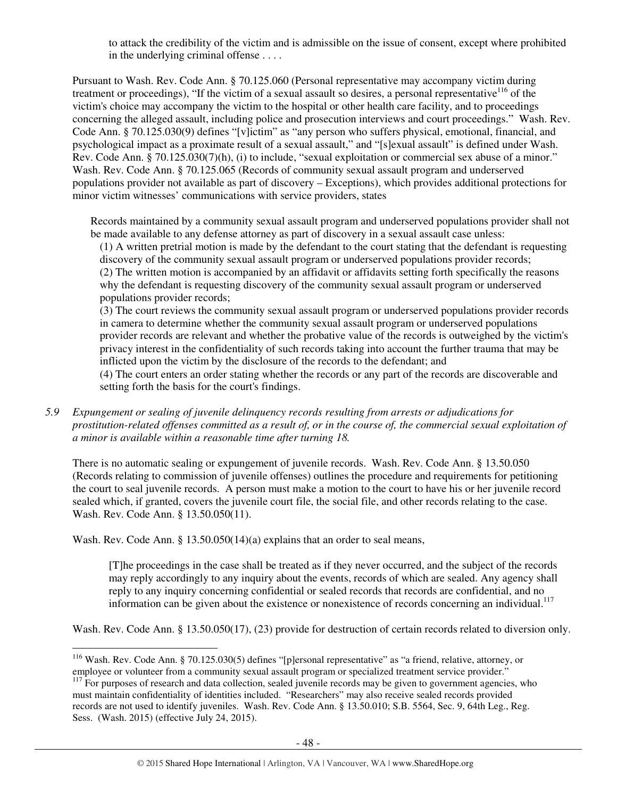to attack the credibility of the victim and is admissible on the issue of consent, except where prohibited in the underlying criminal offense . . . .

Pursuant to Wash. Rev. Code Ann. § 70.125.060 (Personal representative may accompany victim during treatment or proceedings), "If the victim of a sexual assault so desires, a personal representative $^{116}$  of the victim's choice may accompany the victim to the hospital or other health care facility, and to proceedings concerning the alleged assault, including police and prosecution interviews and court proceedings." Wash. Rev. Code Ann. § 70.125.030(9) defines "[v]ictim" as "any person who suffers physical, emotional, financial, and psychological impact as a proximate result of a sexual assault," and "[s]exual assault" is defined under Wash. Rev. Code Ann. § 70.125.030(7)(h), (i) to include, "sexual exploitation or commercial sex abuse of a minor." Wash. Rev. Code Ann. § 70.125.065 (Records of community sexual assault program and underserved populations provider not available as part of discovery – Exceptions), which provides additional protections for minor victim witnesses' communications with service providers, states

Records maintained by a community sexual assault program and underserved populations provider shall not be made available to any defense attorney as part of discovery in a sexual assault case unless:

(1) A written pretrial motion is made by the defendant to the court stating that the defendant is requesting discovery of the community sexual assault program or underserved populations provider records; (2) The written motion is accompanied by an affidavit or affidavits setting forth specifically the reasons why the defendant is requesting discovery of the community sexual assault program or underserved populations provider records;

(3) The court reviews the community sexual assault program or underserved populations provider records in camera to determine whether the community sexual assault program or underserved populations provider records are relevant and whether the probative value of the records is outweighed by the victim's privacy interest in the confidentiality of such records taking into account the further trauma that may be inflicted upon the victim by the disclosure of the records to the defendant; and

(4) The court enters an order stating whether the records or any part of the records are discoverable and setting forth the basis for the court's findings.

*5.9 Expungement or sealing of juvenile delinquency records resulting from arrests or adjudications for prostitution-related offenses committed as a result of, or in the course of, the commercial sexual exploitation of a minor is available within a reasonable time after turning 18.* 

There is no automatic sealing or expungement of juvenile records. Wash. Rev. Code Ann. § 13.50.050 (Records relating to commission of juvenile offenses) outlines the procedure and requirements for petitioning the court to seal juvenile records. A person must make a motion to the court to have his or her juvenile record sealed which, if granted, covers the juvenile court file, the social file, and other records relating to the case. Wash. Rev. Code Ann. § 13.50.050(11).

Wash. Rev. Code Ann. § 13.50.050(14)(a) explains that an order to seal means,

 $\overline{a}$ 

[T]he proceedings in the case shall be treated as if they never occurred, and the subject of the records may reply accordingly to any inquiry about the events, records of which are sealed. Any agency shall reply to any inquiry concerning confidential or sealed records that records are confidential, and no information can be given about the existence or nonexistence of records concerning an individual.<sup>117</sup>

Wash. Rev. Code Ann. § 13.50.050(17), (23) provide for destruction of certain records related to diversion only.

<sup>&</sup>lt;sup>116</sup> Wash. Rev. Code Ann. § 70.125.030(5) defines "[p]ersonal representative" as "a friend, relative, attorney, or employee or volunteer from a community sexual assault program or specialized treatment service provider."

<sup>&</sup>lt;sup>117</sup> For purposes of research and data collection, sealed juvenile records may be given to government agencies, who must maintain confidentiality of identities included. "Researchers" may also receive sealed records provided records are not used to identify juveniles. Wash. Rev. Code Ann. § 13.50.010; S.B. 5564, Sec. 9, 64th Leg., Reg. Sess. (Wash. 2015) (effective July 24, 2015).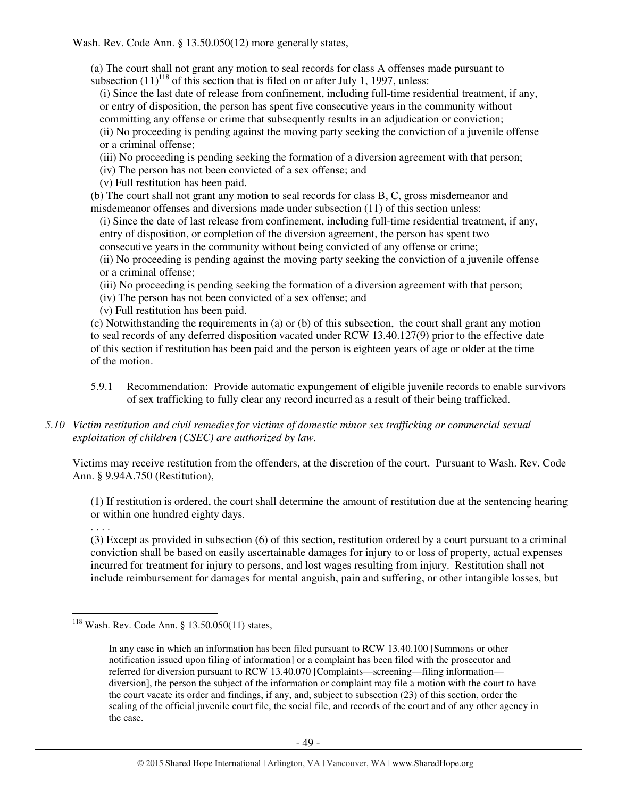Wash. Rev. Code Ann. § 13.50.050(12) more generally states,

(a) The court shall not grant any motion to seal records for class A offenses made pursuant to subsection  $(11)^{118}$  of this section that is filed on or after July 1, 1997, unless:

(i) Since the last date of release from confinement, including full-time residential treatment, if any, or entry of disposition, the person has spent five consecutive years in the community without committing any offense or crime that subsequently results in an adjudication or conviction; (ii) No proceeding is pending against the moving party seeking the conviction of a juvenile offense or a criminal offense;

(iii) No proceeding is pending seeking the formation of a diversion agreement with that person;

(iv) The person has not been convicted of a sex offense; and

(v) Full restitution has been paid.

(b) The court shall not grant any motion to seal records for class B, C, gross misdemeanor and misdemeanor offenses and diversions made under subsection (11) of this section unless:

(i) Since the date of last release from confinement, including full-time residential treatment, if any, entry of disposition, or completion of the diversion agreement, the person has spent two consecutive years in the community without being convicted of any offense or crime;

(ii) No proceeding is pending against the moving party seeking the conviction of a juvenile offense or a criminal offense;

- (iii) No proceeding is pending seeking the formation of a diversion agreement with that person;
- (iv) The person has not been convicted of a sex offense; and
- (v) Full restitution has been paid.

(c) Notwithstanding the requirements in (a) or (b) of this subsection, the court shall grant any motion to seal records of any deferred disposition vacated under RCW 13.40.127(9) prior to the effective date of this section if restitution has been paid and the person is eighteen years of age or older at the time of the motion.

5.9.1 Recommendation: Provide automatic expungement of eligible juvenile records to enable survivors of sex trafficking to fully clear any record incurred as a result of their being trafficked.

## *5.10 Victim restitution and civil remedies for victims of domestic minor sex trafficking or commercial sexual exploitation of children (CSEC) are authorized by law.*

Victims may receive restitution from the offenders, at the discretion of the court. Pursuant to Wash. Rev. Code Ann. § 9.94A.750 (Restitution),

(1) If restitution is ordered, the court shall determine the amount of restitution due at the sentencing hearing or within one hundred eighty days.

(3) Except as provided in subsection (6) of this section, restitution ordered by a court pursuant to a criminal conviction shall be based on easily ascertainable damages for injury to or loss of property, actual expenses incurred for treatment for injury to persons, and lost wages resulting from injury. Restitution shall not include reimbursement for damages for mental anguish, pain and suffering, or other intangible losses, but

. . . .

 $\overline{a}$ <sup>118</sup> Wash. Rev. Code Ann. § 13.50.050(11) states,

In any case in which an information has been filed pursuant to RCW 13.40.100 [Summons or other notification issued upon filing of information] or a complaint has been filed with the prosecutor and referred for diversion pursuant to RCW 13.40.070 [Complaints—screening—filing information diversion], the person the subject of the information or complaint may file a motion with the court to have the court vacate its order and findings, if any, and, subject to subsection (23) of this section, order the sealing of the official juvenile court file, the social file, and records of the court and of any other agency in the case.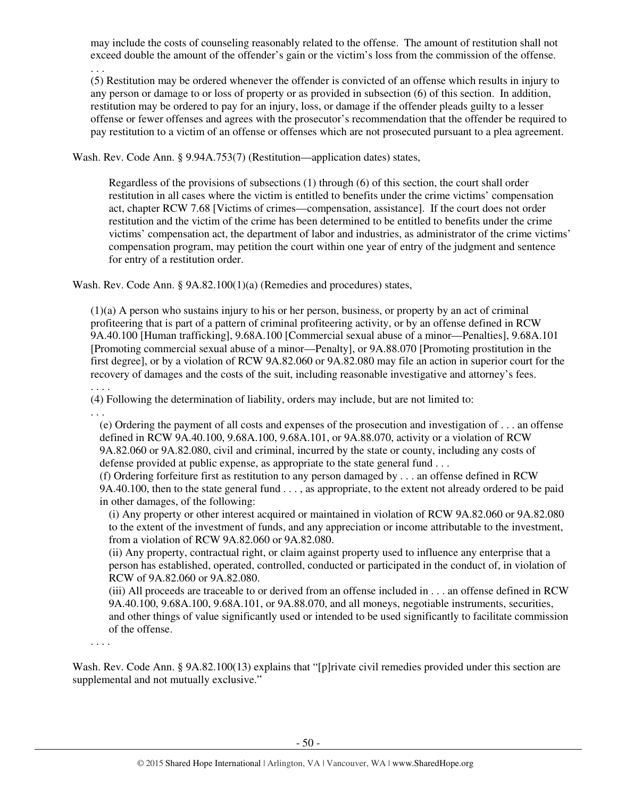may include the costs of counseling reasonably related to the offense. The amount of restitution shall not exceed double the amount of the offender's gain or the victim's loss from the commission of the offense. . . .

(5) Restitution may be ordered whenever the offender is convicted of an offense which results in injury to any person or damage to or loss of property or as provided in subsection (6) of this section. In addition, restitution may be ordered to pay for an injury, loss, or damage if the offender pleads guilty to a lesser offense or fewer offenses and agrees with the prosecutor's recommendation that the offender be required to pay restitution to a victim of an offense or offenses which are not prosecuted pursuant to a plea agreement.

Wash. Rev. Code Ann. § 9.94A.753(7) (Restitution—application dates) states,

Regardless of the provisions of subsections (1) through (6) of this section, the court shall order restitution in all cases where the victim is entitled to benefits under the crime victims' compensation act, chapter RCW 7.68 [Victims of crimes—compensation, assistance]. If the court does not order restitution and the victim of the crime has been determined to be entitled to benefits under the crime victims' compensation act, the department of labor and industries, as administrator of the crime victims' compensation program, may petition the court within one year of entry of the judgment and sentence for entry of a restitution order.

Wash. Rev. Code Ann. § 9A.82.100(1)(a) (Remedies and procedures) states,

(1)(a) A person who sustains injury to his or her person, business, or property by an act of criminal profiteering that is part of a pattern of criminal profiteering activity, or by an offense defined in RCW 9A.40.100 [Human trafficking], 9.68A.100 [Commercial sexual abuse of a minor—Penalties], 9.68A.101 [Promoting commercial sexual abuse of a minor—Penalty], or 9A.88.070 [Promoting prostitution in the first degree], or by a violation of RCW 9A.82.060 or 9A.82.080 may file an action in superior court for the recovery of damages and the costs of the suit, including reasonable investigative and attorney's fees.

. . . . (4) Following the determination of liability, orders may include, but are not limited to:

. . .

(e) Ordering the payment of all costs and expenses of the prosecution and investigation of . . . an offense defined in RCW 9A.40.100, 9.68A.100, 9.68A.101, or 9A.88.070, activity or a violation of RCW 9A.82.060 or 9A.82.080, civil and criminal, incurred by the state or county, including any costs of defense provided at public expense, as appropriate to the state general fund . . .

(f) Ordering forfeiture first as restitution to any person damaged by . . . an offense defined in RCW 9A.40.100, then to the state general fund . . . , as appropriate, to the extent not already ordered to be paid in other damages, of the following:

(i) Any property or other interest acquired or maintained in violation of RCW 9A.82.060 or 9A.82.080 to the extent of the investment of funds, and any appreciation or income attributable to the investment, from a violation of RCW 9A.82.060 or 9A.82.080.

(ii) Any property, contractual right, or claim against property used to influence any enterprise that a person has established, operated, controlled, conducted or participated in the conduct of, in violation of RCW of 9A.82.060 or 9A.82.080.

(iii) All proceeds are traceable to or derived from an offense included in . . . an offense defined in RCW 9A.40.100, 9.68A.100, 9.68A.101, or 9A.88.070, and all moneys, negotiable instruments, securities, and other things of value significantly used or intended to be used significantly to facilitate commission of the offense.

. . . .

Wash. Rev. Code Ann. § 9A.82.100(13) explains that "[p]rivate civil remedies provided under this section are supplemental and not mutually exclusive."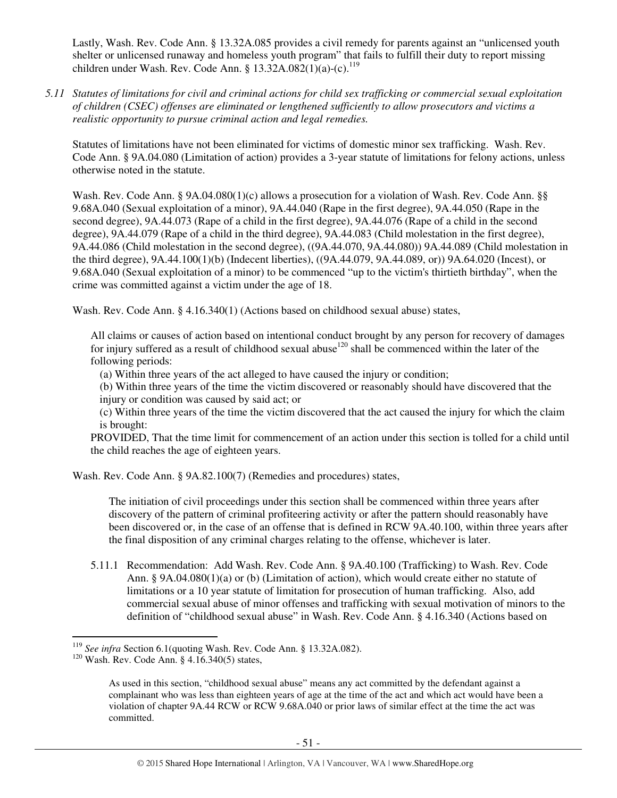Lastly, Wash. Rev. Code Ann. § 13.32A.085 provides a civil remedy for parents against an "unlicensed youth shelter or unlicensed runaway and homeless youth program" that fails to fulfill their duty to report missing children under Wash. Rev. Code Ann. §  $13.32A.082(1)(a)-(c).$ <sup>119</sup>

*5.11 Statutes of limitations for civil and criminal actions for child sex trafficking or commercial sexual exploitation of children (CSEC) offenses are eliminated or lengthened sufficiently to allow prosecutors and victims a realistic opportunity to pursue criminal action and legal remedies.* 

Statutes of limitations have not been eliminated for victims of domestic minor sex trafficking. Wash. Rev. Code Ann. § 9A.04.080 (Limitation of action) provides a 3-year statute of limitations for felony actions, unless otherwise noted in the statute.

Wash. Rev. Code Ann. § 9A.04.080(1)(c) allows a prosecution for a violation of Wash. Rev. Code Ann. §§ 9.68A.040 (Sexual exploitation of a minor), 9A.44.040 (Rape in the first degree), 9A.44.050 (Rape in the second degree), 9A.44.073 (Rape of a child in the first degree), 9A.44.076 (Rape of a child in the second degree), 9A.44.079 (Rape of a child in the third degree), 9A.44.083 (Child molestation in the first degree), 9A.44.086 (Child molestation in the second degree), ((9A.44.070, 9A.44.080)) 9A.44.089 (Child molestation in the third degree), 9A.44.100(1)(b) (Indecent liberties), ((9A.44.079, 9A.44.089, or)) 9A.64.020 (Incest), or 9.68A.040 (Sexual exploitation of a minor) to be commenced "up to the victim's thirtieth birthday", when the crime was committed against a victim under the age of 18.

Wash. Rev. Code Ann. § 4.16.340(1) (Actions based on childhood sexual abuse) states,

All claims or causes of action based on intentional conduct brought by any person for recovery of damages for injury suffered as a result of childhood sexual abuse<sup>120</sup> shall be commenced within the later of the following periods:

(a) Within three years of the act alleged to have caused the injury or condition;

(b) Within three years of the time the victim discovered or reasonably should have discovered that the injury or condition was caused by said act; or

(c) Within three years of the time the victim discovered that the act caused the injury for which the claim is brought:

PROVIDED, That the time limit for commencement of an action under this section is tolled for a child until the child reaches the age of eighteen years.

Wash. Rev. Code Ann. § 9A.82.100(7) (Remedies and procedures) states,

The initiation of civil proceedings under this section shall be commenced within three years after discovery of the pattern of criminal profiteering activity or after the pattern should reasonably have been discovered or, in the case of an offense that is defined in RCW 9A.40.100, within three years after the final disposition of any criminal charges relating to the offense, whichever is later.

5.11.1 Recommendation: Add Wash. Rev. Code Ann. § 9A.40.100 (Trafficking) to Wash. Rev. Code Ann. § 9A.04.080(1)(a) or (b) (Limitation of action), which would create either no statute of limitations or a 10 year statute of limitation for prosecution of human trafficking. Also, add commercial sexual abuse of minor offenses and trafficking with sexual motivation of minors to the definition of "childhood sexual abuse" in Wash. Rev. Code Ann. § 4.16.340 (Actions based on

<sup>119</sup> *See infra* Section 6.1(quoting Wash. Rev. Code Ann. § 13.32A.082).

<sup>&</sup>lt;sup>120</sup> Wash. Rev. Code Ann. §  $4.16.340(5)$  states,

As used in this section, "childhood sexual abuse" means any act committed by the defendant against a complainant who was less than eighteen years of age at the time of the act and which act would have been a violation of chapter 9A.44 RCW or RCW 9.68A.040 or prior laws of similar effect at the time the act was committed.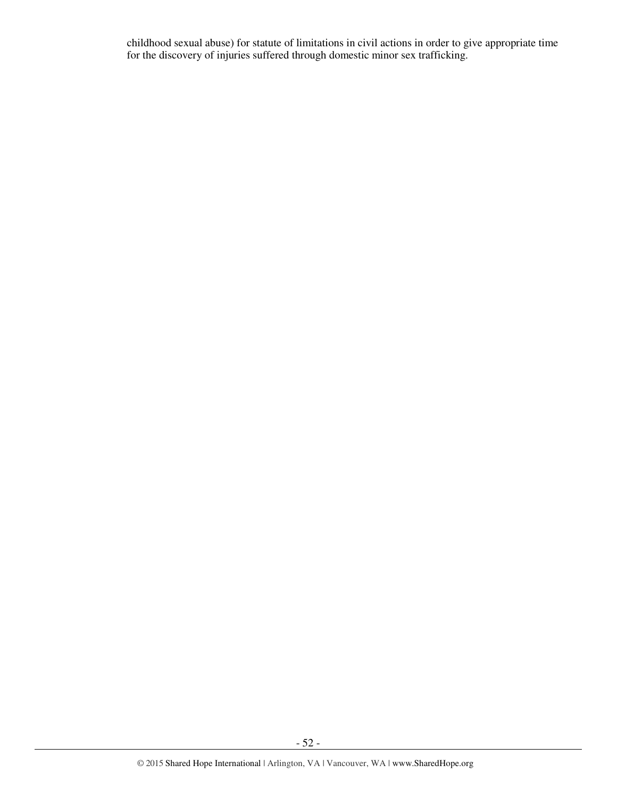childhood sexual abuse) for statute of limitations in civil actions in order to give appropriate time for the discovery of injuries suffered through domestic minor sex trafficking.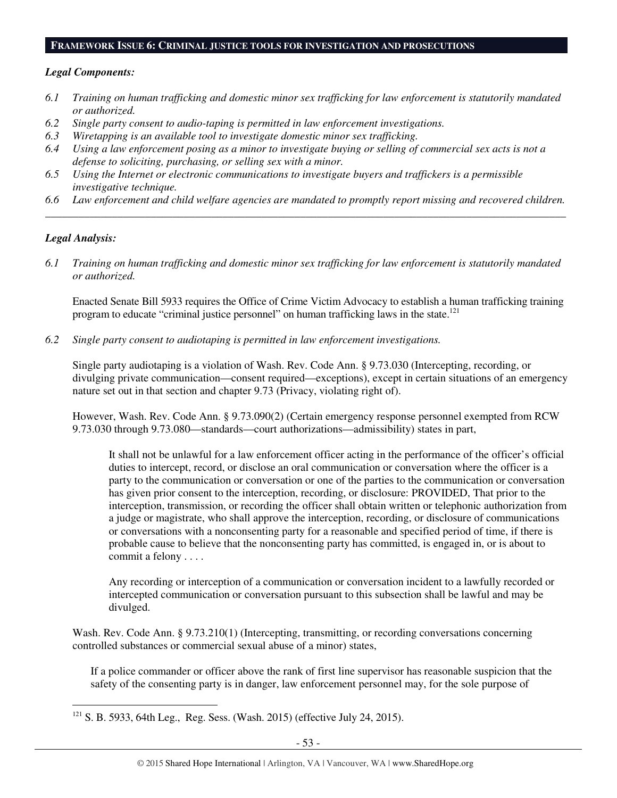#### **FRAMEWORK ISSUE 6: CRIMINAL JUSTICE TOOLS FOR INVESTIGATION AND PROSECUTIONS**

#### *Legal Components:*

- *6.1 Training on human trafficking and domestic minor sex trafficking for law enforcement is statutorily mandated or authorized.*
- *6.2 Single party consent to audio-taping is permitted in law enforcement investigations.*
- *6.3 Wiretapping is an available tool to investigate domestic minor sex trafficking.*
- *6.4 Using a law enforcement posing as a minor to investigate buying or selling of commercial sex acts is not a defense to soliciting, purchasing, or selling sex with a minor.*
- *6.5 Using the Internet or electronic communications to investigate buyers and traffickers is a permissible investigative technique.*
- *6.6 Law enforcement and child welfare agencies are mandated to promptly report missing and recovered children. \_\_\_\_\_\_\_\_\_\_\_\_\_\_\_\_\_\_\_\_\_\_\_\_\_\_\_\_\_\_\_\_\_\_\_\_\_\_\_\_\_\_\_\_\_\_\_\_\_\_\_\_\_\_\_\_\_\_\_\_\_\_\_\_\_\_\_\_\_\_\_\_\_\_\_\_\_\_\_\_\_\_\_\_\_\_\_\_\_\_\_\_\_\_*

#### *Legal Analysis:*

 $\overline{a}$ 

*6.1 Training on human trafficking and domestic minor sex trafficking for law enforcement is statutorily mandated or authorized.* 

Enacted Senate Bill 5933 requires the Office of Crime Victim Advocacy to establish a human trafficking training program to educate "criminal justice personnel" on human trafficking laws in the state.<sup>121</sup>

*6.2 Single party consent to audiotaping is permitted in law enforcement investigations.* 

Single party audiotaping is a violation of Wash. Rev. Code Ann. § 9.73.030 (Intercepting, recording, or divulging private communication—consent required—exceptions), except in certain situations of an emergency nature set out in that section and chapter 9.73 (Privacy, violating right of).

However, Wash. Rev. Code Ann. § 9.73.090(2) (Certain emergency response personnel exempted from RCW 9.73.030 through 9.73.080—standards—court authorizations—admissibility) states in part,

It shall not be unlawful for a law enforcement officer acting in the performance of the officer's official duties to intercept, record, or disclose an oral communication or conversation where the officer is a party to the communication or conversation or one of the parties to the communication or conversation has given prior consent to the interception, recording, or disclosure: PROVIDED, That prior to the interception, transmission, or recording the officer shall obtain written or telephonic authorization from a judge or magistrate, who shall approve the interception, recording, or disclosure of communications or conversations with a nonconsenting party for a reasonable and specified period of time, if there is probable cause to believe that the nonconsenting party has committed, is engaged in, or is about to commit a felony . . . .

Any recording or interception of a communication or conversation incident to a lawfully recorded or intercepted communication or conversation pursuant to this subsection shall be lawful and may be divulged.

Wash. Rev. Code Ann. § 9.73.210(1) (Intercepting, transmitting, or recording conversations concerning controlled substances or commercial sexual abuse of a minor) states,

If a police commander or officer above the rank of first line supervisor has reasonable suspicion that the safety of the consenting party is in danger, law enforcement personnel may, for the sole purpose of

<sup>121</sup> S. B. 5933, 64th Leg., Reg. Sess. (Wash. 2015) (effective July 24, 2015).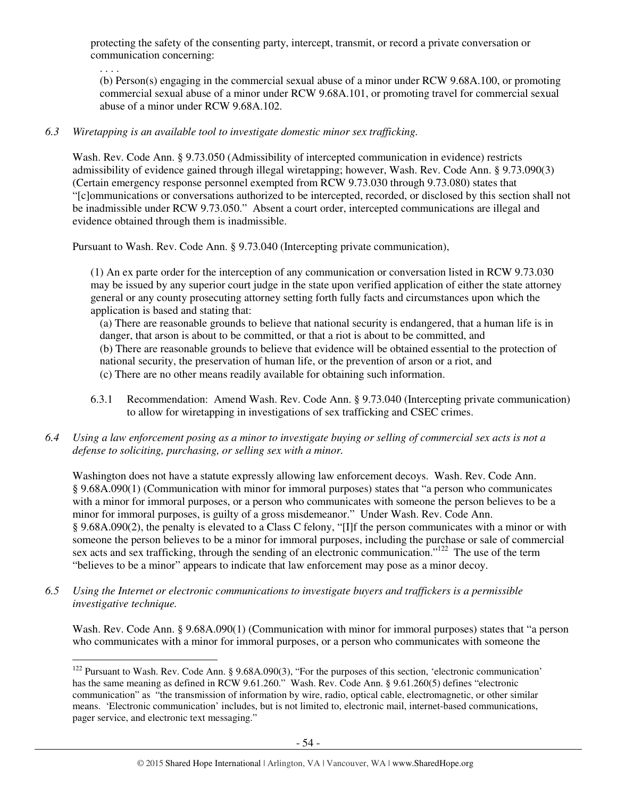protecting the safety of the consenting party, intercept, transmit, or record a private conversation or communication concerning:

. . . .

(b) Person(s) engaging in the commercial sexual abuse of a minor under RCW 9.68A.100, or promoting commercial sexual abuse of a minor under RCW 9.68A.101, or promoting travel for commercial sexual abuse of a minor under RCW 9.68A.102.

## *6.3 Wiretapping is an available tool to investigate domestic minor sex trafficking.*

Wash. Rev. Code Ann. § 9.73.050 (Admissibility of intercepted communication in evidence) restricts admissibility of evidence gained through illegal wiretapping; however, Wash. Rev. Code Ann. § 9.73.090(3) (Certain emergency response personnel exempted from RCW 9.73.030 through 9.73.080) states that "[c]ommunications or conversations authorized to be intercepted, recorded, or disclosed by this section shall not be inadmissible under RCW 9.73.050." Absent a court order, intercepted communications are illegal and evidence obtained through them is inadmissible.

Pursuant to Wash. Rev. Code Ann. § 9.73.040 (Intercepting private communication),

(1) An ex parte order for the interception of any communication or conversation listed in RCW 9.73.030 may be issued by any superior court judge in the state upon verified application of either the state attorney general or any county prosecuting attorney setting forth fully facts and circumstances upon which the application is based and stating that:

(a) There are reasonable grounds to believe that national security is endangered, that a human life is in danger, that arson is about to be committed, or that a riot is about to be committed, and (b) There are reasonable grounds to believe that evidence will be obtained essential to the protection of national security, the preservation of human life, or the prevention of arson or a riot, and (c) There are no other means readily available for obtaining such information.

- 6.3.1 Recommendation: Amend Wash. Rev. Code Ann. § 9.73.040 (Intercepting private communication) to allow for wiretapping in investigations of sex trafficking and CSEC crimes.
- *6.4 Using a law enforcement posing as a minor to investigate buying or selling of commercial sex acts is not a defense to soliciting, purchasing, or selling sex with a minor.*

Washington does not have a statute expressly allowing law enforcement decoys. Wash. Rev. Code Ann. § 9.68A.090(1) (Communication with minor for immoral purposes) states that "a person who communicates with a minor for immoral purposes, or a person who communicates with someone the person believes to be a minor for immoral purposes, is guilty of a gross misdemeanor." Under Wash. Rev. Code Ann. § 9.68A.090(2), the penalty is elevated to a Class C felony, "[I]f the person communicates with a minor or with someone the person believes to be a minor for immoral purposes, including the purchase or sale of commercial sex acts and sex trafficking, through the sending of an electronic communication."<sup>122</sup> The use of the term "believes to be a minor" appears to indicate that law enforcement may pose as a minor decoy.

*6.5 Using the Internet or electronic communications to investigate buyers and traffickers is a permissible investigative technique.* 

Wash. Rev. Code Ann. § 9.68A.090(1) (Communication with minor for immoral purposes) states that "a person who communicates with a minor for immoral purposes, or a person who communicates with someone the

 $\overline{a}$  $122$  Pursuant to Wash. Rev. Code Ann. § 9.68A.090(3), "For the purposes of this section, 'electronic communication' has the same meaning as defined in RCW 9.61.260." Wash. Rev. Code Ann. § 9.61.260(5) defines "electronic communication" as "the transmission of information by wire, radio, optical cable, electromagnetic, or other similar means. 'Electronic communication' includes, but is not limited to, electronic mail, internet-based communications, pager service, and electronic text messaging."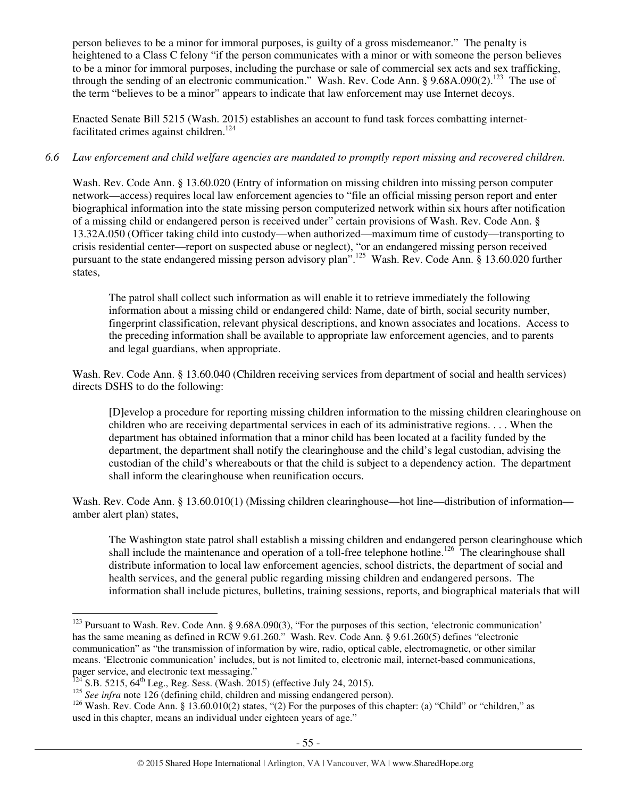person believes to be a minor for immoral purposes, is guilty of a gross misdemeanor." The penalty is heightened to a Class C felony "if the person communicates with a minor or with someone the person believes to be a minor for immoral purposes, including the purchase or sale of commercial sex acts and sex trafficking, through the sending of an electronic communication." Wash. Rev. Code Ann. § 9.68A.090(2).<sup>123</sup> The use of the term "believes to be a minor" appears to indicate that law enforcement may use Internet decoys.

Enacted Senate Bill 5215 (Wash. 2015) establishes an account to fund task forces combatting internetfacilitated crimes against children.<sup>124</sup>

## *6.6 Law enforcement and child welfare agencies are mandated to promptly report missing and recovered children.*

Wash. Rev. Code Ann. § 13.60.020 (Entry of information on missing children into missing person computer network—access) requires local law enforcement agencies to "file an official missing person report and enter biographical information into the state missing person computerized network within six hours after notification of a missing child or endangered person is received under" certain provisions of Wash. Rev. Code Ann. § 13.32A.050 (Officer taking child into custody—when authorized—maximum time of custody—transporting to crisis residential center—report on suspected abuse or neglect), "or an endangered missing person received pursuant to the state endangered missing person advisory plan".<sup>125</sup> Wash. Rev. Code Ann. § 13.60.020 further states,

The patrol shall collect such information as will enable it to retrieve immediately the following information about a missing child or endangered child: Name, date of birth, social security number, fingerprint classification, relevant physical descriptions, and known associates and locations. Access to the preceding information shall be available to appropriate law enforcement agencies, and to parents and legal guardians, when appropriate.

Wash. Rev. Code Ann. § 13.60.040 (Children receiving services from department of social and health services) directs DSHS to do the following:

[D]evelop a procedure for reporting missing children information to the missing children clearinghouse on children who are receiving departmental services in each of its administrative regions. . . . When the department has obtained information that a minor child has been located at a facility funded by the department, the department shall notify the clearinghouse and the child's legal custodian, advising the custodian of the child's whereabouts or that the child is subject to a dependency action. The department shall inform the clearinghouse when reunification occurs.

Wash. Rev. Code Ann. § 13.60.010(1) (Missing children clearinghouse—hot line—distribution of information amber alert plan) states,

The Washington state patrol shall establish a missing children and endangered person clearinghouse which shall include the maintenance and operation of a toll-free telephone hotline.<sup>126</sup> The clearinghouse shall distribute information to local law enforcement agencies, school districts, the department of social and health services, and the general public regarding missing children and endangered persons. The information shall include pictures, bulletins, training sessions, reports, and biographical materials that will

 $\overline{a}$ <sup>123</sup> Pursuant to Wash. Rev. Code Ann. § 9.68A.090(3), "For the purposes of this section, 'electronic communication' has the same meaning as defined in RCW 9.61.260." Wash. Rev. Code Ann. § 9.61.260(5) defines "electronic communication" as "the transmission of information by wire, radio, optical cable, electromagnetic, or other similar means. 'Electronic communication' includes, but is not limited to, electronic mail, internet-based communications, pager service, and electronic text messaging."

 $^{124}$  S.B. 5215, 64<sup>th</sup> Leg., Reg. Sess. (Wash. 2015) (effective July 24, 2015).

<sup>&</sup>lt;sup>125</sup> *See infra* note 126 (defining child, children and missing endangered person).

<sup>&</sup>lt;sup>126</sup> Wash. Rev. Code Ann. § 13.60.010(2) states, "(2) For the purposes of this chapter: (a) "Child" or "children," as used in this chapter, means an individual under eighteen years of age."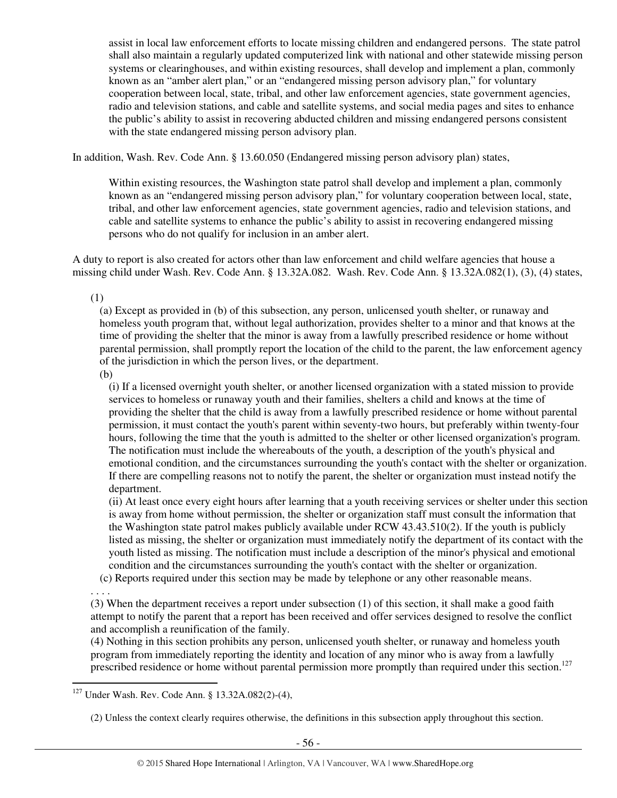assist in local law enforcement efforts to locate missing children and endangered persons. The state patrol shall also maintain a regularly updated computerized link with national and other statewide missing person systems or clearinghouses, and within existing resources, shall develop and implement a plan, commonly known as an "amber alert plan," or an "endangered missing person advisory plan," for voluntary cooperation between local, state, tribal, and other law enforcement agencies, state government agencies, radio and television stations, and cable and satellite systems, and social media pages and sites to enhance the public's ability to assist in recovering abducted children and missing endangered persons consistent with the state endangered missing person advisory plan.

In addition, Wash. Rev. Code Ann. § 13.60.050 (Endangered missing person advisory plan) states,

Within existing resources, the Washington state patrol shall develop and implement a plan, commonly known as an "endangered missing person advisory plan," for voluntary cooperation between local, state, tribal, and other law enforcement agencies, state government agencies, radio and television stations, and cable and satellite systems to enhance the public's ability to assist in recovering endangered missing persons who do not qualify for inclusion in an amber alert.

A duty to report is also created for actors other than law enforcement and child welfare agencies that house a missing child under Wash. Rev. Code Ann. § 13.32A.082. Wash. Rev. Code Ann. § 13.32A.082(1), (3), (4) states,

(1)

(a) Except as provided in (b) of this subsection, any person, unlicensed youth shelter, or runaway and homeless youth program that, without legal authorization, provides shelter to a minor and that knows at the time of providing the shelter that the minor is away from a lawfully prescribed residence or home without parental permission, shall promptly report the location of the child to the parent, the law enforcement agency of the jurisdiction in which the person lives, or the department.

(b)

(i) If a licensed overnight youth shelter, or another licensed organization with a stated mission to provide services to homeless or runaway youth and their families, shelters a child and knows at the time of providing the shelter that the child is away from a lawfully prescribed residence or home without parental permission, it must contact the youth's parent within seventy-two hours, but preferably within twenty-four hours, following the time that the youth is admitted to the shelter or other licensed organization's program. The notification must include the whereabouts of the youth, a description of the youth's physical and emotional condition, and the circumstances surrounding the youth's contact with the shelter or organization. If there are compelling reasons not to notify the parent, the shelter or organization must instead notify the department.

(ii) At least once every eight hours after learning that a youth receiving services or shelter under this section is away from home without permission, the shelter or organization staff must consult the information that the Washington state patrol makes publicly available under RCW 43.43.510(2). If the youth is publicly listed as missing, the shelter or organization must immediately notify the department of its contact with the youth listed as missing. The notification must include a description of the minor's physical and emotional condition and the circumstances surrounding the youth's contact with the shelter or organization.

(c) Reports required under this section may be made by telephone or any other reasonable means.

. . . .

(3) When the department receives a report under subsection (1) of this section, it shall make a good faith attempt to notify the parent that a report has been received and offer services designed to resolve the conflict and accomplish a reunification of the family.

(4) Nothing in this section prohibits any person, unlicensed youth shelter, or runaway and homeless youth program from immediately reporting the identity and location of any minor who is away from a lawfully prescribed residence or home without parental permission more promptly than required under this section.<sup>127</sup>

 $\overline{a}$ <sup>127</sup> Under Wash. Rev. Code Ann. § 13.32A.082(2)-(4),

<sup>(2)</sup> Unless the context clearly requires otherwise, the definitions in this subsection apply throughout this section.